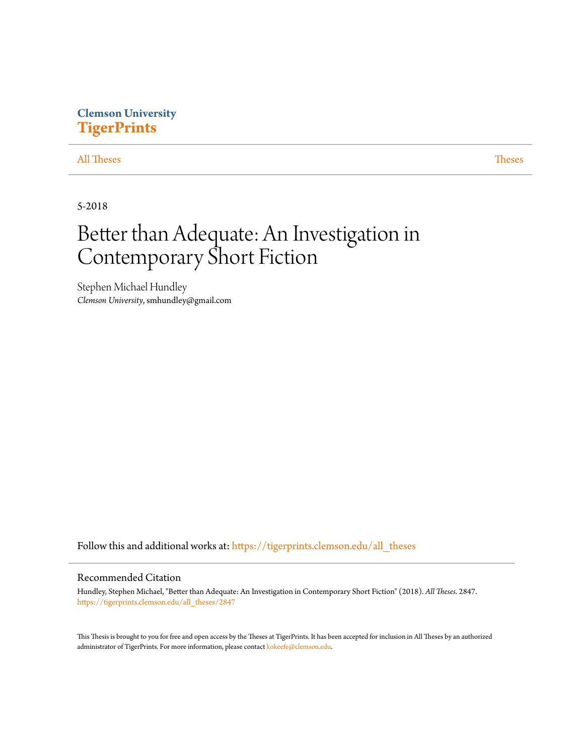# **Clemson University [TigerPrints](https://tigerprints.clemson.edu?utm_source=tigerprints.clemson.edu%2Fall_theses%2F2847&utm_medium=PDF&utm_campaign=PDFCoverPages)**

## [All Theses](https://tigerprints.clemson.edu/all_theses?utm_source=tigerprints.clemson.edu%2Fall_theses%2F2847&utm_medium=PDF&utm_campaign=PDFCoverPages) **[Theses](https://tigerprints.clemson.edu/theses?utm_source=tigerprints.clemson.edu%2Fall_theses%2F2847&utm_medium=PDF&utm_campaign=PDFCoverPages)**

5-2018

# Better than Adequate: An Investigation in Contemporary Short Fiction

Stephen Michael Hundley *Clemson University*, smhundley@gmail.com

Follow this and additional works at: [https://tigerprints.clemson.edu/all\\_theses](https://tigerprints.clemson.edu/all_theses?utm_source=tigerprints.clemson.edu%2Fall_theses%2F2847&utm_medium=PDF&utm_campaign=PDFCoverPages)

## Recommended Citation

Hundley, Stephen Michael, "Better than Adequate: An Investigation in Contemporary Short Fiction" (2018). *All Theses*. 2847. [https://tigerprints.clemson.edu/all\\_theses/2847](https://tigerprints.clemson.edu/all_theses/2847?utm_source=tigerprints.clemson.edu%2Fall_theses%2F2847&utm_medium=PDF&utm_campaign=PDFCoverPages)

This Thesis is brought to you for free and open access by the Theses at TigerPrints. It has been accepted for inclusion in All Theses by an authorized administrator of TigerPrints. For more information, please contact [kokeefe@clemson.edu](mailto:kokeefe@clemson.edu).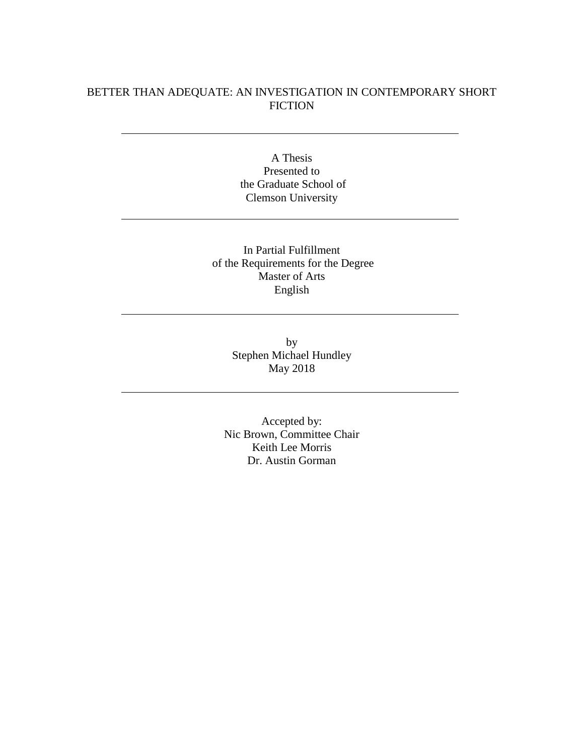# BETTER THAN ADEQUATE: AN INVESTIGATION IN CONTEMPORARY SHORT **FICTION**

A Thesis Presented to the Graduate School of Clemson University

In Partial Fulfillment of the Requirements for the Degree Master of Arts English

> by Stephen Michael Hundley May 2018

Accepted by: Nic Brown, Committee Chair Keith Lee Morris Dr. Austin Gorman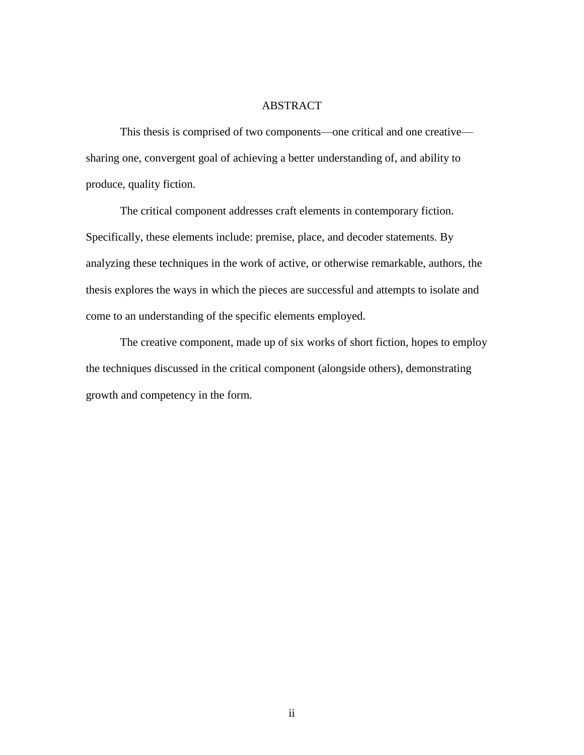# ABSTRACT

This thesis is comprised of two components—one critical and one creative sharing one, convergent goal of achieving a better understanding of, and ability to produce, quality fiction.

The critical component addresses craft elements in contemporary fiction. Specifically, these elements include: premise, place, and decoder statements. By analyzing these techniques in the work of active, or otherwise remarkable, authors, the thesis explores the ways in which the pieces are successful and attempts to isolate and come to an understanding of the specific elements employed.

The creative component, made up of six works of short fiction, hopes to employ the techniques discussed in the critical component (alongside others), demonstrating growth and competency in the form.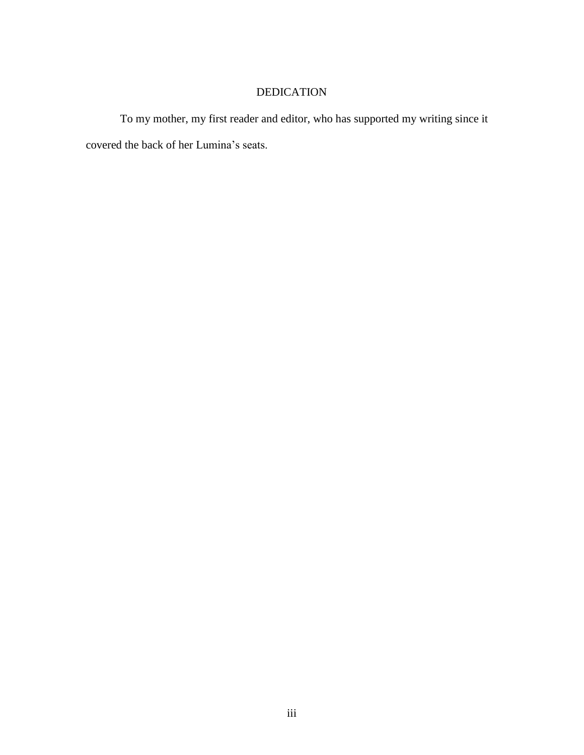# DEDICATION

To my mother, my first reader and editor, who has supported my writing since it covered the back of her Lumina's seats.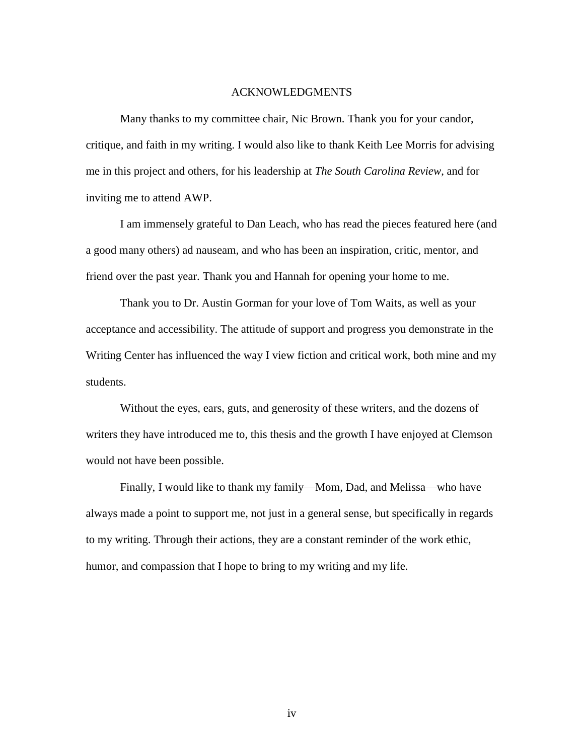## ACKNOWLEDGMENTS

Many thanks to my committee chair, Nic Brown. Thank you for your candor, critique, and faith in my writing. I would also like to thank Keith Lee Morris for advising me in this project and others, for his leadership at *The South Carolina Review*, and for inviting me to attend AWP.

I am immensely grateful to Dan Leach, who has read the pieces featured here (and a good many others) ad nauseam, and who has been an inspiration, critic, mentor, and friend over the past year. Thank you and Hannah for opening your home to me.

Thank you to Dr. Austin Gorman for your love of Tom Waits, as well as your acceptance and accessibility. The attitude of support and progress you demonstrate in the Writing Center has influenced the way I view fiction and critical work, both mine and my students.

Without the eyes, ears, guts, and generosity of these writers, and the dozens of writers they have introduced me to, this thesis and the growth I have enjoyed at Clemson would not have been possible.

Finally, I would like to thank my family—Mom, Dad, and Melissa—who have always made a point to support me, not just in a general sense, but specifically in regards to my writing. Through their actions, they are a constant reminder of the work ethic, humor, and compassion that I hope to bring to my writing and my life.

iv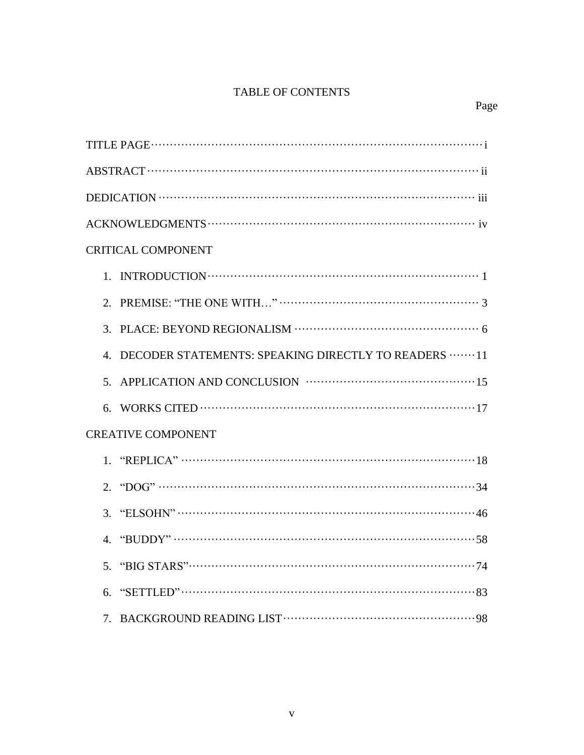# TABLE OF CONTENTS

| <b>CRITICAL COMPONENT</b>                                  |
|------------------------------------------------------------|
|                                                            |
| 2.                                                         |
|                                                            |
| DECODER STATEMENTS: SPEAKING DIRECTLY TO READERS  11<br>4. |
|                                                            |
|                                                            |
| <b>CREATIVE COMPONENT</b>                                  |
|                                                            |
|                                                            |
|                                                            |
| $"BUDDY" \dots 58$<br>4.                                   |
|                                                            |
| 6.                                                         |
|                                                            |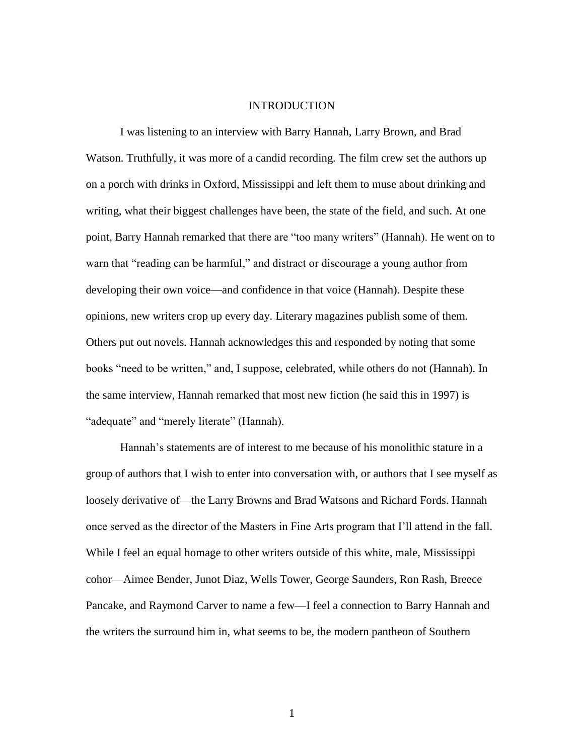## INTRODUCTION

I was listening to an interview with Barry Hannah, Larry Brown, and Brad Watson. Truthfully, it was more of a candid recording. The film crew set the authors up on a porch with drinks in Oxford, Mississippi and left them to muse about drinking and writing, what their biggest challenges have been, the state of the field, and such. At one point, Barry Hannah remarked that there are "too many writers" (Hannah). He went on to warn that "reading can be harmful," and distract or discourage a young author from developing their own voice—and confidence in that voice (Hannah). Despite these opinions, new writers crop up every day. Literary magazines publish some of them. Others put out novels. Hannah acknowledges this and responded by noting that some books "need to be written," and, I suppose, celebrated, while others do not (Hannah). In the same interview, Hannah remarked that most new fiction (he said this in 1997) is "adequate" and "merely literate" (Hannah).

Hannah's statements are of interest to me because of his monolithic stature in a group of authors that I wish to enter into conversation with, or authors that I see myself as loosely derivative of—the Larry Browns and Brad Watsons and Richard Fords. Hannah once served as the director of the Masters in Fine Arts program that I'll attend in the fall. While I feel an equal homage to other writers outside of this white, male, Mississippi cohor—Aimee Bender, Junot Diaz, Wells Tower, George Saunders, Ron Rash, Breece Pancake, and Raymond Carver to name a few—I feel a connection to Barry Hannah and the writers the surround him in, what seems to be, the modern pantheon of Southern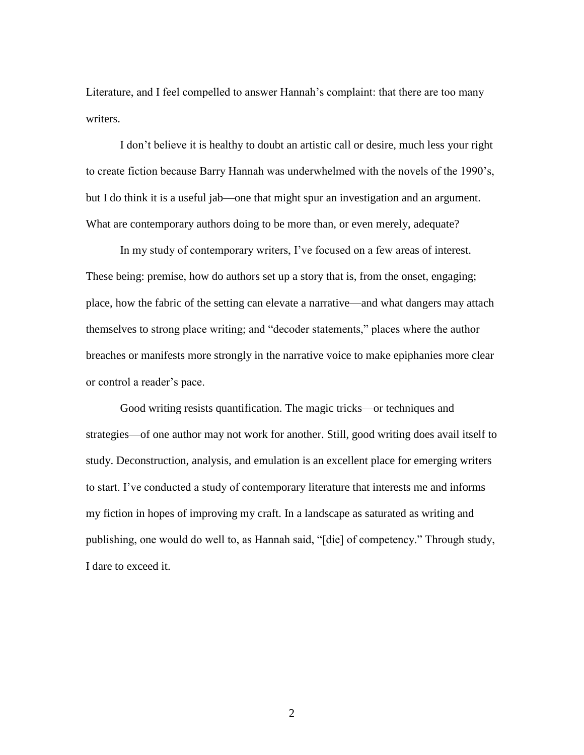Literature, and I feel compelled to answer Hannah's complaint: that there are too many writers.

I don't believe it is healthy to doubt an artistic call or desire, much less your right to create fiction because Barry Hannah was underwhelmed with the novels of the 1990's, but I do think it is a useful jab—one that might spur an investigation and an argument. What are contemporary authors doing to be more than, or even merely, adequate?

In my study of contemporary writers, I've focused on a few areas of interest. These being: premise, how do authors set up a story that is, from the onset, engaging; place, how the fabric of the setting can elevate a narrative—and what dangers may attach themselves to strong place writing; and "decoder statements," places where the author breaches or manifests more strongly in the narrative voice to make epiphanies more clear or control a reader's pace.

Good writing resists quantification. The magic tricks—or techniques and strategies—of one author may not work for another. Still, good writing does avail itself to study. Deconstruction, analysis, and emulation is an excellent place for emerging writers to start. I've conducted a study of contemporary literature that interests me and informs my fiction in hopes of improving my craft. In a landscape as saturated as writing and publishing, one would do well to, as Hannah said, "[die] of competency." Through study, I dare to exceed it.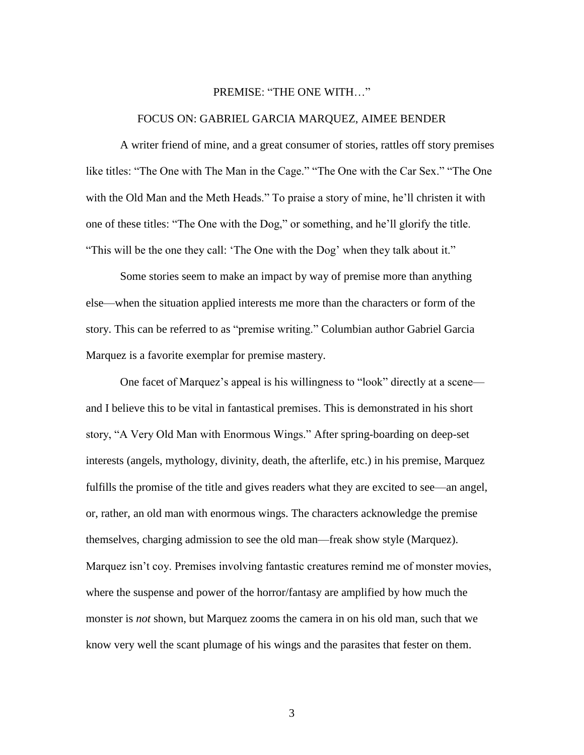### PREMISE: "THE ONE WITH…"

#### FOCUS ON: GABRIEL GARCIA MARQUEZ, AIMEE BENDER

A writer friend of mine, and a great consumer of stories, rattles off story premises like titles: "The One with The Man in the Cage." "The One with the Car Sex." "The One with the Old Man and the Meth Heads." To praise a story of mine, he'll christen it with one of these titles: "The One with the Dog," or something, and he'll glorify the title. "This will be the one they call: 'The One with the Dog' when they talk about it."

Some stories seem to make an impact by way of premise more than anything else—when the situation applied interests me more than the characters or form of the story. This can be referred to as "premise writing." Columbian author Gabriel Garcia Marquez is a favorite exemplar for premise mastery.

One facet of Marquez's appeal is his willingness to "look" directly at a scene and I believe this to be vital in fantastical premises. This is demonstrated in his short story, "A Very Old Man with Enormous Wings." After spring-boarding on deep-set interests (angels, mythology, divinity, death, the afterlife, etc.) in his premise, Marquez fulfills the promise of the title and gives readers what they are excited to see—an angel, or, rather, an old man with enormous wings. The characters acknowledge the premise themselves, charging admission to see the old man—freak show style (Marquez). Marquez isn't coy. Premises involving fantastic creatures remind me of monster movies, where the suspense and power of the horror/fantasy are amplified by how much the monster is *not* shown, but Marquez zooms the camera in on his old man, such that we know very well the scant plumage of his wings and the parasites that fester on them.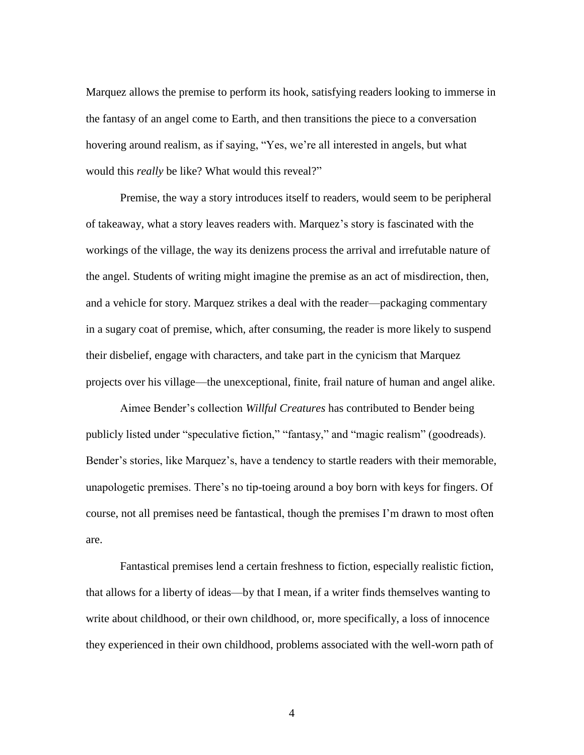Marquez allows the premise to perform its hook, satisfying readers looking to immerse in the fantasy of an angel come to Earth, and then transitions the piece to a conversation hovering around realism, as if saying, "Yes, we're all interested in angels, but what would this *really* be like? What would this reveal?"

Premise, the way a story introduces itself to readers, would seem to be peripheral of takeaway, what a story leaves readers with. Marquez's story is fascinated with the workings of the village, the way its denizens process the arrival and irrefutable nature of the angel. Students of writing might imagine the premise as an act of misdirection, then, and a vehicle for story. Marquez strikes a deal with the reader—packaging commentary in a sugary coat of premise, which, after consuming, the reader is more likely to suspend their disbelief, engage with characters, and take part in the cynicism that Marquez projects over his village—the unexceptional, finite, frail nature of human and angel alike.

Aimee Bender's collection *Willful Creatures* has contributed to Bender being publicly listed under "speculative fiction," "fantasy," and "magic realism" (goodreads). Bender's stories, like Marquez's, have a tendency to startle readers with their memorable, unapologetic premises. There's no tip-toeing around a boy born with keys for fingers. Of course, not all premises need be fantastical, though the premises I'm drawn to most often are.

Fantastical premises lend a certain freshness to fiction, especially realistic fiction, that allows for a liberty of ideas—by that I mean, if a writer finds themselves wanting to write about childhood, or their own childhood, or, more specifically, a loss of innocence they experienced in their own childhood, problems associated with the well-worn path of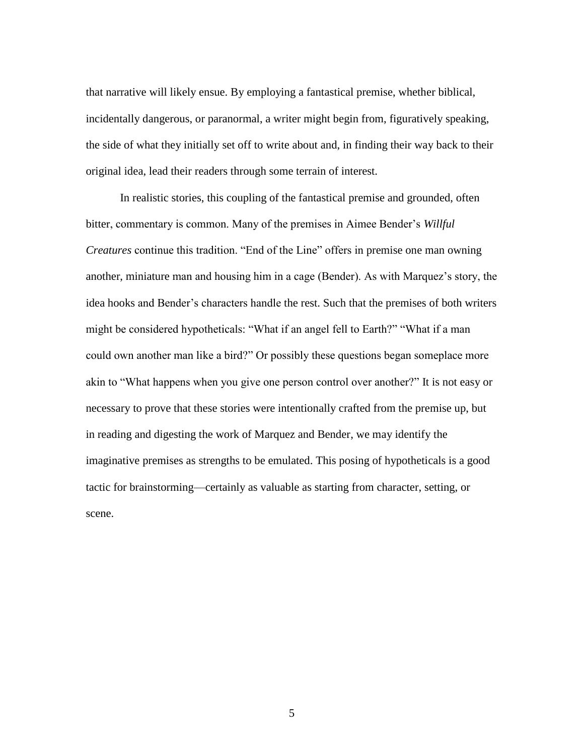that narrative will likely ensue. By employing a fantastical premise, whether biblical, incidentally dangerous, or paranormal, a writer might begin from, figuratively speaking, the side of what they initially set off to write about and, in finding their way back to their original idea, lead their readers through some terrain of interest.

In realistic stories, this coupling of the fantastical premise and grounded, often bitter, commentary is common. Many of the premises in Aimee Bender's *Willful Creatures* continue this tradition. "End of the Line" offers in premise one man owning another, miniature man and housing him in a cage (Bender). As with Marquez's story, the idea hooks and Bender's characters handle the rest. Such that the premises of both writers might be considered hypotheticals: "What if an angel fell to Earth?" "What if a man could own another man like a bird?" Or possibly these questions began someplace more akin to "What happens when you give one person control over another?" It is not easy or necessary to prove that these stories were intentionally crafted from the premise up, but in reading and digesting the work of Marquez and Bender, we may identify the imaginative premises as strengths to be emulated. This posing of hypotheticals is a good tactic for brainstorming—certainly as valuable as starting from character, setting, or scene.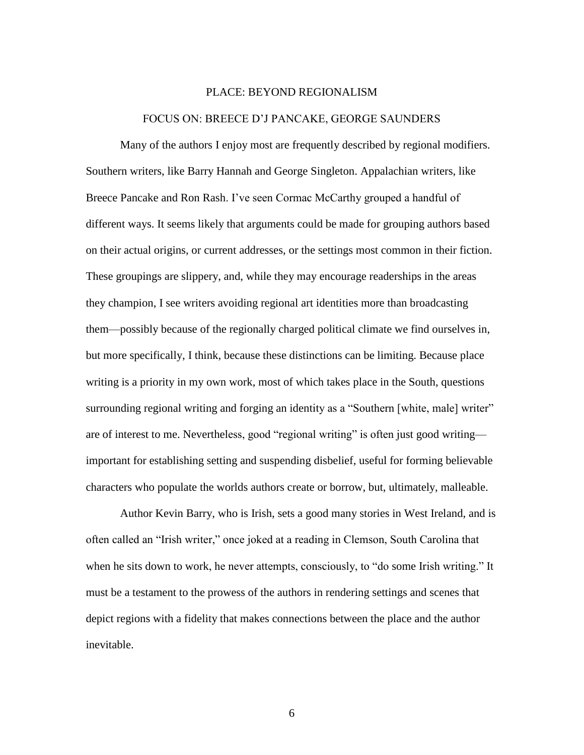#### PLACE: BEYOND REGIONALISM

#### FOCUS ON: BREECE D'J PANCAKE, GEORGE SAUNDERS

Many of the authors I enjoy most are frequently described by regional modifiers. Southern writers, like Barry Hannah and George Singleton. Appalachian writers, like Breece Pancake and Ron Rash. I've seen Cormac McCarthy grouped a handful of different ways. It seems likely that arguments could be made for grouping authors based on their actual origins, or current addresses, or the settings most common in their fiction. These groupings are slippery, and, while they may encourage readerships in the areas they champion, I see writers avoiding regional art identities more than broadcasting them—possibly because of the regionally charged political climate we find ourselves in, but more specifically, I think, because these distinctions can be limiting. Because place writing is a priority in my own work, most of which takes place in the South, questions surrounding regional writing and forging an identity as a "Southern [white, male] writer" are of interest to me. Nevertheless, good "regional writing" is often just good writing important for establishing setting and suspending disbelief, useful for forming believable characters who populate the worlds authors create or borrow, but, ultimately, malleable.

Author Kevin Barry, who is Irish, sets a good many stories in West Ireland, and is often called an "Irish writer," once joked at a reading in Clemson, South Carolina that when he sits down to work, he never attempts, consciously, to "do some Irish writing." It must be a testament to the prowess of the authors in rendering settings and scenes that depict regions with a fidelity that makes connections between the place and the author inevitable.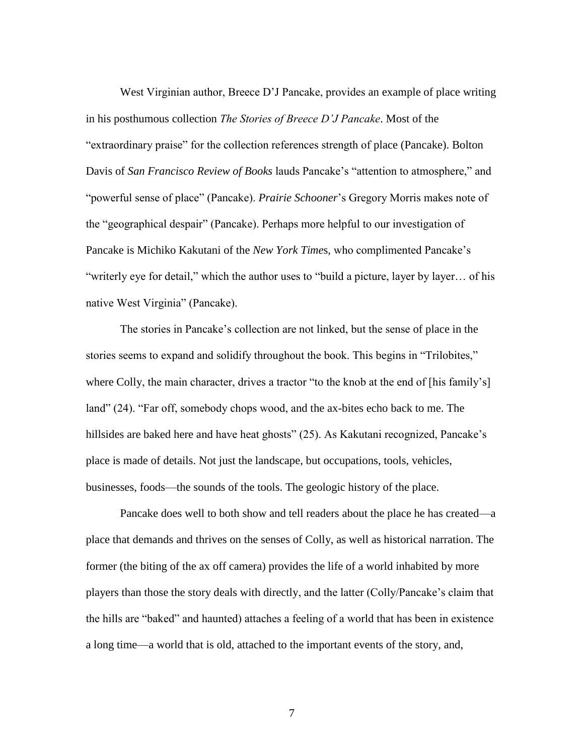West Virginian author, Breece D'J Pancake, provides an example of place writing in his posthumous collection *The Stories of Breece D'J Pancake*. Most of the "extraordinary praise" for the collection references strength of place (Pancake). Bolton Davis of *San Francisco Review of Books* lauds Pancake's "attention to atmosphere," and "powerful sense of place" (Pancake). *Prairie Schooner*'s Gregory Morris makes note of the "geographical despair" (Pancake). Perhaps more helpful to our investigation of Pancake is Michiko Kakutani of the *New York Time*s*,* who complimented Pancake's "writerly eye for detail," which the author uses to "build a picture, layer by layer… of his native West Virginia" (Pancake).

The stories in Pancake's collection are not linked, but the sense of place in the stories seems to expand and solidify throughout the book. This begins in "Trilobites," where Colly, the main character, drives a tractor "to the knob at the end of [his family's] land" (24). "Far off, somebody chops wood, and the ax-bites echo back to me. The hillsides are baked here and have heat ghosts" (25). As Kakutani recognized, Pancake's place is made of details. Not just the landscape, but occupations, tools, vehicles, businesses, foods—the sounds of the tools. The geologic history of the place.

Pancake does well to both show and tell readers about the place he has created—a place that demands and thrives on the senses of Colly, as well as historical narration. The former (the biting of the ax off camera) provides the life of a world inhabited by more players than those the story deals with directly, and the latter (Colly/Pancake's claim that the hills are "baked" and haunted) attaches a feeling of a world that has been in existence a long time—a world that is old, attached to the important events of the story, and,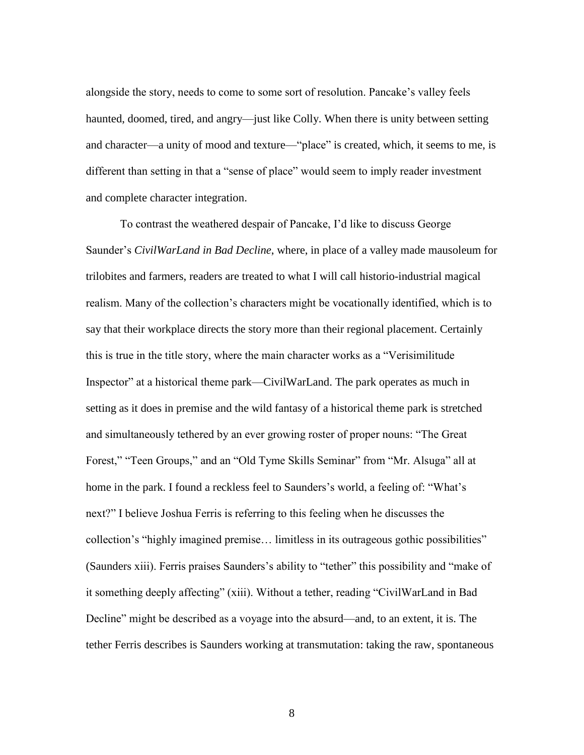alongside the story, needs to come to some sort of resolution. Pancake's valley feels haunted, doomed, tired, and angry—just like Colly. When there is unity between setting and character—a unity of mood and texture—"place" is created, which, it seems to me, is different than setting in that a "sense of place" would seem to imply reader investment and complete character integration.

To contrast the weathered despair of Pancake, I'd like to discuss George Saunder's *CivilWarLand in Bad Decline*, where, in place of a valley made mausoleum for trilobites and farmers, readers are treated to what I will call historio-industrial magical realism. Many of the collection's characters might be vocationally identified, which is to say that their workplace directs the story more than their regional placement. Certainly this is true in the title story, where the main character works as a "Verisimilitude Inspector" at a historical theme park—CivilWarLand. The park operates as much in setting as it does in premise and the wild fantasy of a historical theme park is stretched and simultaneously tethered by an ever growing roster of proper nouns: "The Great Forest," "Teen Groups," and an "Old Tyme Skills Seminar" from "Mr. Alsuga" all at home in the park. I found a reckless feel to Saunders's world, a feeling of: "What's next?" I believe Joshua Ferris is referring to this feeling when he discusses the collection's "highly imagined premise… limitless in its outrageous gothic possibilities" (Saunders xiii). Ferris praises Saunders's ability to "tether" this possibility and "make of it something deeply affecting" (xiii). Without a tether, reading "CivilWarLand in Bad Decline" might be described as a voyage into the absurd—and, to an extent, it is. The tether Ferris describes is Saunders working at transmutation: taking the raw, spontaneous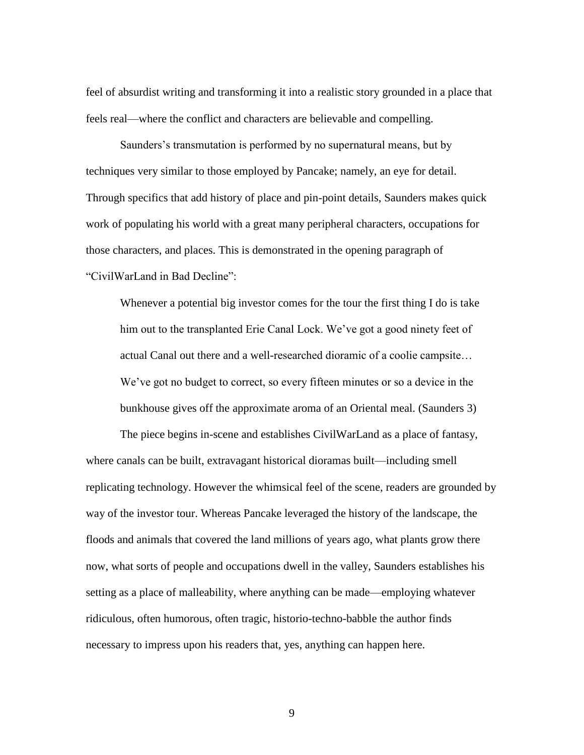feel of absurdist writing and transforming it into a realistic story grounded in a place that feels real—where the conflict and characters are believable and compelling.

Saunders's transmutation is performed by no supernatural means, but by techniques very similar to those employed by Pancake; namely, an eye for detail. Through specifics that add history of place and pin-point details, Saunders makes quick work of populating his world with a great many peripheral characters, occupations for those characters, and places. This is demonstrated in the opening paragraph of "CivilWarLand in Bad Decline":

Whenever a potential big investor comes for the tour the first thing I do is take him out to the transplanted Erie Canal Lock. We've got a good ninety feet of actual Canal out there and a well-researched dioramic of a coolie campsite… We've got no budget to correct, so every fifteen minutes or so a device in the bunkhouse gives off the approximate aroma of an Oriental meal. (Saunders 3)

The piece begins in-scene and establishes CivilWarLand as a place of fantasy, where canals can be built, extravagant historical dioramas built—including smell replicating technology. However the whimsical feel of the scene, readers are grounded by way of the investor tour. Whereas Pancake leveraged the history of the landscape, the floods and animals that covered the land millions of years ago, what plants grow there now, what sorts of people and occupations dwell in the valley, Saunders establishes his setting as a place of malleability, where anything can be made—employing whatever ridiculous, often humorous, often tragic, historio-techno-babble the author finds necessary to impress upon his readers that, yes, anything can happen here.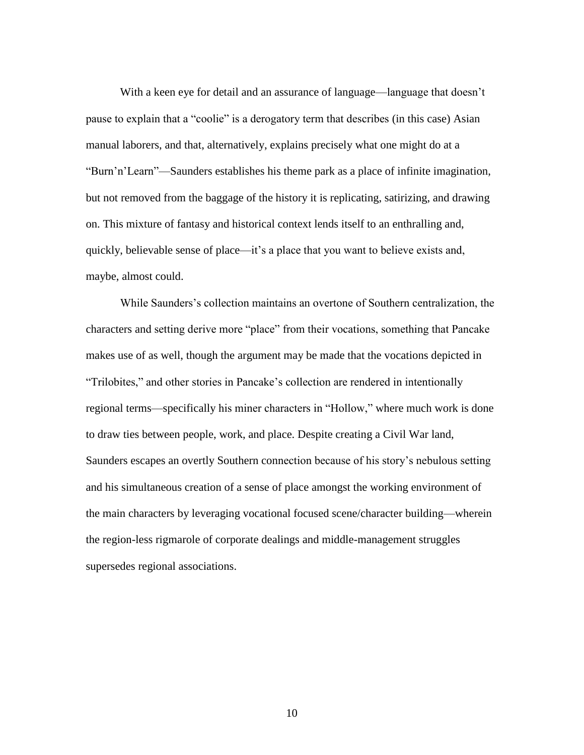With a keen eye for detail and an assurance of language—language that doesn't pause to explain that a "coolie" is a derogatory term that describes (in this case) Asian manual laborers, and that, alternatively, explains precisely what one might do at a "Burn'n'Learn"—Saunders establishes his theme park as a place of infinite imagination, but not removed from the baggage of the history it is replicating, satirizing, and drawing on. This mixture of fantasy and historical context lends itself to an enthralling and, quickly, believable sense of place—it's a place that you want to believe exists and, maybe, almost could.

While Saunders's collection maintains an overtone of Southern centralization, the characters and setting derive more "place" from their vocations, something that Pancake makes use of as well, though the argument may be made that the vocations depicted in "Trilobites," and other stories in Pancake's collection are rendered in intentionally regional terms—specifically his miner characters in "Hollow," where much work is done to draw ties between people, work, and place. Despite creating a Civil War land, Saunders escapes an overtly Southern connection because of his story's nebulous setting and his simultaneous creation of a sense of place amongst the working environment of the main characters by leveraging vocational focused scene/character building—wherein the region-less rigmarole of corporate dealings and middle-management struggles supersedes regional associations.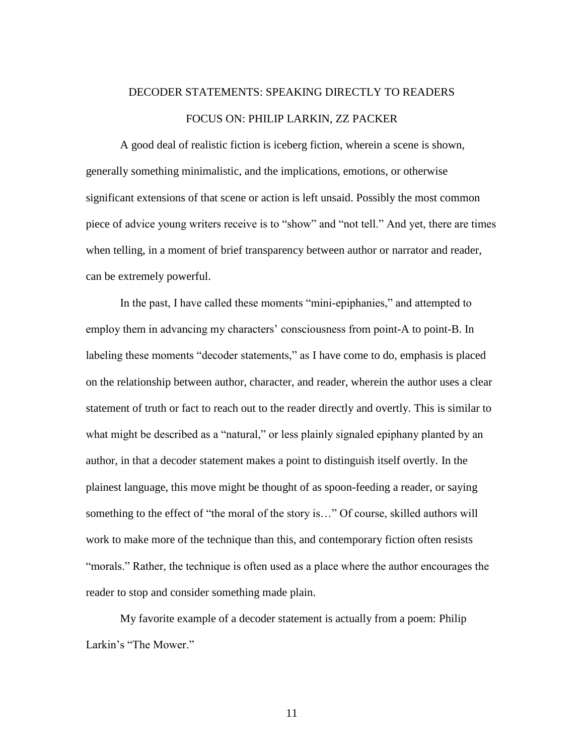# DECODER STATEMENTS: SPEAKING DIRECTLY TO READERS FOCUS ON: PHILIP LARKIN, ZZ PACKER

A good deal of realistic fiction is iceberg fiction, wherein a scene is shown, generally something minimalistic, and the implications, emotions, or otherwise significant extensions of that scene or action is left unsaid. Possibly the most common piece of advice young writers receive is to "show" and "not tell." And yet, there are times when telling, in a moment of brief transparency between author or narrator and reader, can be extremely powerful.

In the past, I have called these moments "mini-epiphanies," and attempted to employ them in advancing my characters' consciousness from point-A to point-B. In labeling these moments "decoder statements," as I have come to do, emphasis is placed on the relationship between author, character, and reader, wherein the author uses a clear statement of truth or fact to reach out to the reader directly and overtly. This is similar to what might be described as a "natural," or less plainly signaled epiphany planted by an author, in that a decoder statement makes a point to distinguish itself overtly. In the plainest language, this move might be thought of as spoon-feeding a reader, or saying something to the effect of "the moral of the story is..." Of course, skilled authors will work to make more of the technique than this, and contemporary fiction often resists "morals." Rather, the technique is often used as a place where the author encourages the reader to stop and consider something made plain.

My favorite example of a decoder statement is actually from a poem: Philip Larkin's "The Mower."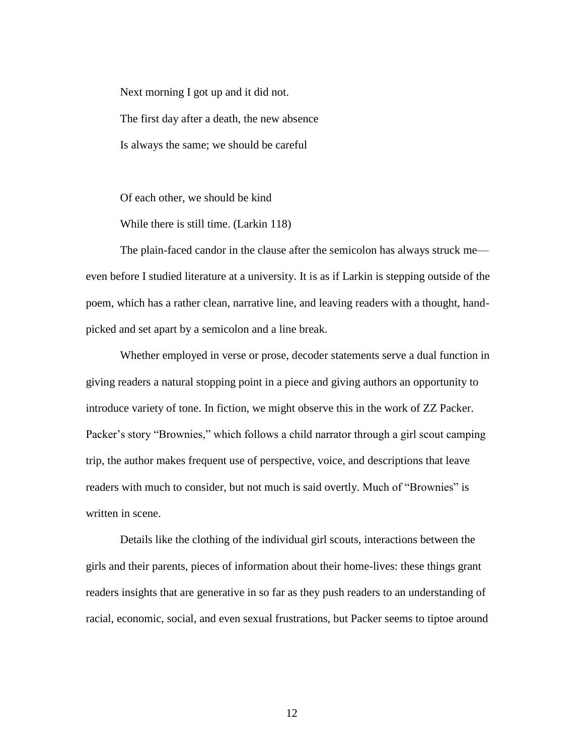Next morning I got up and it did not. The first day after a death, the new absence Is always the same; we should be careful

Of each other, we should be kind

While there is still time. (Larkin 118)

The plain-faced candor in the clause after the semicolon has always struck me even before I studied literature at a university. It is as if Larkin is stepping outside of the poem, which has a rather clean, narrative line, and leaving readers with a thought, handpicked and set apart by a semicolon and a line break.

Whether employed in verse or prose, decoder statements serve a dual function in giving readers a natural stopping point in a piece and giving authors an opportunity to introduce variety of tone. In fiction, we might observe this in the work of ZZ Packer. Packer's story "Brownies," which follows a child narrator through a girl scout camping trip, the author makes frequent use of perspective, voice, and descriptions that leave readers with much to consider, but not much is said overtly. Much of "Brownies" is written in scene.

Details like the clothing of the individual girl scouts, interactions between the girls and their parents, pieces of information about their home-lives: these things grant readers insights that are generative in so far as they push readers to an understanding of racial, economic, social, and even sexual frustrations, but Packer seems to tiptoe around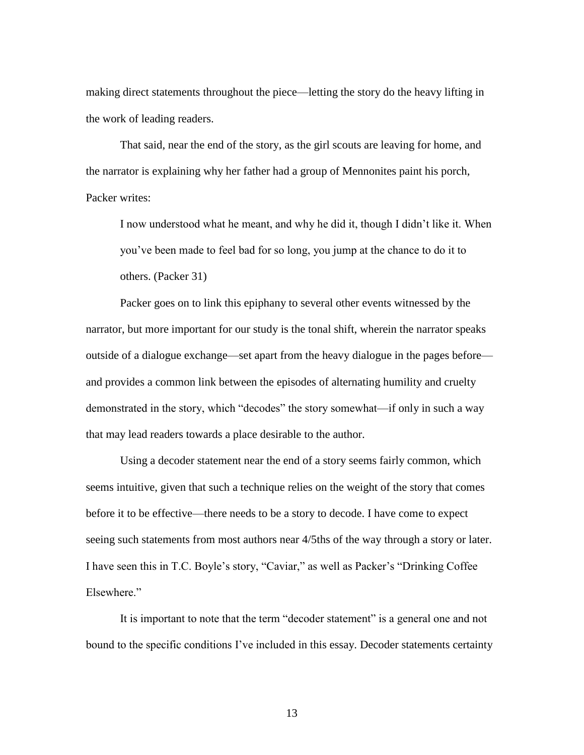making direct statements throughout the piece—letting the story do the heavy lifting in the work of leading readers.

That said, near the end of the story, as the girl scouts are leaving for home, and the narrator is explaining why her father had a group of Mennonites paint his porch, Packer writes:

I now understood what he meant, and why he did it, though I didn't like it. When you've been made to feel bad for so long, you jump at the chance to do it to others. (Packer 31)

Packer goes on to link this epiphany to several other events witnessed by the narrator, but more important for our study is the tonal shift, wherein the narrator speaks outside of a dialogue exchange—set apart from the heavy dialogue in the pages before and provides a common link between the episodes of alternating humility and cruelty demonstrated in the story, which "decodes" the story somewhat—if only in such a way that may lead readers towards a place desirable to the author.

Using a decoder statement near the end of a story seems fairly common, which seems intuitive, given that such a technique relies on the weight of the story that comes before it to be effective—there needs to be a story to decode. I have come to expect seeing such statements from most authors near 4/5ths of the way through a story or later. I have seen this in T.C. Boyle's story, "Caviar," as well as Packer's "Drinking Coffee Elsewhere."

It is important to note that the term "decoder statement" is a general one and not bound to the specific conditions I've included in this essay. Decoder statements certainty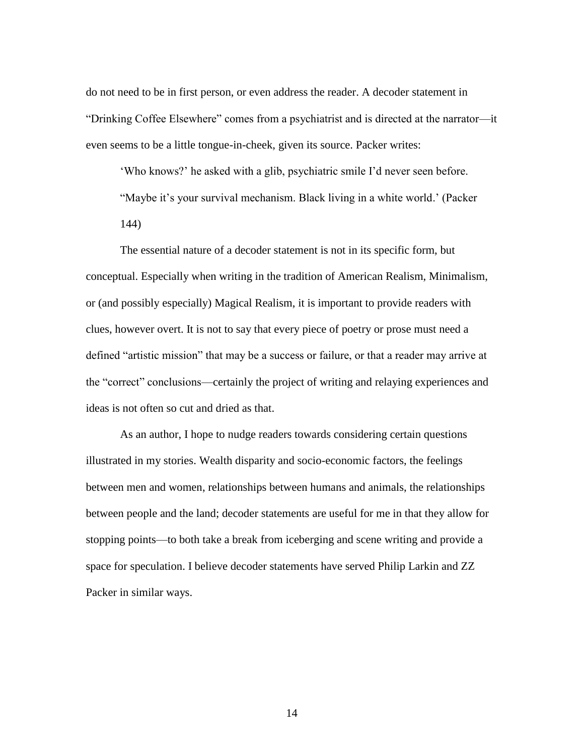do not need to be in first person, or even address the reader. A decoder statement in "Drinking Coffee Elsewhere" comes from a psychiatrist and is directed at the narrator—it even seems to be a little tongue-in-cheek, given its source. Packer writes:

'Who knows?' he asked with a glib, psychiatric smile I'd never seen before. "Maybe it's your survival mechanism. Black living in a white world.' (Packer

144)

The essential nature of a decoder statement is not in its specific form, but conceptual. Especially when writing in the tradition of American Realism, Minimalism, or (and possibly especially) Magical Realism, it is important to provide readers with clues, however overt. It is not to say that every piece of poetry or prose must need a defined "artistic mission" that may be a success or failure, or that a reader may arrive at the "correct" conclusions—certainly the project of writing and relaying experiences and ideas is not often so cut and dried as that.

As an author, I hope to nudge readers towards considering certain questions illustrated in my stories. Wealth disparity and socio-economic factors, the feelings between men and women, relationships between humans and animals, the relationships between people and the land; decoder statements are useful for me in that they allow for stopping points—to both take a break from iceberging and scene writing and provide a space for speculation. I believe decoder statements have served Philip Larkin and ZZ Packer in similar ways.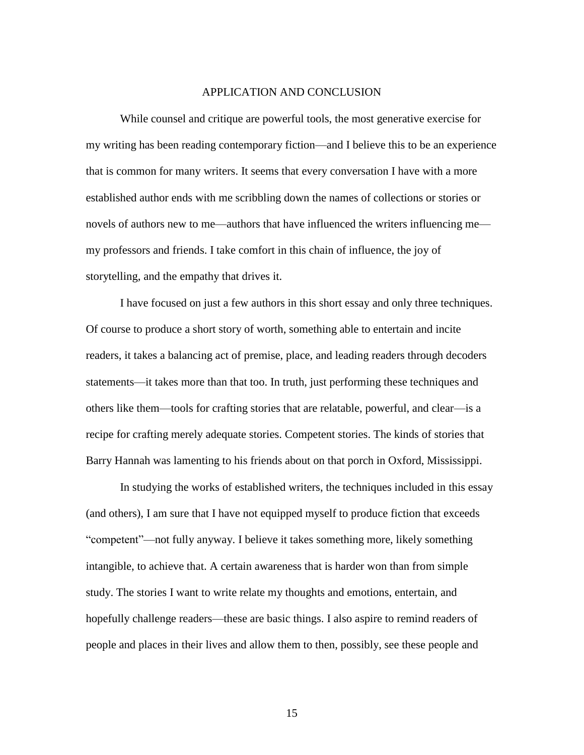### APPLICATION AND CONCLUSION

While counsel and critique are powerful tools, the most generative exercise for my writing has been reading contemporary fiction—and I believe this to be an experience that is common for many writers. It seems that every conversation I have with a more established author ends with me scribbling down the names of collections or stories or novels of authors new to me—authors that have influenced the writers influencing me my professors and friends. I take comfort in this chain of influence, the joy of storytelling, and the empathy that drives it.

I have focused on just a few authors in this short essay and only three techniques. Of course to produce a short story of worth, something able to entertain and incite readers, it takes a balancing act of premise, place, and leading readers through decoders statements—it takes more than that too. In truth, just performing these techniques and others like them—tools for crafting stories that are relatable, powerful, and clear—is a recipe for crafting merely adequate stories. Competent stories. The kinds of stories that Barry Hannah was lamenting to his friends about on that porch in Oxford, Mississippi.

In studying the works of established writers, the techniques included in this essay (and others), I am sure that I have not equipped myself to produce fiction that exceeds "competent"—not fully anyway. I believe it takes something more, likely something intangible, to achieve that. A certain awareness that is harder won than from simple study. The stories I want to write relate my thoughts and emotions, entertain, and hopefully challenge readers—these are basic things. I also aspire to remind readers of people and places in their lives and allow them to then, possibly, see these people and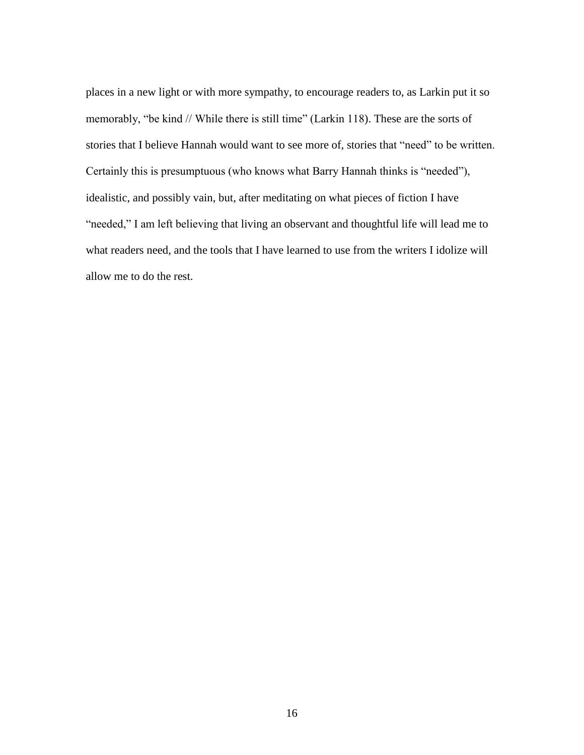places in a new light or with more sympathy, to encourage readers to, as Larkin put it so memorably, "be kind // While there is still time" (Larkin 118). These are the sorts of stories that I believe Hannah would want to see more of, stories that "need" to be written. Certainly this is presumptuous (who knows what Barry Hannah thinks is "needed"), idealistic, and possibly vain, but, after meditating on what pieces of fiction I have "needed," I am left believing that living an observant and thoughtful life will lead me to what readers need, and the tools that I have learned to use from the writers I idolize will allow me to do the rest.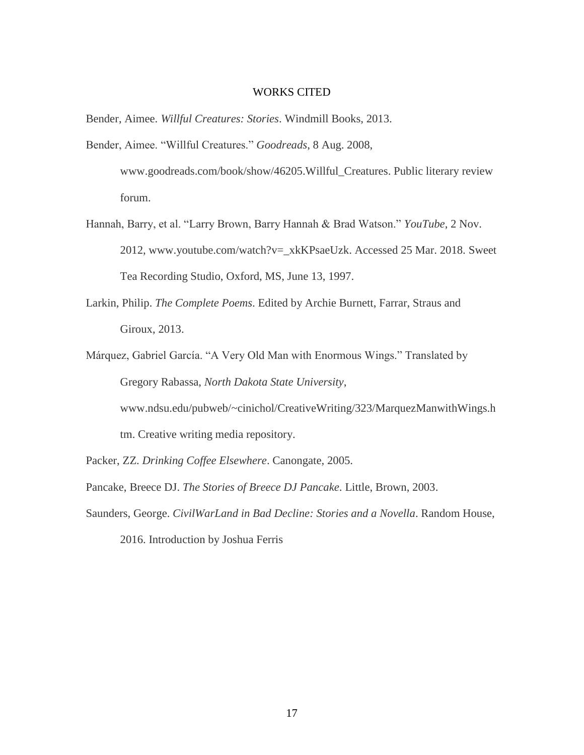## WORKS CITED

Bender, Aimee. *Willful Creatures: Stories*. Windmill Books, 2013.

- Bender, Aimee. "Willful Creatures." *Goodreads*, 8 Aug. 2008, www.goodreads.com/book/show/46205.Willful\_Creatures. Public literary review forum.
- Hannah, Barry, et al. "Larry Brown, Barry Hannah & Brad Watson." *YouTube*, 2 Nov. 2012, www.youtube.com/watch?v=\_xkKPsaeUzk. Accessed 25 Mar. 2018. Sweet Tea Recording Studio, Oxford, MS, June 13, 1997.
- Larkin, Philip. *The Complete Poems*. Edited by Archie Burnett, Farrar, Straus and Giroux, 2013.
- Márquez, Gabriel García. "A Very Old Man with Enormous Wings." Translated by Gregory Rabassa, *North Dakota State University*, www.ndsu.edu/pubweb/~cinichol/CreativeWriting/323/MarquezManwithWings.h tm. Creative writing media repository.
- Packer, ZZ. *Drinking Coffee Elsewhere*. Canongate, 2005.
- Pancake, Breece DJ. *The Stories of Breece DJ Pancake*. Little, Brown, 2003.
- Saunders, George. *CivilWarLand in Bad Decline: Stories and a Novella*. Random House, 2016. Introduction by Joshua Ferris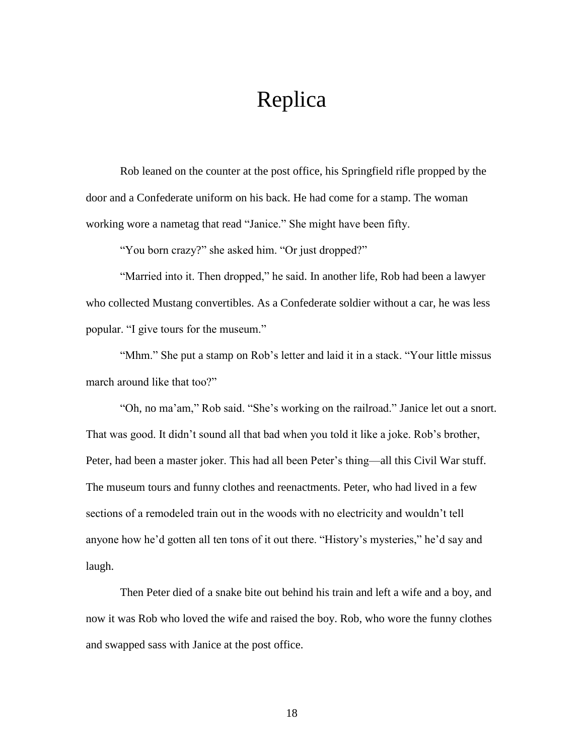# Replica

Rob leaned on the counter at the post office, his Springfield rifle propped by the door and a Confederate uniform on his back. He had come for a stamp. The woman working wore a nametag that read "Janice." She might have been fifty.

"You born crazy?" she asked him. "Or just dropped?"

"Married into it. Then dropped," he said. In another life, Rob had been a lawyer who collected Mustang convertibles. As a Confederate soldier without a car, he was less popular. "I give tours for the museum."

"Mhm." She put a stamp on Rob's letter and laid it in a stack. "Your little missus march around like that too?"

"Oh, no ma'am," Rob said. "She's working on the railroad." Janice let out a snort. That was good. It didn't sound all that bad when you told it like a joke. Rob's brother, Peter, had been a master joker. This had all been Peter's thing—all this Civil War stuff. The museum tours and funny clothes and reenactments. Peter, who had lived in a few sections of a remodeled train out in the woods with no electricity and wouldn't tell anyone how he'd gotten all ten tons of it out there. "History's mysteries," he'd say and laugh.

Then Peter died of a snake bite out behind his train and left a wife and a boy, and now it was Rob who loved the wife and raised the boy. Rob, who wore the funny clothes and swapped sass with Janice at the post office.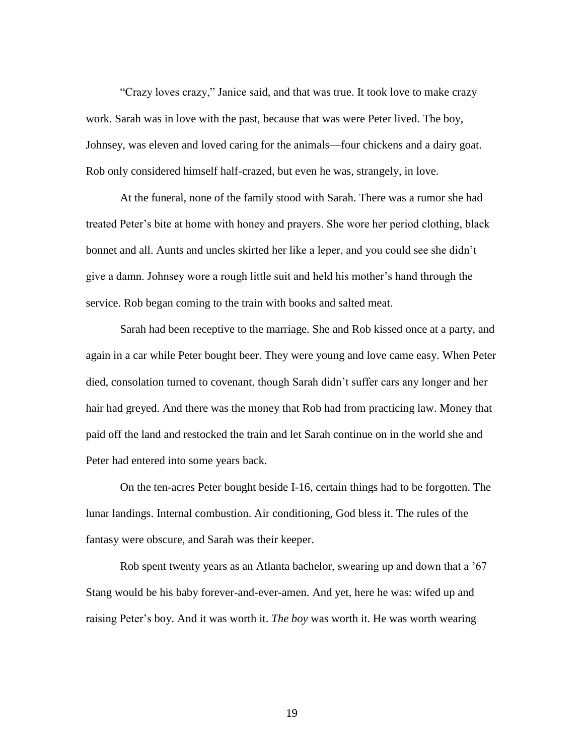"Crazy loves crazy," Janice said, and that was true. It took love to make crazy work. Sarah was in love with the past, because that was were Peter lived. The boy, Johnsey, was eleven and loved caring for the animals—four chickens and a dairy goat. Rob only considered himself half-crazed, but even he was, strangely, in love.

At the funeral, none of the family stood with Sarah. There was a rumor she had treated Peter's bite at home with honey and prayers. She wore her period clothing, black bonnet and all. Aunts and uncles skirted her like a leper, and you could see she didn't give a damn. Johnsey wore a rough little suit and held his mother's hand through the service. Rob began coming to the train with books and salted meat.

Sarah had been receptive to the marriage. She and Rob kissed once at a party, and again in a car while Peter bought beer. They were young and love came easy. When Peter died, consolation turned to covenant, though Sarah didn't suffer cars any longer and her hair had greyed. And there was the money that Rob had from practicing law. Money that paid off the land and restocked the train and let Sarah continue on in the world she and Peter had entered into some years back.

On the ten-acres Peter bought beside I-16, certain things had to be forgotten. The lunar landings. Internal combustion. Air conditioning, God bless it. The rules of the fantasy were obscure, and Sarah was their keeper.

Rob spent twenty years as an Atlanta bachelor, swearing up and down that a '67 Stang would be his baby forever-and-ever-amen. And yet, here he was: wifed up and raising Peter's boy. And it was worth it. *The boy* was worth it. He was worth wearing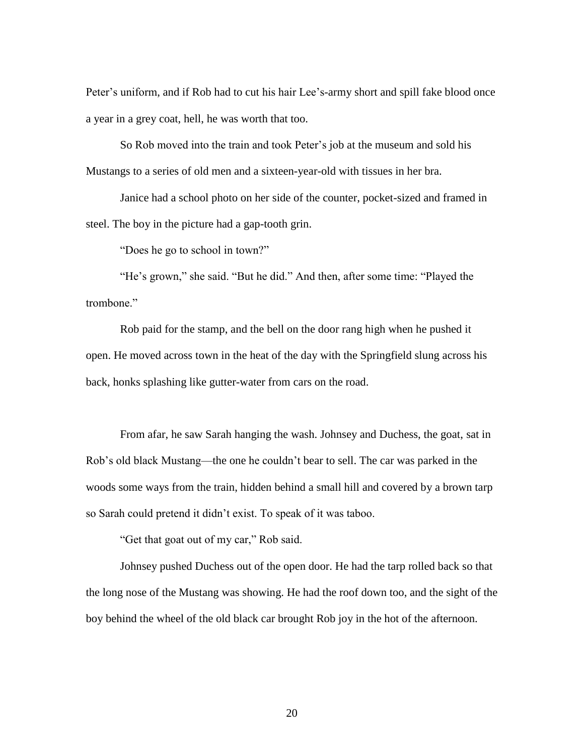Peter's uniform, and if Rob had to cut his hair Lee's-army short and spill fake blood once a year in a grey coat, hell, he was worth that too.

So Rob moved into the train and took Peter's job at the museum and sold his Mustangs to a series of old men and a sixteen-year-old with tissues in her bra.

Janice had a school photo on her side of the counter, pocket-sized and framed in steel. The boy in the picture had a gap-tooth grin.

"Does he go to school in town?"

"He's grown," she said. "But he did." And then, after some time: "Played the trombone."

Rob paid for the stamp, and the bell on the door rang high when he pushed it open. He moved across town in the heat of the day with the Springfield slung across his back, honks splashing like gutter-water from cars on the road.

From afar, he saw Sarah hanging the wash. Johnsey and Duchess, the goat, sat in Rob's old black Mustang—the one he couldn't bear to sell. The car was parked in the woods some ways from the train, hidden behind a small hill and covered by a brown tarp so Sarah could pretend it didn't exist. To speak of it was taboo.

"Get that goat out of my car," Rob said.

Johnsey pushed Duchess out of the open door. He had the tarp rolled back so that the long nose of the Mustang was showing. He had the roof down too, and the sight of the boy behind the wheel of the old black car brought Rob joy in the hot of the afternoon.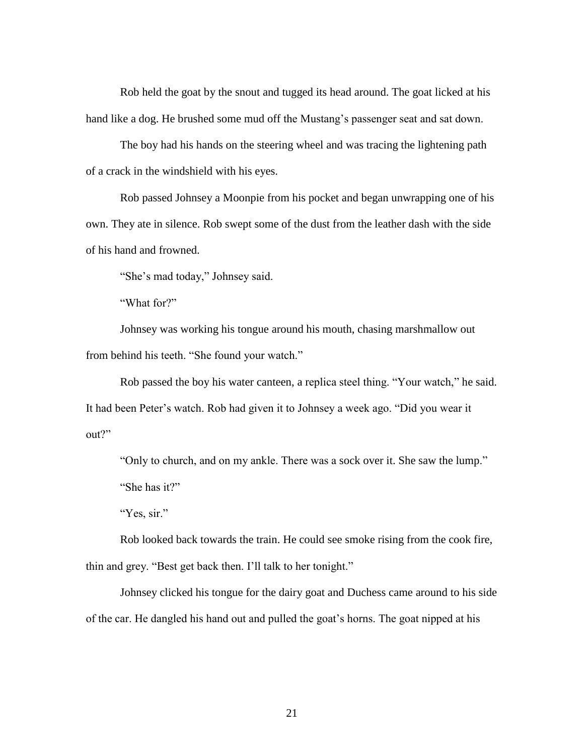Rob held the goat by the snout and tugged its head around. The goat licked at his hand like a dog. He brushed some mud off the Mustang's passenger seat and sat down.

The boy had his hands on the steering wheel and was tracing the lightening path of a crack in the windshield with his eyes.

Rob passed Johnsey a Moonpie from his pocket and began unwrapping one of his own. They ate in silence. Rob swept some of the dust from the leather dash with the side of his hand and frowned.

"She's mad today," Johnsey said.

"What for?"

Johnsey was working his tongue around his mouth, chasing marshmallow out from behind his teeth. "She found your watch."

Rob passed the boy his water canteen, a replica steel thing. "Your watch," he said. It had been Peter's watch. Rob had given it to Johnsey a week ago. "Did you wear it out?"

"Only to church, and on my ankle. There was a sock over it. She saw the lump." "She has it?"

"Yes, sir."

Rob looked back towards the train. He could see smoke rising from the cook fire, thin and grey. "Best get back then. I'll talk to her tonight."

Johnsey clicked his tongue for the dairy goat and Duchess came around to his side of the car. He dangled his hand out and pulled the goat's horns. The goat nipped at his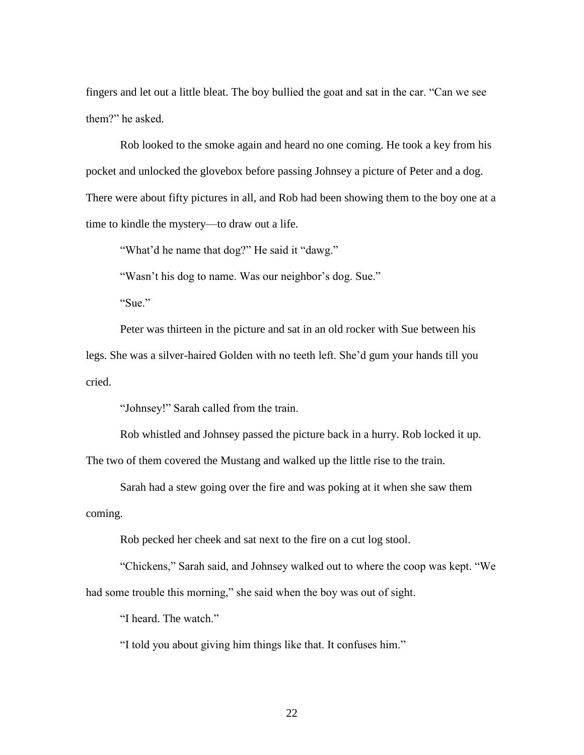fingers and let out a little bleat. The boy bullied the goat and sat in the car. "Can we see them?" he asked.

Rob looked to the smoke again and heard no one coming. He took a key from his pocket and unlocked the glovebox before passing Johnsey a picture of Peter and a dog. There were about fifty pictures in all, and Rob had been showing them to the boy one at a time to kindle the mystery—to draw out a life.

"What'd he name that dog?" He said it "dawg."

"Wasn't his dog to name. Was our neighbor's dog. Sue."

"Sue."

Peter was thirteen in the picture and sat in an old rocker with Sue between his legs. She was a silver-haired Golden with no teeth left. She'd gum your hands till you cried.

"Johnsey!" Sarah called from the train.

Rob whistled and Johnsey passed the picture back in a hurry. Rob locked it up.

The two of them covered the Mustang and walked up the little rise to the train.

Sarah had a stew going over the fire and was poking at it when she saw them coming.

Rob pecked her cheek and sat next to the fire on a cut log stool.

"Chickens," Sarah said, and Johnsey walked out to where the coop was kept. "We had some trouble this morning," she said when the boy was out of sight.

"I heard. The watch."

"I told you about giving him things like that. It confuses him."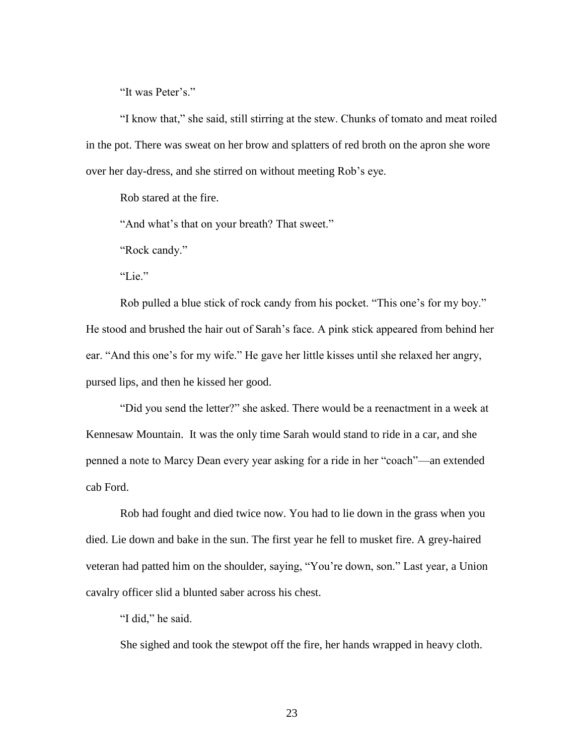"It was Peter's."

"I know that," she said, still stirring at the stew. Chunks of tomato and meat roiled in the pot. There was sweat on her brow and splatters of red broth on the apron she wore over her day-dress, and she stirred on without meeting Rob's eye.

Rob stared at the fire.

"And what's that on your breath? That sweet."

"Rock candy."

"Lie."

Rob pulled a blue stick of rock candy from his pocket. "This one's for my boy." He stood and brushed the hair out of Sarah's face. A pink stick appeared from behind her ear. "And this one's for my wife." He gave her little kisses until she relaxed her angry, pursed lips, and then he kissed her good.

"Did you send the letter?" she asked. There would be a reenactment in a week at Kennesaw Mountain. It was the only time Sarah would stand to ride in a car, and she penned a note to Marcy Dean every year asking for a ride in her "coach"—an extended cab Ford.

Rob had fought and died twice now. You had to lie down in the grass when you died. Lie down and bake in the sun. The first year he fell to musket fire. A grey-haired veteran had patted him on the shoulder, saying, "You're down, son." Last year, a Union cavalry officer slid a blunted saber across his chest.

"I did," he said.

She sighed and took the stewpot off the fire, her hands wrapped in heavy cloth.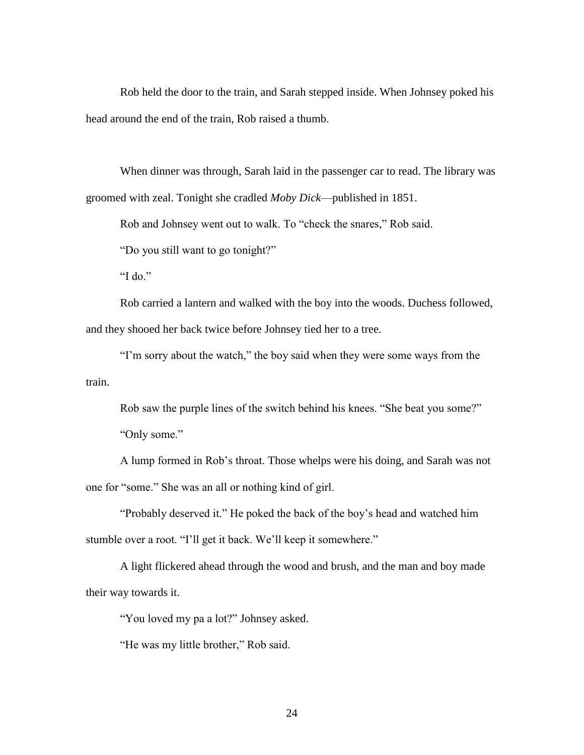Rob held the door to the train, and Sarah stepped inside. When Johnsey poked his head around the end of the train, Rob raised a thumb.

When dinner was through, Sarah laid in the passenger car to read. The library was groomed with zeal. Tonight she cradled *Moby Dick*—published in 1851.

Rob and Johnsey went out to walk. To "check the snares," Rob said.

"Do you still want to go tonight?"

"I do."

Rob carried a lantern and walked with the boy into the woods. Duchess followed, and they shooed her back twice before Johnsey tied her to a tree.

"I'm sorry about the watch," the boy said when they were some ways from the train.

Rob saw the purple lines of the switch behind his knees. "She beat you some?" "Only some."

A lump formed in Rob's throat. Those whelps were his doing, and Sarah was not one for "some." She was an all or nothing kind of girl.

"Probably deserved it." He poked the back of the boy's head and watched him stumble over a root. "I'll get it back. We'll keep it somewhere."

A light flickered ahead through the wood and brush, and the man and boy made their way towards it.

"You loved my pa a lot?" Johnsey asked.

"He was my little brother," Rob said.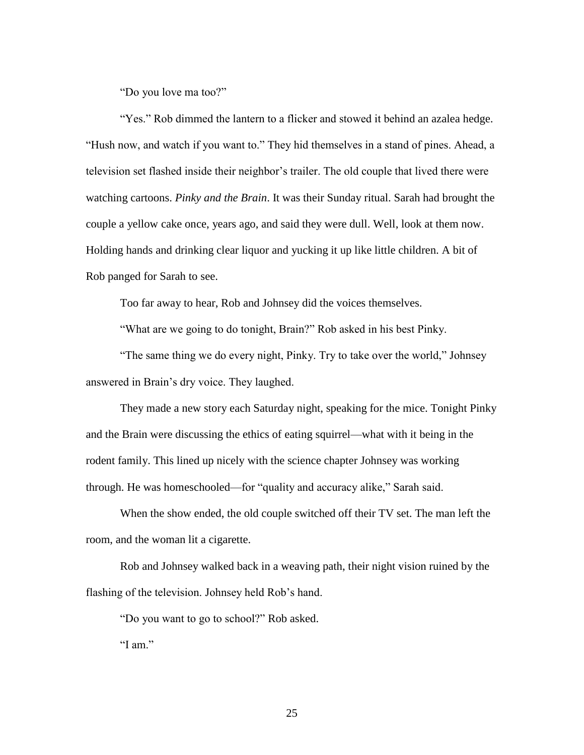"Do you love ma too?"

"Yes." Rob dimmed the lantern to a flicker and stowed it behind an azalea hedge. "Hush now, and watch if you want to." They hid themselves in a stand of pines. Ahead, a television set flashed inside their neighbor's trailer. The old couple that lived there were watching cartoons. *Pinky and the Brain*. It was their Sunday ritual. Sarah had brought the couple a yellow cake once, years ago, and said they were dull. Well, look at them now. Holding hands and drinking clear liquor and yucking it up like little children. A bit of Rob panged for Sarah to see.

Too far away to hear, Rob and Johnsey did the voices themselves.

"What are we going to do tonight, Brain?" Rob asked in his best Pinky.

"The same thing we do every night, Pinky. Try to take over the world," Johnsey answered in Brain's dry voice. They laughed.

They made a new story each Saturday night, speaking for the mice. Tonight Pinky and the Brain were discussing the ethics of eating squirrel—what with it being in the rodent family. This lined up nicely with the science chapter Johnsey was working through. He was homeschooled—for "quality and accuracy alike," Sarah said.

When the show ended, the old couple switched off their TV set. The man left the room, and the woman lit a cigarette.

Rob and Johnsey walked back in a weaving path, their night vision ruined by the flashing of the television. Johnsey held Rob's hand.

"Do you want to go to school?" Rob asked.

"I am."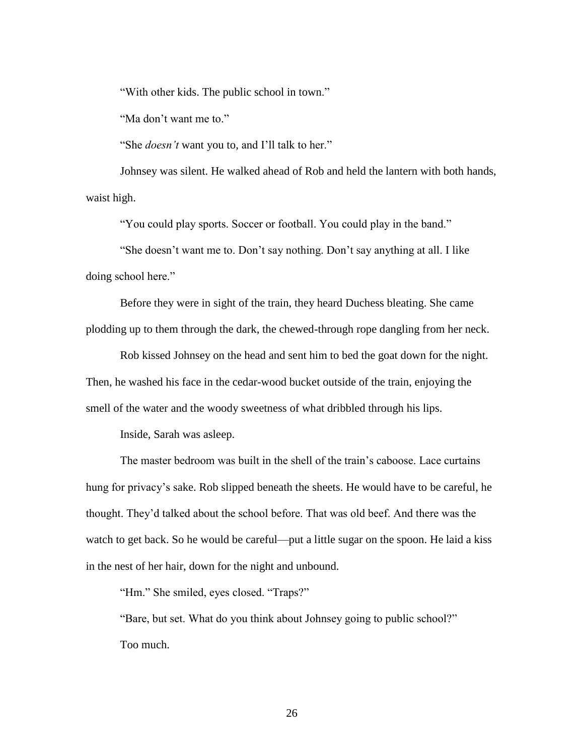"With other kids. The public school in town."

"Ma don't want me to."

"She *doesn't* want you to, and I'll talk to her."

Johnsey was silent. He walked ahead of Rob and held the lantern with both hands, waist high.

"You could play sports. Soccer or football. You could play in the band."

"She doesn't want me to. Don't say nothing. Don't say anything at all. I like doing school here."

Before they were in sight of the train, they heard Duchess bleating. She came plodding up to them through the dark, the chewed-through rope dangling from her neck.

Rob kissed Johnsey on the head and sent him to bed the goat down for the night. Then, he washed his face in the cedar-wood bucket outside of the train, enjoying the smell of the water and the woody sweetness of what dribbled through his lips.

Inside, Sarah was asleep.

The master bedroom was built in the shell of the train's caboose. Lace curtains hung for privacy's sake. Rob slipped beneath the sheets. He would have to be careful, he thought. They'd talked about the school before. That was old beef. And there was the watch to get back. So he would be careful—put a little sugar on the spoon. He laid a kiss in the nest of her hair, down for the night and unbound.

"Hm." She smiled, eyes closed. "Traps?"

"Bare, but set. What do you think about Johnsey going to public school?" Too much.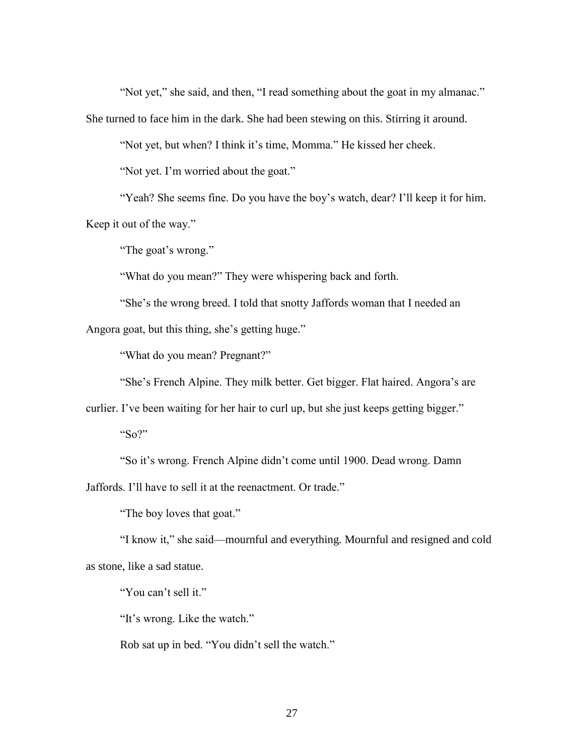"Not yet," she said, and then, "I read something about the goat in my almanac."

She turned to face him in the dark. She had been stewing on this. Stirring it around.

"Not yet, but when? I think it's time, Momma." He kissed her cheek.

"Not yet. I'm worried about the goat."

"Yeah? She seems fine. Do you have the boy's watch, dear? I'll keep it for him. Keep it out of the way."

"The goat's wrong."

"What do you mean?" They were whispering back and forth.

"She's the wrong breed. I told that snotty Jaffords woman that I needed an Angora goat, but this thing, she's getting huge."

"What do you mean? Pregnant?"

"She's French Alpine. They milk better. Get bigger. Flat haired. Angora's are

curlier. I've been waiting for her hair to curl up, but she just keeps getting bigger."

"So?"

"So it's wrong. French Alpine didn't come until 1900. Dead wrong. Damn

Jaffords. I'll have to sell it at the reenactment. Or trade."

"The boy loves that goat."

"I know it," she said—mournful and everything. Mournful and resigned and cold as stone, like a sad statue.

"You can't sell it."

"It's wrong. Like the watch."

Rob sat up in bed. "You didn't sell the watch."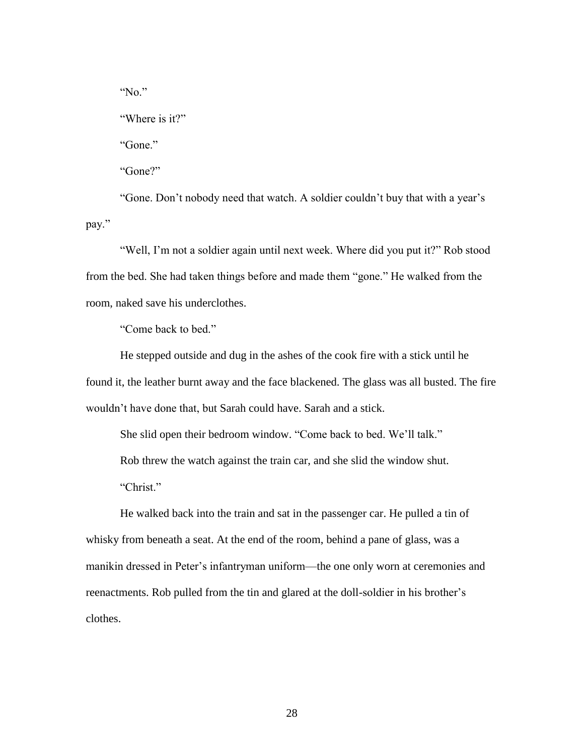"No." "Where is it?" "Gone." "Gone?"

"Gone. Don't nobody need that watch. A soldier couldn't buy that with a year's pay."

"Well, I'm not a soldier again until next week. Where did you put it?" Rob stood from the bed. She had taken things before and made them "gone." He walked from the room, naked save his underclothes.

"Come back to bed."

He stepped outside and dug in the ashes of the cook fire with a stick until he found it, the leather burnt away and the face blackened. The glass was all busted. The fire wouldn't have done that, but Sarah could have. Sarah and a stick.

She slid open their bedroom window. "Come back to bed. We'll talk."

Rob threw the watch against the train car, and she slid the window shut. "Christ."

He walked back into the train and sat in the passenger car. He pulled a tin of whisky from beneath a seat. At the end of the room, behind a pane of glass, was a manikin dressed in Peter's infantryman uniform—the one only worn at ceremonies and reenactments. Rob pulled from the tin and glared at the doll-soldier in his brother's clothes.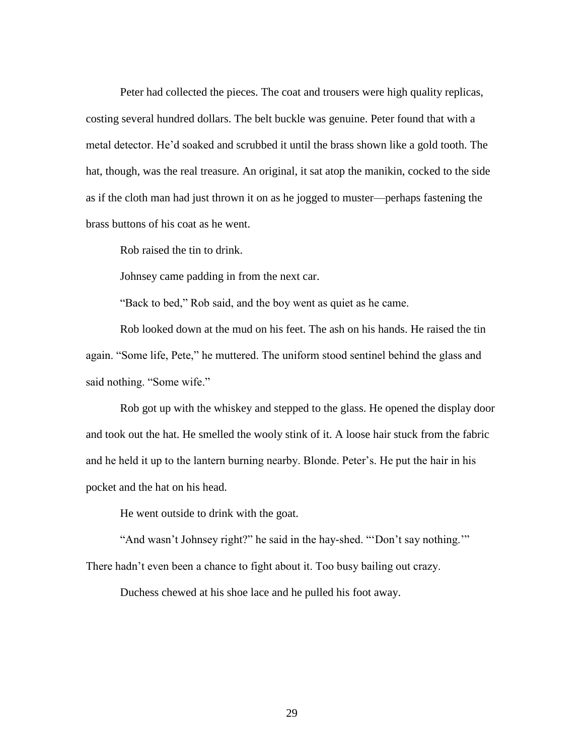Peter had collected the pieces. The coat and trousers were high quality replicas, costing several hundred dollars. The belt buckle was genuine. Peter found that with a metal detector. He'd soaked and scrubbed it until the brass shown like a gold tooth. The hat, though, was the real treasure. An original, it sat atop the manikin, cocked to the side as if the cloth man had just thrown it on as he jogged to muster—perhaps fastening the brass buttons of his coat as he went.

Rob raised the tin to drink.

Johnsey came padding in from the next car.

"Back to bed," Rob said, and the boy went as quiet as he came.

Rob looked down at the mud on his feet. The ash on his hands. He raised the tin again. "Some life, Pete," he muttered. The uniform stood sentinel behind the glass and said nothing. "Some wife."

Rob got up with the whiskey and stepped to the glass. He opened the display door and took out the hat. He smelled the wooly stink of it. A loose hair stuck from the fabric and he held it up to the lantern burning nearby. Blonde. Peter's. He put the hair in his pocket and the hat on his head.

He went outside to drink with the goat.

"And wasn't Johnsey right?" he said in the hay-shed. ""Don't say nothing."" There hadn't even been a chance to fight about it. Too busy bailing out crazy.

Duchess chewed at his shoe lace and he pulled his foot away.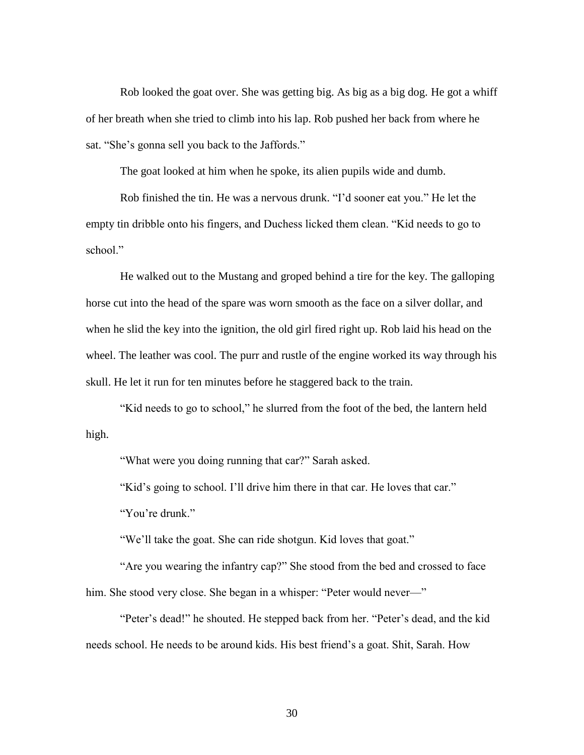Rob looked the goat over. She was getting big. As big as a big dog. He got a whiff of her breath when she tried to climb into his lap. Rob pushed her back from where he sat. "She's gonna sell you back to the Jaffords."

The goat looked at him when he spoke, its alien pupils wide and dumb.

Rob finished the tin. He was a nervous drunk. "I'd sooner eat you." He let the empty tin dribble onto his fingers, and Duchess licked them clean. "Kid needs to go to school."

He walked out to the Mustang and groped behind a tire for the key. The galloping horse cut into the head of the spare was worn smooth as the face on a silver dollar, and when he slid the key into the ignition, the old girl fired right up. Rob laid his head on the wheel. The leather was cool. The purr and rustle of the engine worked its way through his skull. He let it run for ten minutes before he staggered back to the train.

"Kid needs to go to school," he slurred from the foot of the bed, the lantern held high.

"What were you doing running that car?" Sarah asked.

"Kid's going to school. I'll drive him there in that car. He loves that car."

"You're drunk."

"We'll take the goat. She can ride shotgun. Kid loves that goat."

"Are you wearing the infantry cap?" She stood from the bed and crossed to face him. She stood very close. She began in a whisper: "Peter would never-"

"Peter's dead!" he shouted. He stepped back from her. "Peter's dead, and the kid needs school. He needs to be around kids. His best friend's a goat. Shit, Sarah. How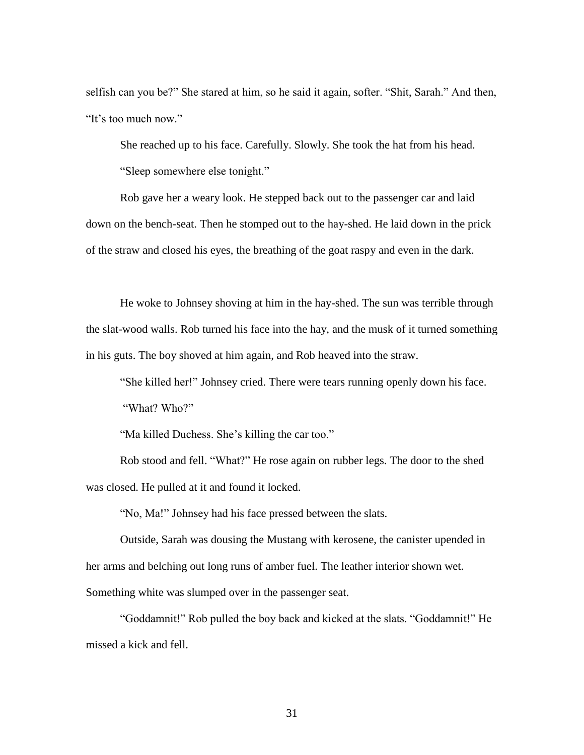selfish can you be?" She stared at him, so he said it again, softer. "Shit, Sarah." And then, "It's too much now."

She reached up to his face. Carefully. Slowly. She took the hat from his head. "Sleep somewhere else tonight."

Rob gave her a weary look. He stepped back out to the passenger car and laid down on the bench-seat. Then he stomped out to the hay-shed. He laid down in the prick of the straw and closed his eyes, the breathing of the goat raspy and even in the dark.

He woke to Johnsey shoving at him in the hay-shed. The sun was terrible through the slat-wood walls. Rob turned his face into the hay, and the musk of it turned something in his guts. The boy shoved at him again, and Rob heaved into the straw.

"She killed her!" Johnsey cried. There were tears running openly down his face.

"What? Who?"

"Ma killed Duchess. She's killing the car too."

Rob stood and fell. "What?" He rose again on rubber legs. The door to the shed was closed. He pulled at it and found it locked.

"No, Ma!" Johnsey had his face pressed between the slats.

Outside, Sarah was dousing the Mustang with kerosene, the canister upended in her arms and belching out long runs of amber fuel. The leather interior shown wet. Something white was slumped over in the passenger seat.

"Goddamnit!" Rob pulled the boy back and kicked at the slats. "Goddamnit!" He missed a kick and fell.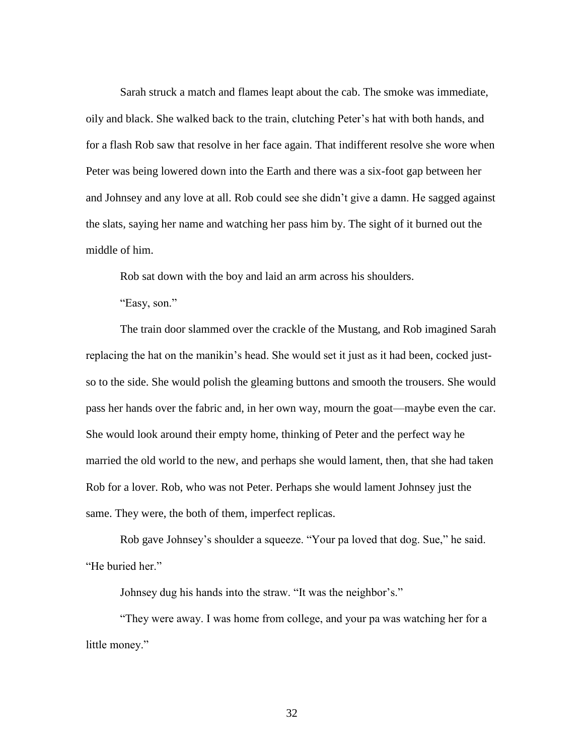Sarah struck a match and flames leapt about the cab. The smoke was immediate, oily and black. She walked back to the train, clutching Peter's hat with both hands, and for a flash Rob saw that resolve in her face again. That indifferent resolve she wore when Peter was being lowered down into the Earth and there was a six-foot gap between her and Johnsey and any love at all. Rob could see she didn't give a damn. He sagged against the slats, saying her name and watching her pass him by. The sight of it burned out the middle of him.

Rob sat down with the boy and laid an arm across his shoulders.

"Easy, son."

The train door slammed over the crackle of the Mustang, and Rob imagined Sarah replacing the hat on the manikin's head. She would set it just as it had been, cocked justso to the side. She would polish the gleaming buttons and smooth the trousers. She would pass her hands over the fabric and, in her own way, mourn the goat—maybe even the car. She would look around their empty home, thinking of Peter and the perfect way he married the old world to the new, and perhaps she would lament, then, that she had taken Rob for a lover. Rob, who was not Peter. Perhaps she would lament Johnsey just the same. They were, the both of them, imperfect replicas.

Rob gave Johnsey's shoulder a squeeze. "Your pa loved that dog. Sue," he said. "He buried her."

Johnsey dug his hands into the straw. "It was the neighbor's."

"They were away. I was home from college, and your pa was watching her for a little money."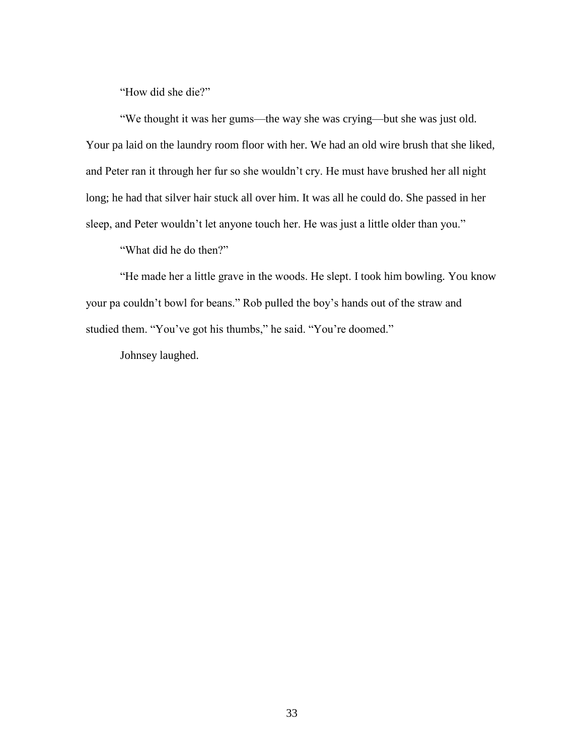"How did she die?"

"We thought it was her gums—the way she was crying—but she was just old. Your pa laid on the laundry room floor with her. We had an old wire brush that she liked, and Peter ran it through her fur so she wouldn't cry. He must have brushed her all night long; he had that silver hair stuck all over him. It was all he could do. She passed in her sleep, and Peter wouldn't let anyone touch her. He was just a little older than you."

"What did he do then?"

"He made her a little grave in the woods. He slept. I took him bowling. You know your pa couldn't bowl for beans." Rob pulled the boy's hands out of the straw and studied them. "You've got his thumbs," he said. "You're doomed."

Johnsey laughed.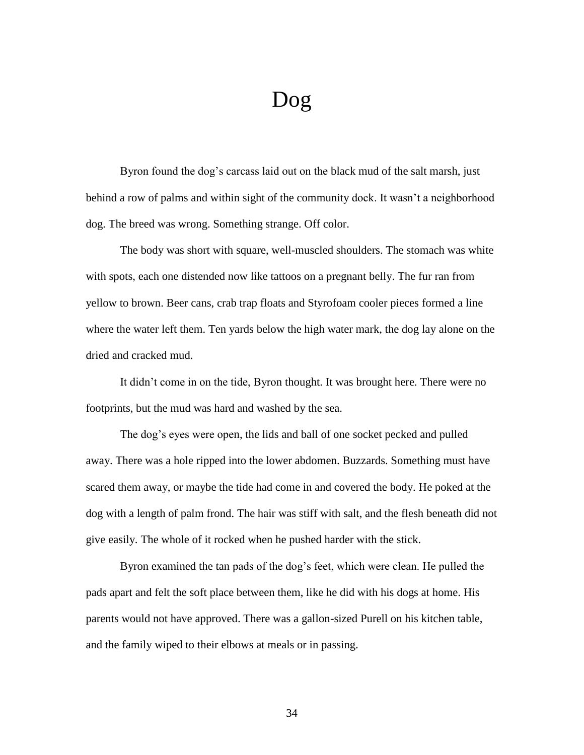## Dog

Byron found the dog's carcass laid out on the black mud of the salt marsh, just behind a row of palms and within sight of the community dock. It wasn't a neighborhood dog. The breed was wrong. Something strange. Off color.

The body was short with square, well-muscled shoulders. The stomach was white with spots, each one distended now like tattoos on a pregnant belly. The fur ran from yellow to brown. Beer cans, crab trap floats and Styrofoam cooler pieces formed a line where the water left them. Ten yards below the high water mark, the dog lay alone on the dried and cracked mud.

It didn't come in on the tide, Byron thought. It was brought here. There were no footprints, but the mud was hard and washed by the sea.

The dog's eyes were open, the lids and ball of one socket pecked and pulled away. There was a hole ripped into the lower abdomen. Buzzards. Something must have scared them away, or maybe the tide had come in and covered the body. He poked at the dog with a length of palm frond. The hair was stiff with salt, and the flesh beneath did not give easily. The whole of it rocked when he pushed harder with the stick.

Byron examined the tan pads of the dog's feet, which were clean. He pulled the pads apart and felt the soft place between them, like he did with his dogs at home. His parents would not have approved. There was a gallon-sized Purell on his kitchen table, and the family wiped to their elbows at meals or in passing.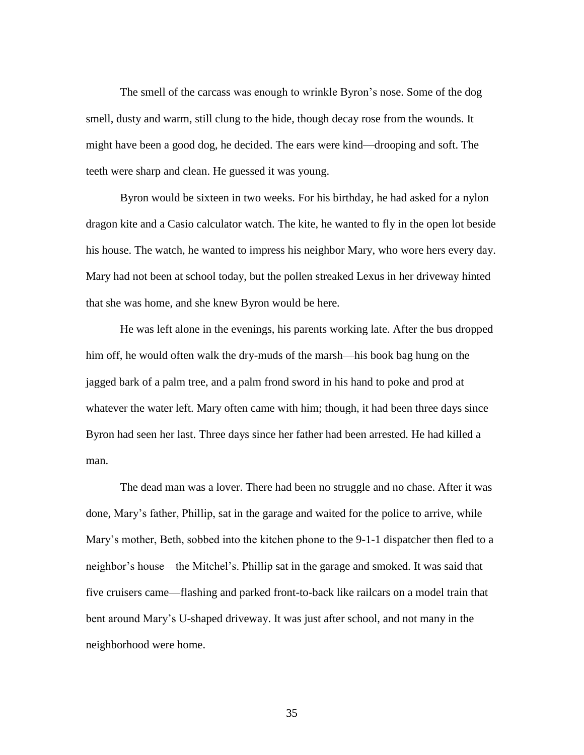The smell of the carcass was enough to wrinkle Byron's nose. Some of the dog smell, dusty and warm, still clung to the hide, though decay rose from the wounds. It might have been a good dog, he decided. The ears were kind—drooping and soft. The teeth were sharp and clean. He guessed it was young.

Byron would be sixteen in two weeks. For his birthday, he had asked for a nylon dragon kite and a Casio calculator watch. The kite, he wanted to fly in the open lot beside his house. The watch, he wanted to impress his neighbor Mary, who wore hers every day. Mary had not been at school today, but the pollen streaked Lexus in her driveway hinted that she was home, and she knew Byron would be here.

He was left alone in the evenings, his parents working late. After the bus dropped him off, he would often walk the dry-muds of the marsh—his book bag hung on the jagged bark of a palm tree, and a palm frond sword in his hand to poke and prod at whatever the water left. Mary often came with him; though, it had been three days since Byron had seen her last. Three days since her father had been arrested. He had killed a man.

The dead man was a lover. There had been no struggle and no chase. After it was done, Mary's father, Phillip, sat in the garage and waited for the police to arrive, while Mary's mother, Beth, sobbed into the kitchen phone to the 9-1-1 dispatcher then fled to a neighbor's house—the Mitchel's. Phillip sat in the garage and smoked. It was said that five cruisers came—flashing and parked front-to-back like railcars on a model train that bent around Mary's U-shaped driveway. It was just after school, and not many in the neighborhood were home.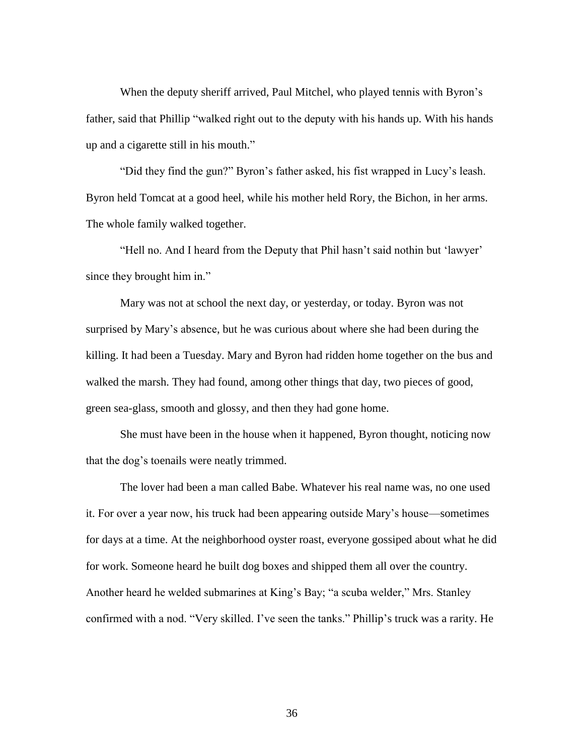When the deputy sheriff arrived, Paul Mitchel, who played tennis with Byron's father, said that Phillip "walked right out to the deputy with his hands up. With his hands up and a cigarette still in his mouth."

"Did they find the gun?" Byron's father asked, his fist wrapped in Lucy's leash. Byron held Tomcat at a good heel, while his mother held Rory, the Bichon, in her arms. The whole family walked together.

"Hell no. And I heard from the Deputy that Phil hasn't said nothin but 'lawyer' since they brought him in."

Mary was not at school the next day, or yesterday, or today. Byron was not surprised by Mary's absence, but he was curious about where she had been during the killing. It had been a Tuesday. Mary and Byron had ridden home together on the bus and walked the marsh. They had found, among other things that day, two pieces of good, green sea-glass, smooth and glossy, and then they had gone home.

She must have been in the house when it happened, Byron thought, noticing now that the dog's toenails were neatly trimmed.

The lover had been a man called Babe. Whatever his real name was, no one used it. For over a year now, his truck had been appearing outside Mary's house—sometimes for days at a time. At the neighborhood oyster roast, everyone gossiped about what he did for work. Someone heard he built dog boxes and shipped them all over the country. Another heard he welded submarines at King's Bay; "a scuba welder," Mrs. Stanley confirmed with a nod. "Very skilled. I've seen the tanks." Phillip's truck was a rarity. He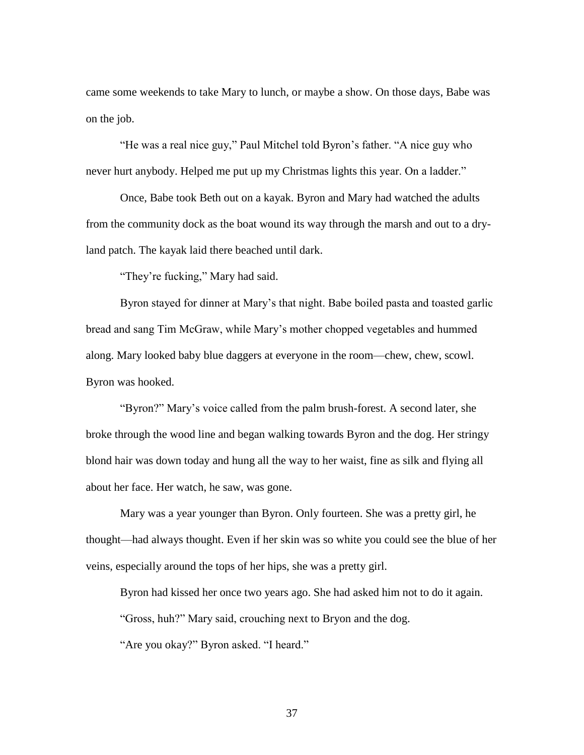came some weekends to take Mary to lunch, or maybe a show. On those days, Babe was on the job.

"He was a real nice guy," Paul Mitchel told Byron's father. "A nice guy who never hurt anybody. Helped me put up my Christmas lights this year. On a ladder."

Once, Babe took Beth out on a kayak. Byron and Mary had watched the adults from the community dock as the boat wound its way through the marsh and out to a dryland patch. The kayak laid there beached until dark.

"They're fucking," Mary had said.

Byron stayed for dinner at Mary's that night. Babe boiled pasta and toasted garlic bread and sang Tim McGraw, while Mary's mother chopped vegetables and hummed along. Mary looked baby blue daggers at everyone in the room—chew, chew, scowl. Byron was hooked.

"Byron?" Mary's voice called from the palm brush-forest. A second later, she broke through the wood line and began walking towards Byron and the dog. Her stringy blond hair was down today and hung all the way to her waist, fine as silk and flying all about her face. Her watch, he saw, was gone.

Mary was a year younger than Byron. Only fourteen. She was a pretty girl, he thought—had always thought. Even if her skin was so white you could see the blue of her veins, especially around the tops of her hips, she was a pretty girl.

Byron had kissed her once two years ago. She had asked him not to do it again. "Gross, huh?" Mary said, crouching next to Bryon and the dog.

"Are you okay?" Byron asked. "I heard."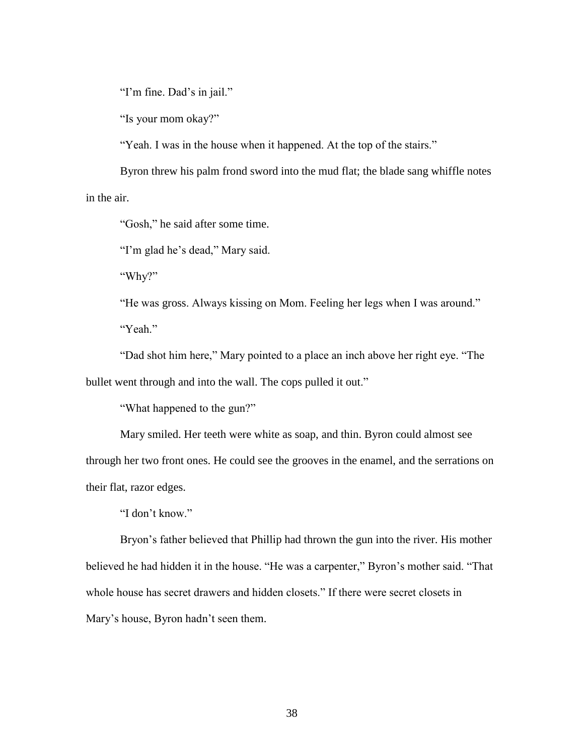"I'm fine. Dad's in jail."

"Is your mom okay?"

"Yeah. I was in the house when it happened. At the top of the stairs."

Byron threw his palm frond sword into the mud flat; the blade sang whiffle notes in the air.

"Gosh," he said after some time.

"I'm glad he's dead," Mary said.

"Why?"

"He was gross. Always kissing on Mom. Feeling her legs when I was around." "Yeah."

"Dad shot him here," Mary pointed to a place an inch above her right eye. "The bullet went through and into the wall. The cops pulled it out."

"What happened to the gun?"

Mary smiled. Her teeth were white as soap, and thin. Byron could almost see through her two front ones. He could see the grooves in the enamel, and the serrations on their flat, razor edges.

"I don't know."

Bryon's father believed that Phillip had thrown the gun into the river. His mother believed he had hidden it in the house. "He was a carpenter," Byron's mother said. "That whole house has secret drawers and hidden closets." If there were secret closets in Mary's house, Byron hadn't seen them.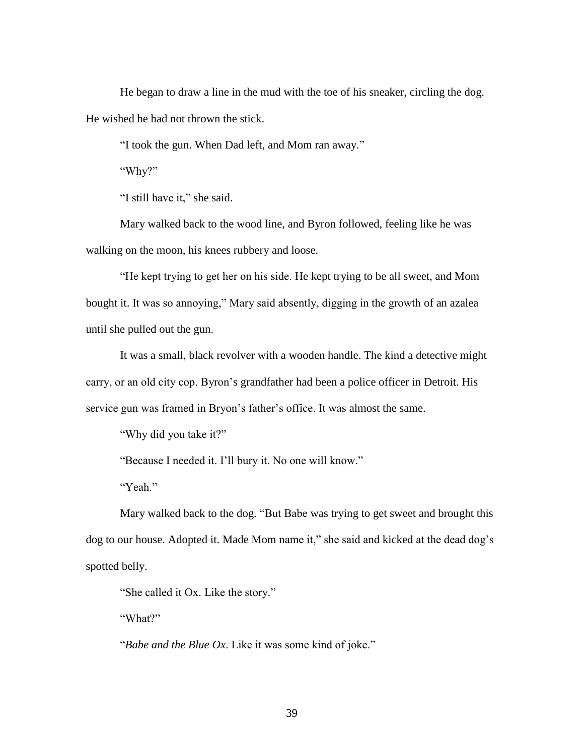He began to draw a line in the mud with the toe of his sneaker, circling the dog. He wished he had not thrown the stick.

"I took the gun. When Dad left, and Mom ran away."

"Why?"

"I still have it," she said.

Mary walked back to the wood line, and Byron followed, feeling like he was walking on the moon, his knees rubbery and loose.

"He kept trying to get her on his side. He kept trying to be all sweet, and Mom bought it. It was so annoying," Mary said absently, digging in the growth of an azalea until she pulled out the gun.

It was a small, black revolver with a wooden handle. The kind a detective might carry, or an old city cop. Byron's grandfather had been a police officer in Detroit. His service gun was framed in Bryon's father's office. It was almost the same.

"Why did you take it?"

"Because I needed it. I'll bury it. No one will know."

"Yeah."

Mary walked back to the dog. "But Babe was trying to get sweet and brought this dog to our house. Adopted it. Made Mom name it," she said and kicked at the dead dog's spotted belly.

"She called it Ox. Like the story."

"What?"

"*Babe and the Blue Ox*. Like it was some kind of joke."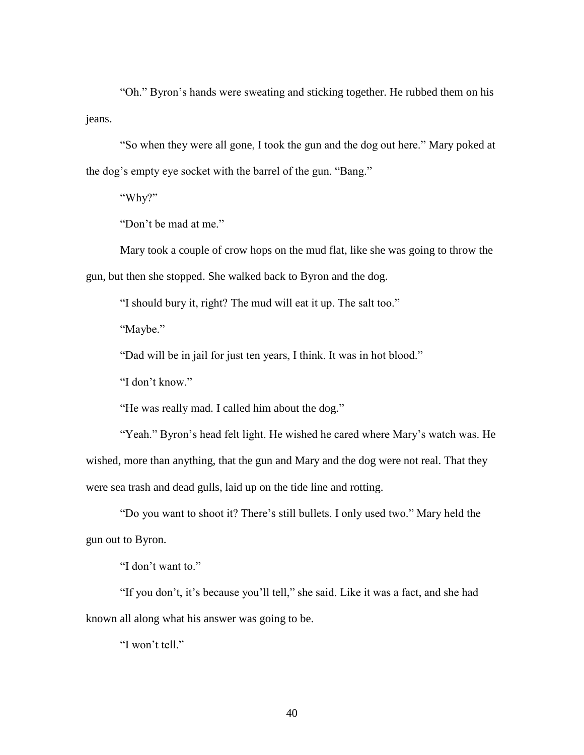"Oh." Byron's hands were sweating and sticking together. He rubbed them on his jeans.

"So when they were all gone, I took the gun and the dog out here." Mary poked at the dog's empty eye socket with the barrel of the gun. "Bang."

"Why?"

"Don't be mad at me."

Mary took a couple of crow hops on the mud flat, like she was going to throw the gun, but then she stopped. She walked back to Byron and the dog.

"I should bury it, right? The mud will eat it up. The salt too."

"Maybe."

"Dad will be in jail for just ten years, I think. It was in hot blood."

"I don't know."

"He was really mad. I called him about the dog."

"Yeah." Byron's head felt light. He wished he cared where Mary's watch was. He wished, more than anything, that the gun and Mary and the dog were not real. That they were sea trash and dead gulls, laid up on the tide line and rotting.

"Do you want to shoot it? There's still bullets. I only used two." Mary held the gun out to Byron.

"I don't want to."

"If you don't, it's because you'll tell," she said. Like it was a fact, and she had known all along what his answer was going to be.

"I won't tell."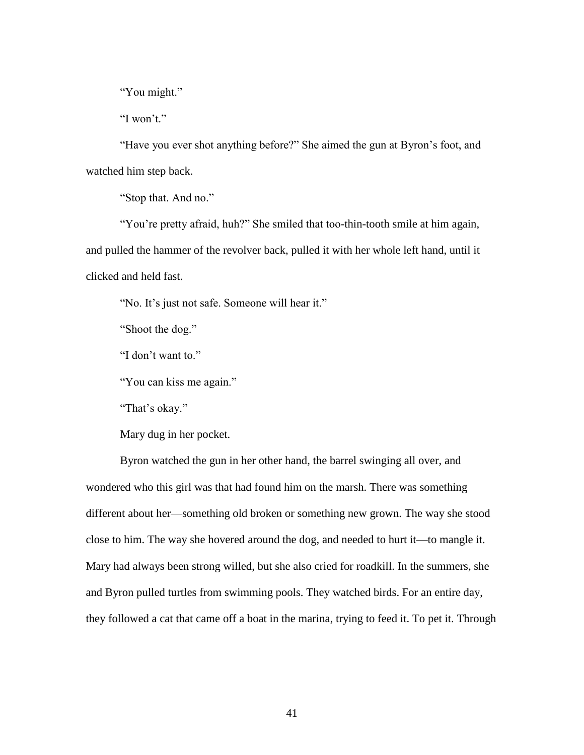"You might."

"I won't."

"Have you ever shot anything before?" She aimed the gun at Byron's foot, and watched him step back.

"Stop that. And no."

"You're pretty afraid, huh?" She smiled that too-thin-tooth smile at him again, and pulled the hammer of the revolver back, pulled it with her whole left hand, until it clicked and held fast.

"No. It's just not safe. Someone will hear it."

"Shoot the dog."

"I don't want to."

"You can kiss me again."

"That's okay."

Mary dug in her pocket.

Byron watched the gun in her other hand, the barrel swinging all over, and wondered who this girl was that had found him on the marsh. There was something different about her—something old broken or something new grown. The way she stood close to him. The way she hovered around the dog, and needed to hurt it—to mangle it. Mary had always been strong willed, but she also cried for roadkill. In the summers, she and Byron pulled turtles from swimming pools. They watched birds. For an entire day, they followed a cat that came off a boat in the marina, trying to feed it. To pet it. Through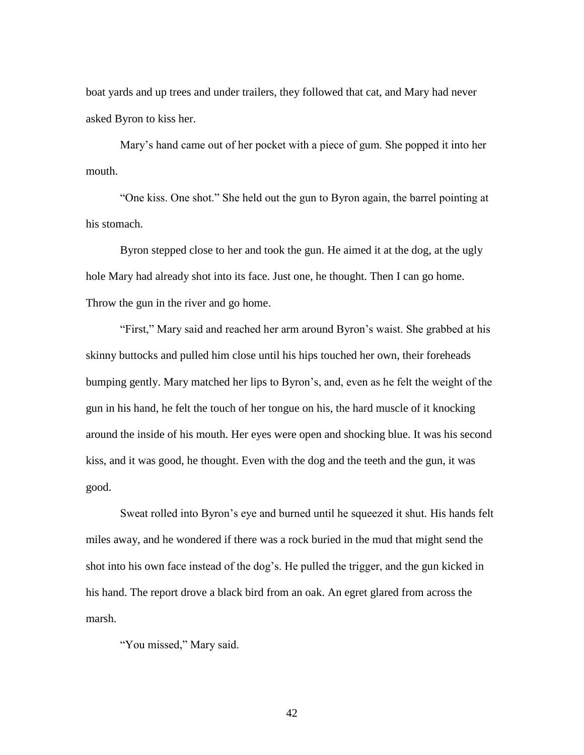boat yards and up trees and under trailers, they followed that cat, and Mary had never asked Byron to kiss her.

Mary's hand came out of her pocket with a piece of gum. She popped it into her mouth.

"One kiss. One shot." She held out the gun to Byron again, the barrel pointing at his stomach.

Byron stepped close to her and took the gun. He aimed it at the dog, at the ugly hole Mary had already shot into its face. Just one, he thought. Then I can go home. Throw the gun in the river and go home.

"First," Mary said and reached her arm around Byron's waist. She grabbed at his skinny buttocks and pulled him close until his hips touched her own, their foreheads bumping gently. Mary matched her lips to Byron's, and, even as he felt the weight of the gun in his hand, he felt the touch of her tongue on his, the hard muscle of it knocking around the inside of his mouth. Her eyes were open and shocking blue. It was his second kiss, and it was good, he thought. Even with the dog and the teeth and the gun, it was good.

Sweat rolled into Byron's eye and burned until he squeezed it shut. His hands felt miles away, and he wondered if there was a rock buried in the mud that might send the shot into his own face instead of the dog's. He pulled the trigger, and the gun kicked in his hand. The report drove a black bird from an oak. An egret glared from across the marsh.

"You missed," Mary said.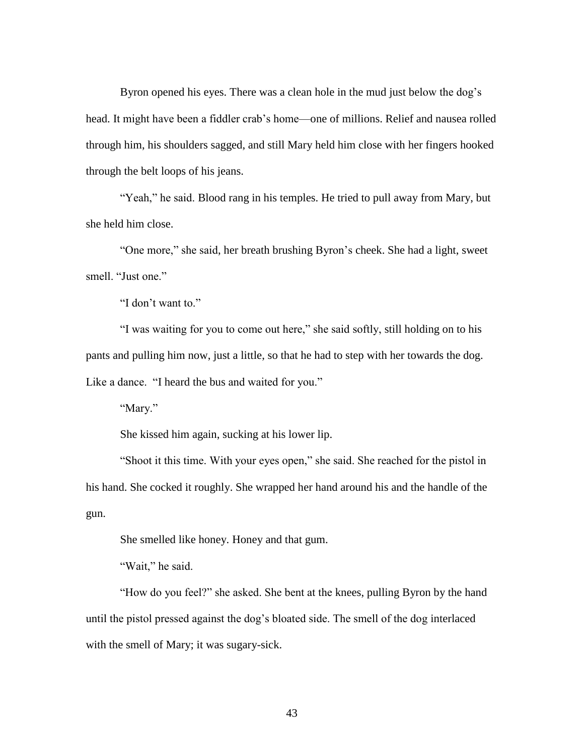Byron opened his eyes. There was a clean hole in the mud just below the dog's head. It might have been a fiddler crab's home—one of millions. Relief and nausea rolled through him, his shoulders sagged, and still Mary held him close with her fingers hooked through the belt loops of his jeans.

"Yeah," he said. Blood rang in his temples. He tried to pull away from Mary, but she held him close.

"One more," she said, her breath brushing Byron's cheek. She had a light, sweet smell. "Just one."

"I don't want to."

"I was waiting for you to come out here," she said softly, still holding on to his pants and pulling him now, just a little, so that he had to step with her towards the dog. Like a dance. "I heard the bus and waited for you."

"Mary."

She kissed him again, sucking at his lower lip.

"Shoot it this time. With your eyes open," she said. She reached for the pistol in his hand. She cocked it roughly. She wrapped her hand around his and the handle of the gun.

She smelled like honey. Honey and that gum.

"Wait," he said.

"How do you feel?" she asked. She bent at the knees, pulling Byron by the hand until the pistol pressed against the dog's bloated side. The smell of the dog interlaced with the smell of Mary; it was sugary-sick.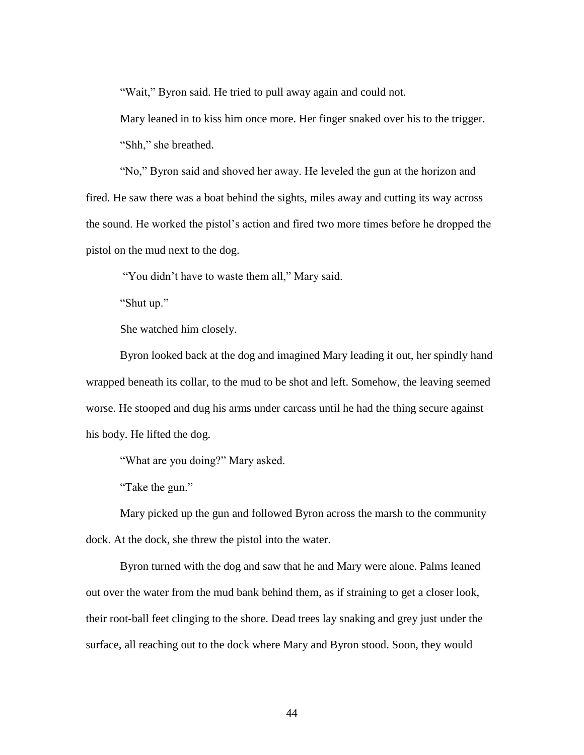"Wait," Byron said. He tried to pull away again and could not.

Mary leaned in to kiss him once more. Her finger snaked over his to the trigger. "Shh," she breathed.

"No," Byron said and shoved her away. He leveled the gun at the horizon and fired. He saw there was a boat behind the sights, miles away and cutting its way across the sound. He worked the pistol's action and fired two more times before he dropped the pistol on the mud next to the dog.

"You didn't have to waste them all," Mary said.

"Shut up."

She watched him closely.

Byron looked back at the dog and imagined Mary leading it out, her spindly hand wrapped beneath its collar, to the mud to be shot and left. Somehow, the leaving seemed worse. He stooped and dug his arms under carcass until he had the thing secure against his body. He lifted the dog.

"What are you doing?" Mary asked.

"Take the gun."

Mary picked up the gun and followed Byron across the marsh to the community dock. At the dock, she threw the pistol into the water.

Byron turned with the dog and saw that he and Mary were alone. Palms leaned out over the water from the mud bank behind them, as if straining to get a closer look, their root-ball feet clinging to the shore. Dead trees lay snaking and grey just under the surface, all reaching out to the dock where Mary and Byron stood. Soon, they would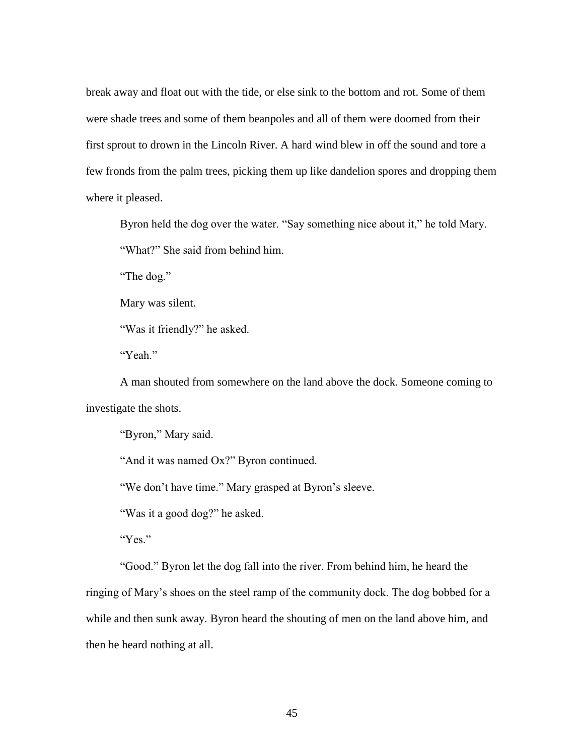break away and float out with the tide, or else sink to the bottom and rot. Some of them were shade trees and some of them beanpoles and all of them were doomed from their first sprout to drown in the Lincoln River. A hard wind blew in off the sound and tore a few fronds from the palm trees, picking them up like dandelion spores and dropping them where it pleased.

Byron held the dog over the water. "Say something nice about it," he told Mary. "What?" She said from behind him.

"The dog."

Mary was silent.

"Was it friendly?" he asked.

"Yeah."

A man shouted from somewhere on the land above the dock. Someone coming to investigate the shots.

"Byron," Mary said.

"And it was named Ox?" Byron continued.

"We don't have time." Mary grasped at Byron's sleeve.

"Was it a good dog?" he asked.

"Yes."

"Good." Byron let the dog fall into the river. From behind him, he heard the

ringing of Mary's shoes on the steel ramp of the community dock. The dog bobbed for a while and then sunk away. Byron heard the shouting of men on the land above him, and then he heard nothing at all.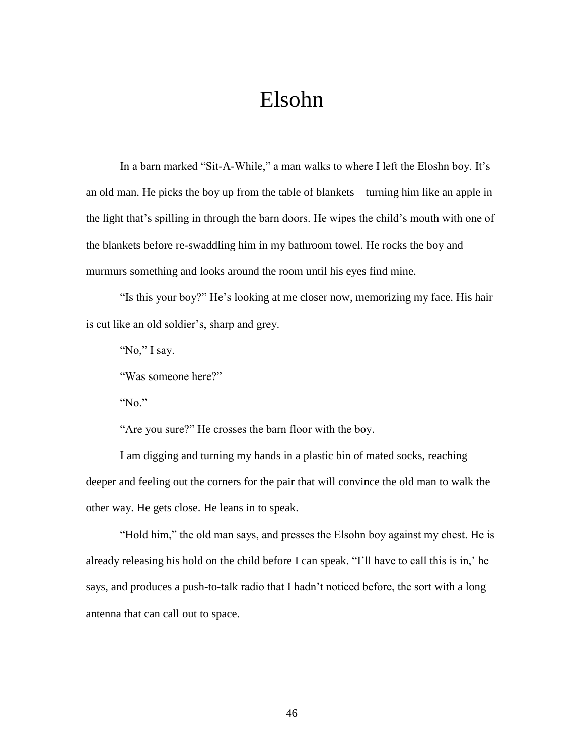## Elsohn

In a barn marked "Sit-A-While," a man walks to where I left the Eloshn boy. It's an old man. He picks the boy up from the table of blankets—turning him like an apple in the light that's spilling in through the barn doors. He wipes the child's mouth with one of the blankets before re-swaddling him in my bathroom towel. He rocks the boy and murmurs something and looks around the room until his eyes find mine.

"Is this your boy?" He's looking at me closer now, memorizing my face. His hair is cut like an old soldier's, sharp and grey.

"No," I say.

"Was someone here?"

"No."

"Are you sure?" He crosses the barn floor with the boy.

I am digging and turning my hands in a plastic bin of mated socks, reaching deeper and feeling out the corners for the pair that will convince the old man to walk the other way. He gets close. He leans in to speak.

"Hold him," the old man says, and presses the Elsohn boy against my chest. He is already releasing his hold on the child before I can speak. "I'll have to call this is in,' he says, and produces a push-to-talk radio that I hadn't noticed before, the sort with a long antenna that can call out to space.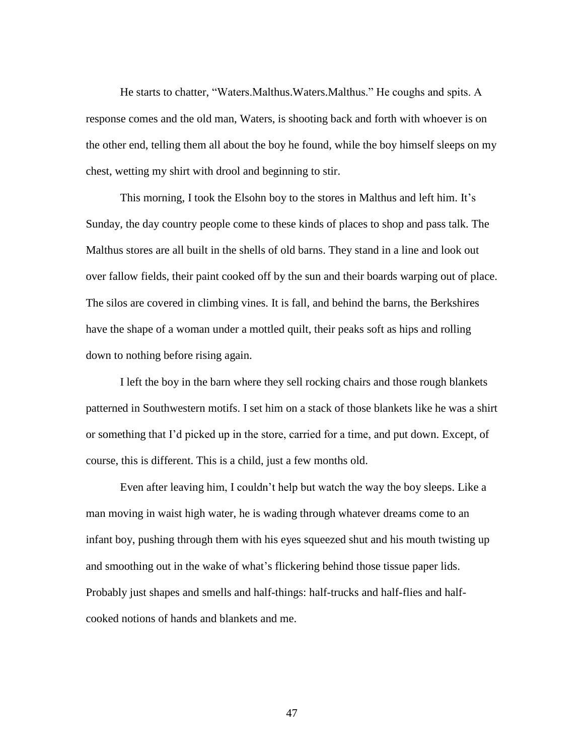He starts to chatter, "Waters.Malthus.Waters.Malthus." He coughs and spits. A response comes and the old man, Waters, is shooting back and forth with whoever is on the other end, telling them all about the boy he found, while the boy himself sleeps on my chest, wetting my shirt with drool and beginning to stir.

This morning, I took the Elsohn boy to the stores in Malthus and left him. It's Sunday, the day country people come to these kinds of places to shop and pass talk. The Malthus stores are all built in the shells of old barns. They stand in a line and look out over fallow fields, their paint cooked off by the sun and their boards warping out of place. The silos are covered in climbing vines. It is fall, and behind the barns, the Berkshires have the shape of a woman under a mottled quilt, their peaks soft as hips and rolling down to nothing before rising again.

I left the boy in the barn where they sell rocking chairs and those rough blankets patterned in Southwestern motifs. I set him on a stack of those blankets like he was a shirt or something that I'd picked up in the store, carried for a time, and put down. Except, of course, this is different. This is a child, just a few months old.

Even after leaving him, I couldn't help but watch the way the boy sleeps. Like a man moving in waist high water, he is wading through whatever dreams come to an infant boy, pushing through them with his eyes squeezed shut and his mouth twisting up and smoothing out in the wake of what's flickering behind those tissue paper lids. Probably just shapes and smells and half-things: half-trucks and half-flies and halfcooked notions of hands and blankets and me.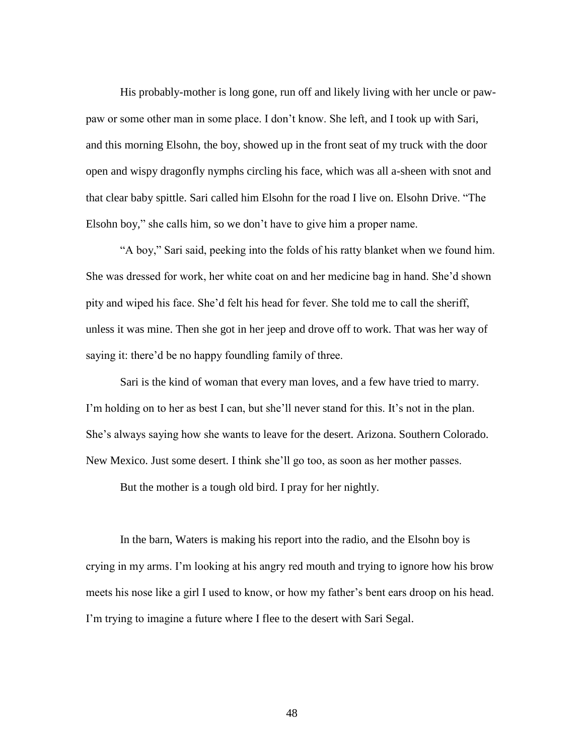His probably-mother is long gone, run off and likely living with her uncle or pawpaw or some other man in some place. I don't know. She left, and I took up with Sari, and this morning Elsohn, the boy, showed up in the front seat of my truck with the door open and wispy dragonfly nymphs circling his face, which was all a-sheen with snot and that clear baby spittle. Sari called him Elsohn for the road I live on. Elsohn Drive. "The Elsohn boy," she calls him, so we don't have to give him a proper name.

"A boy," Sari said, peeking into the folds of his ratty blanket when we found him. She was dressed for work, her white coat on and her medicine bag in hand. She'd shown pity and wiped his face. She'd felt his head for fever. She told me to call the sheriff, unless it was mine. Then she got in her jeep and drove off to work. That was her way of saying it: there'd be no happy foundling family of three.

Sari is the kind of woman that every man loves, and a few have tried to marry. I'm holding on to her as best I can, but she'll never stand for this. It's not in the plan. She's always saying how she wants to leave for the desert. Arizona. Southern Colorado. New Mexico. Just some desert. I think she'll go too, as soon as her mother passes.

But the mother is a tough old bird. I pray for her nightly.

In the barn, Waters is making his report into the radio, and the Elsohn boy is crying in my arms. I'm looking at his angry red mouth and trying to ignore how his brow meets his nose like a girl I used to know, or how my father's bent ears droop on his head. I'm trying to imagine a future where I flee to the desert with Sari Segal.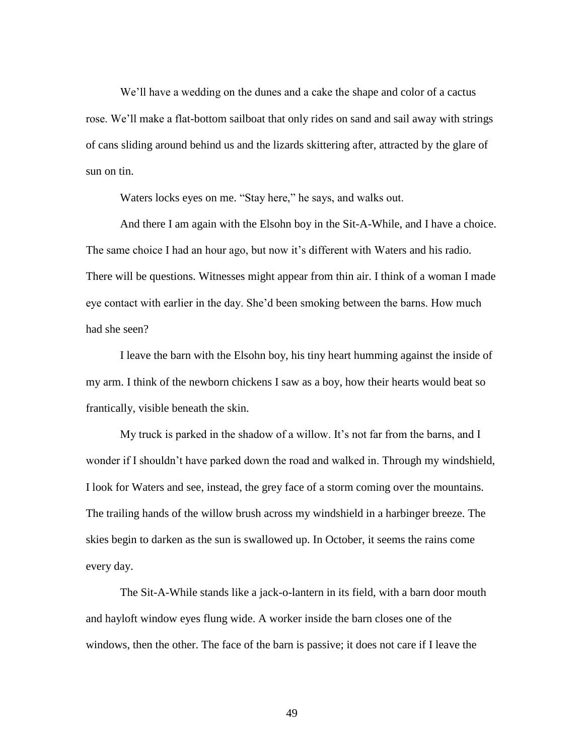We'll have a wedding on the dunes and a cake the shape and color of a cactus rose. We'll make a flat-bottom sailboat that only rides on sand and sail away with strings of cans sliding around behind us and the lizards skittering after, attracted by the glare of sun on tin.

Waters locks eyes on me. "Stay here," he says, and walks out.

And there I am again with the Elsohn boy in the Sit-A-While, and I have a choice. The same choice I had an hour ago, but now it's different with Waters and his radio. There will be questions. Witnesses might appear from thin air. I think of a woman I made eye contact with earlier in the day. She'd been smoking between the barns. How much had she seen?

I leave the barn with the Elsohn boy, his tiny heart humming against the inside of my arm. I think of the newborn chickens I saw as a boy, how their hearts would beat so frantically, visible beneath the skin.

My truck is parked in the shadow of a willow. It's not far from the barns, and I wonder if I shouldn't have parked down the road and walked in. Through my windshield, I look for Waters and see, instead, the grey face of a storm coming over the mountains. The trailing hands of the willow brush across my windshield in a harbinger breeze. The skies begin to darken as the sun is swallowed up. In October, it seems the rains come every day.

The Sit-A-While stands like a jack-o-lantern in its field, with a barn door mouth and hayloft window eyes flung wide. A worker inside the barn closes one of the windows, then the other. The face of the barn is passive; it does not care if I leave the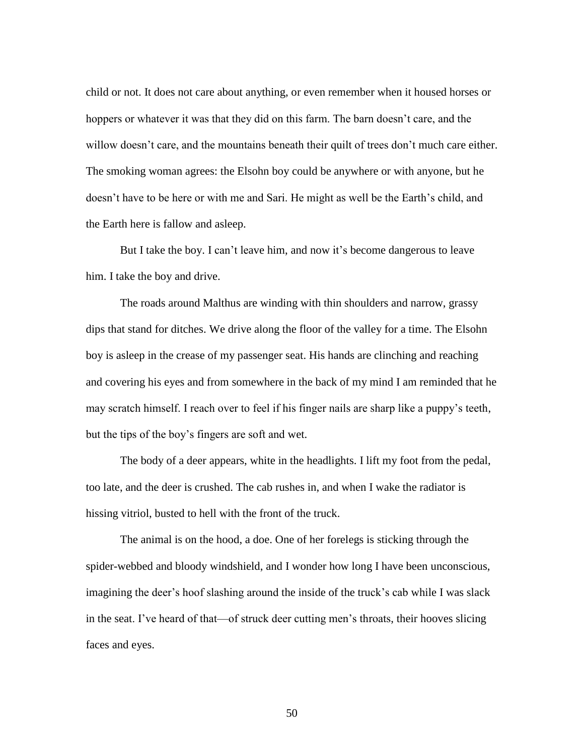child or not. It does not care about anything, or even remember when it housed horses or hoppers or whatever it was that they did on this farm. The barn doesn't care, and the willow doesn't care, and the mountains beneath their quilt of trees don't much care either. The smoking woman agrees: the Elsohn boy could be anywhere or with anyone, but he doesn't have to be here or with me and Sari. He might as well be the Earth's child, and the Earth here is fallow and asleep.

But I take the boy. I can't leave him, and now it's become dangerous to leave him. I take the boy and drive.

The roads around Malthus are winding with thin shoulders and narrow, grassy dips that stand for ditches. We drive along the floor of the valley for a time. The Elsohn boy is asleep in the crease of my passenger seat. His hands are clinching and reaching and covering his eyes and from somewhere in the back of my mind I am reminded that he may scratch himself. I reach over to feel if his finger nails are sharp like a puppy's teeth, but the tips of the boy's fingers are soft and wet.

The body of a deer appears, white in the headlights. I lift my foot from the pedal, too late, and the deer is crushed. The cab rushes in, and when I wake the radiator is hissing vitriol, busted to hell with the front of the truck.

The animal is on the hood, a doe. One of her forelegs is sticking through the spider-webbed and bloody windshield, and I wonder how long I have been unconscious, imagining the deer's hoof slashing around the inside of the truck's cab while I was slack in the seat. I've heard of that—of struck deer cutting men's throats, their hooves slicing faces and eyes.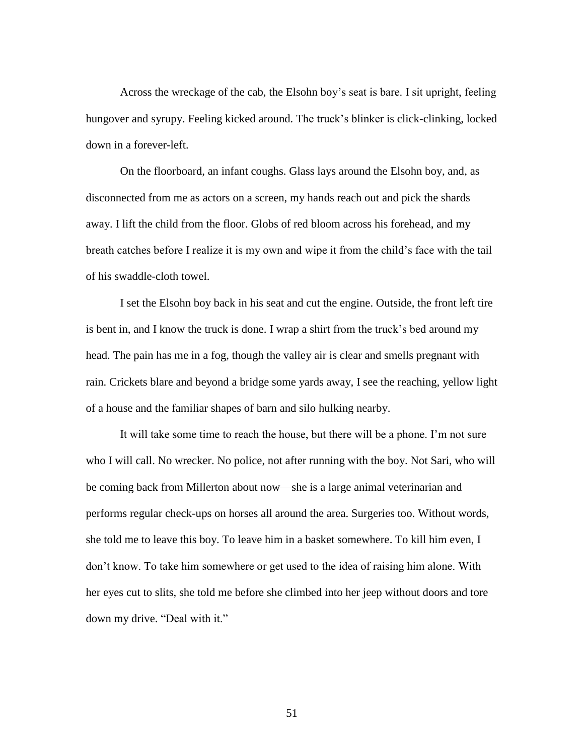Across the wreckage of the cab, the Elsohn boy's seat is bare. I sit upright, feeling hungover and syrupy. Feeling kicked around. The truck's blinker is click-clinking, locked down in a forever-left.

On the floorboard, an infant coughs. Glass lays around the Elsohn boy, and, as disconnected from me as actors on a screen, my hands reach out and pick the shards away. I lift the child from the floor. Globs of red bloom across his forehead, and my breath catches before I realize it is my own and wipe it from the child's face with the tail of his swaddle-cloth towel.

I set the Elsohn boy back in his seat and cut the engine. Outside, the front left tire is bent in, and I know the truck is done. I wrap a shirt from the truck's bed around my head. The pain has me in a fog, though the valley air is clear and smells pregnant with rain. Crickets blare and beyond a bridge some yards away, I see the reaching, yellow light of a house and the familiar shapes of barn and silo hulking nearby.

It will take some time to reach the house, but there will be a phone. I'm not sure who I will call. No wrecker. No police, not after running with the boy. Not Sari, who will be coming back from Millerton about now—she is a large animal veterinarian and performs regular check-ups on horses all around the area. Surgeries too. Without words, she told me to leave this boy. To leave him in a basket somewhere. To kill him even, I don't know. To take him somewhere or get used to the idea of raising him alone. With her eyes cut to slits, she told me before she climbed into her jeep without doors and tore down my drive. "Deal with it."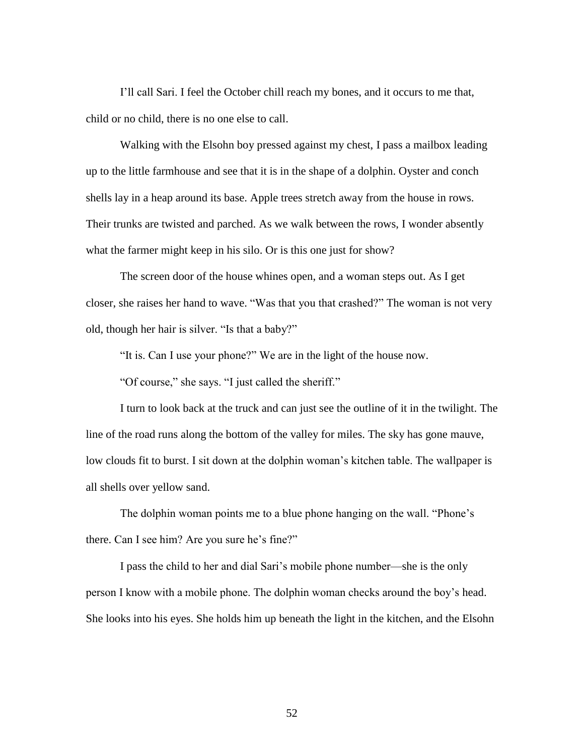I'll call Sari. I feel the October chill reach my bones, and it occurs to me that, child or no child, there is no one else to call.

Walking with the Elsohn boy pressed against my chest, I pass a mailbox leading up to the little farmhouse and see that it is in the shape of a dolphin. Oyster and conch shells lay in a heap around its base. Apple trees stretch away from the house in rows. Their trunks are twisted and parched. As we walk between the rows, I wonder absently what the farmer might keep in his silo. Or is this one just for show?

The screen door of the house whines open, and a woman steps out. As I get closer, she raises her hand to wave. "Was that you that crashed?" The woman is not very old, though her hair is silver. "Is that a baby?"

"It is. Can I use your phone?" We are in the light of the house now.

"Of course," she says. "I just called the sheriff."

I turn to look back at the truck and can just see the outline of it in the twilight. The line of the road runs along the bottom of the valley for miles. The sky has gone mauve, low clouds fit to burst. I sit down at the dolphin woman's kitchen table. The wallpaper is all shells over yellow sand.

The dolphin woman points me to a blue phone hanging on the wall. "Phone's there. Can I see him? Are you sure he's fine?"

I pass the child to her and dial Sari's mobile phone number—she is the only person I know with a mobile phone. The dolphin woman checks around the boy's head. She looks into his eyes. She holds him up beneath the light in the kitchen, and the Elsohn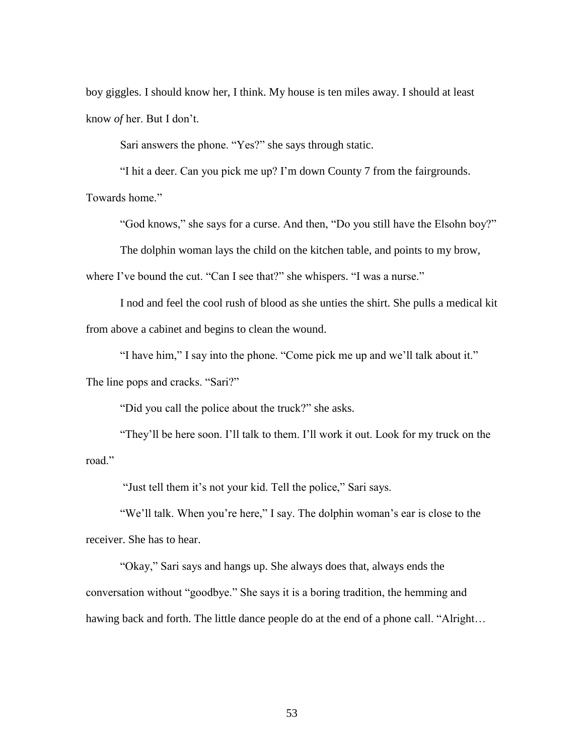boy giggles. I should know her, I think. My house is ten miles away. I should at least know *of* her. But I don't.

Sari answers the phone. "Yes?" she says through static.

"I hit a deer. Can you pick me up? I'm down County 7 from the fairgrounds.

Towards home."

"God knows," she says for a curse. And then, "Do you still have the Elsohn boy?"

The dolphin woman lays the child on the kitchen table, and points to my brow,

where I've bound the cut. "Can I see that?" she whispers. "I was a nurse."

I nod and feel the cool rush of blood as she unties the shirt. She pulls a medical kit from above a cabinet and begins to clean the wound.

"I have him," I say into the phone. "Come pick me up and we'll talk about it."

The line pops and cracks. "Sari?"

"Did you call the police about the truck?" she asks.

"They'll be here soon. I'll talk to them. I'll work it out. Look for my truck on the road."

"Just tell them it's not your kid. Tell the police," Sari says.

"We'll talk. When you're here," I say. The dolphin woman's ear is close to the receiver. She has to hear.

"Okay," Sari says and hangs up. She always does that, always ends the conversation without "goodbye." She says it is a boring tradition, the hemming and hawing back and forth. The little dance people do at the end of a phone call. "Alright...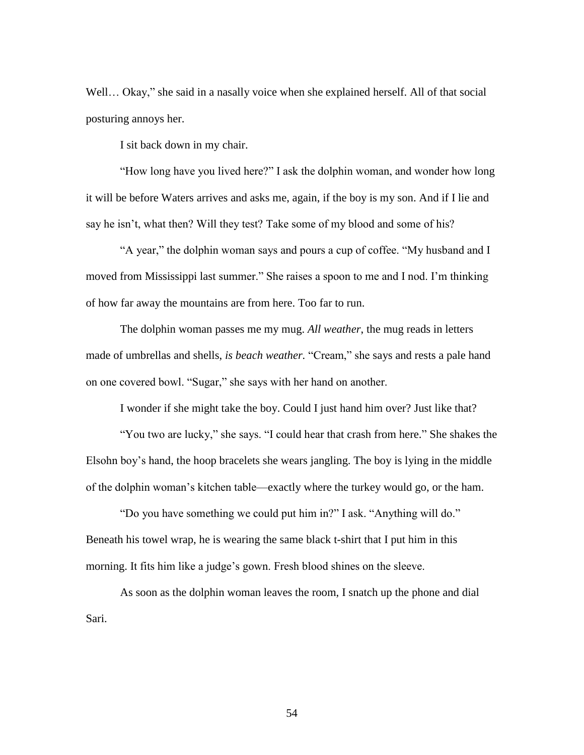Well... Okay," she said in a nasally voice when she explained herself. All of that social posturing annoys her.

I sit back down in my chair.

"How long have you lived here?" I ask the dolphin woman, and wonder how long it will be before Waters arrives and asks me, again, if the boy is my son. And if I lie and say he isn't, what then? Will they test? Take some of my blood and some of his?

"A year," the dolphin woman says and pours a cup of coffee. "My husband and I moved from Mississippi last summer." She raises a spoon to me and I nod. I'm thinking of how far away the mountains are from here. Too far to run.

The dolphin woman passes me my mug. *All weather*, the mug reads in letters made of umbrellas and shells, *is beach weather.* "Cream," she says and rests a pale hand on one covered bowl. "Sugar," she says with her hand on another.

I wonder if she might take the boy. Could I just hand him over? Just like that?

"You two are lucky," she says. "I could hear that crash from here." She shakes the Elsohn boy's hand, the hoop bracelets she wears jangling. The boy is lying in the middle of the dolphin woman's kitchen table—exactly where the turkey would go, or the ham.

"Do you have something we could put him in?" I ask. "Anything will do." Beneath his towel wrap, he is wearing the same black t-shirt that I put him in this morning. It fits him like a judge's gown. Fresh blood shines on the sleeve.

As soon as the dolphin woman leaves the room, I snatch up the phone and dial Sari.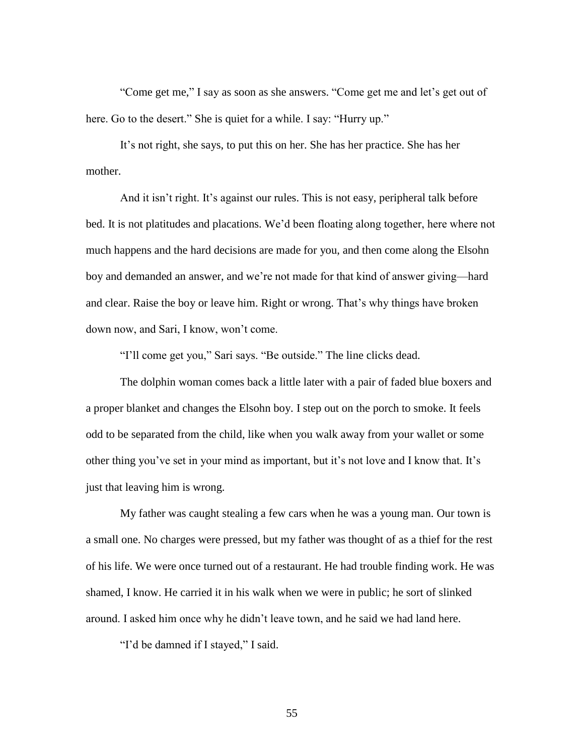"Come get me," I say as soon as she answers. "Come get me and let's get out of here. Go to the desert." She is quiet for a while. I say: "Hurry up."

It's not right, she says, to put this on her. She has her practice. She has her mother.

And it isn't right. It's against our rules. This is not easy, peripheral talk before bed. It is not platitudes and placations. We'd been floating along together, here where not much happens and the hard decisions are made for you, and then come along the Elsohn boy and demanded an answer, and we're not made for that kind of answer giving—hard and clear. Raise the boy or leave him. Right or wrong. That's why things have broken down now, and Sari, I know, won't come.

"I'll come get you," Sari says. "Be outside." The line clicks dead.

The dolphin woman comes back a little later with a pair of faded blue boxers and a proper blanket and changes the Elsohn boy. I step out on the porch to smoke. It feels odd to be separated from the child, like when you walk away from your wallet or some other thing you've set in your mind as important, but it's not love and I know that. It's just that leaving him is wrong.

My father was caught stealing a few cars when he was a young man. Our town is a small one. No charges were pressed, but my father was thought of as a thief for the rest of his life. We were once turned out of a restaurant. He had trouble finding work. He was shamed, I know. He carried it in his walk when we were in public; he sort of slinked around. I asked him once why he didn't leave town, and he said we had land here.

"I'd be damned if I stayed," I said.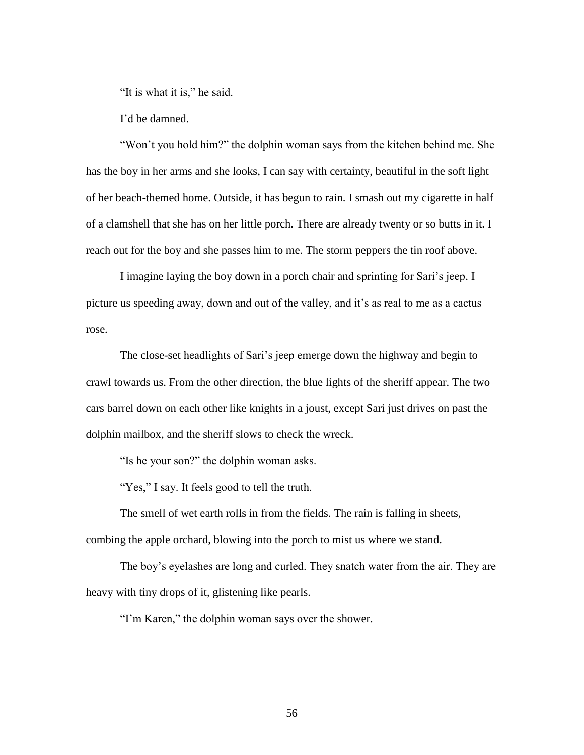"It is what it is," he said.

I'd be damned.

"Won't you hold him?" the dolphin woman says from the kitchen behind me. She has the boy in her arms and she looks, I can say with certainty, beautiful in the soft light of her beach-themed home. Outside, it has begun to rain. I smash out my cigarette in half of a clamshell that she has on her little porch. There are already twenty or so butts in it. I reach out for the boy and she passes him to me. The storm peppers the tin roof above.

I imagine laying the boy down in a porch chair and sprinting for Sari's jeep. I picture us speeding away, down and out of the valley, and it's as real to me as a cactus rose.

The close-set headlights of Sari's jeep emerge down the highway and begin to crawl towards us. From the other direction, the blue lights of the sheriff appear. The two cars barrel down on each other like knights in a joust, except Sari just drives on past the dolphin mailbox, and the sheriff slows to check the wreck.

"Is he your son?" the dolphin woman asks.

"Yes," I say. It feels good to tell the truth.

The smell of wet earth rolls in from the fields. The rain is falling in sheets, combing the apple orchard, blowing into the porch to mist us where we stand.

The boy's eyelashes are long and curled. They snatch water from the air. They are heavy with tiny drops of it, glistening like pearls.

"I'm Karen," the dolphin woman says over the shower.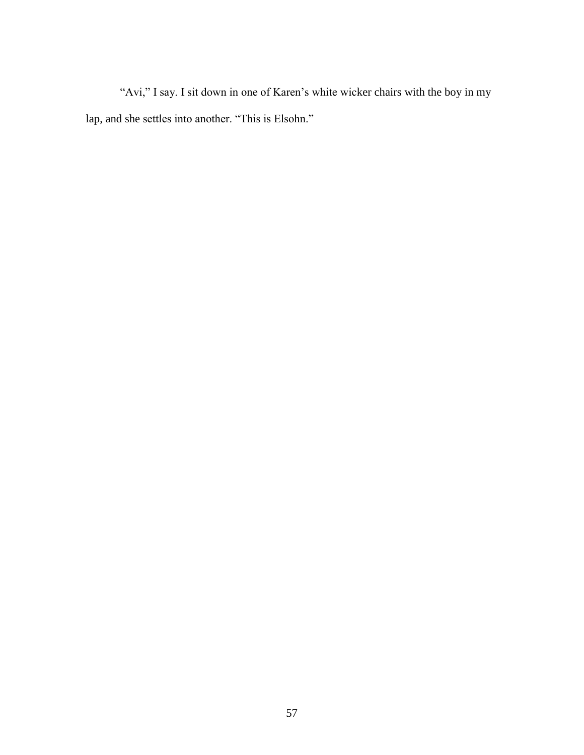"Avi," I say. I sit down in one of Karen's white wicker chairs with the boy in my lap, and she settles into another. "This is Elsohn."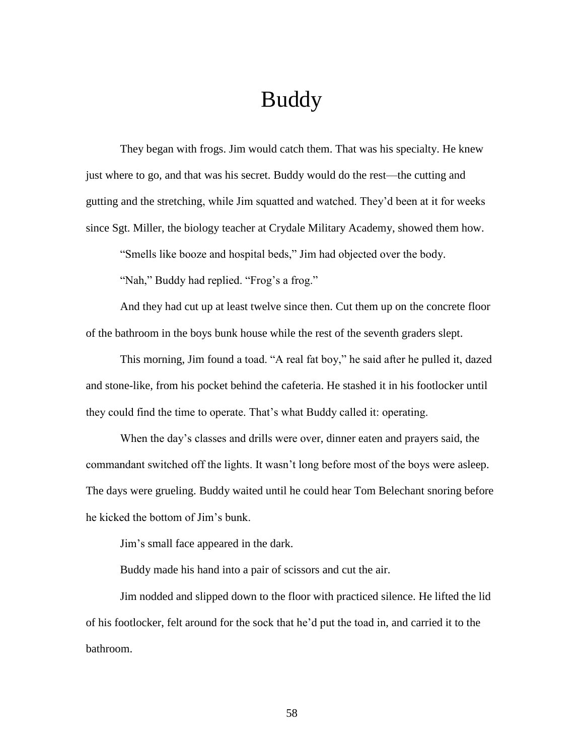## Buddy

They began with frogs. Jim would catch them. That was his specialty. He knew just where to go, and that was his secret. Buddy would do the rest—the cutting and gutting and the stretching, while Jim squatted and watched. They'd been at it for weeks since Sgt. Miller, the biology teacher at Crydale Military Academy, showed them how.

"Smells like booze and hospital beds," Jim had objected over the body.

"Nah," Buddy had replied. "Frog's a frog."

And they had cut up at least twelve since then. Cut them up on the concrete floor of the bathroom in the boys bunk house while the rest of the seventh graders slept.

This morning, Jim found a toad. "A real fat boy," he said after he pulled it, dazed and stone-like, from his pocket behind the cafeteria. He stashed it in his footlocker until they could find the time to operate. That's what Buddy called it: operating.

When the day's classes and drills were over, dinner eaten and prayers said, the commandant switched off the lights. It wasn't long before most of the boys were asleep. The days were grueling. Buddy waited until he could hear Tom Belechant snoring before he kicked the bottom of Jim's bunk.

Jim's small face appeared in the dark.

Buddy made his hand into a pair of scissors and cut the air.

Jim nodded and slipped down to the floor with practiced silence. He lifted the lid of his footlocker, felt around for the sock that he'd put the toad in, and carried it to the bathroom.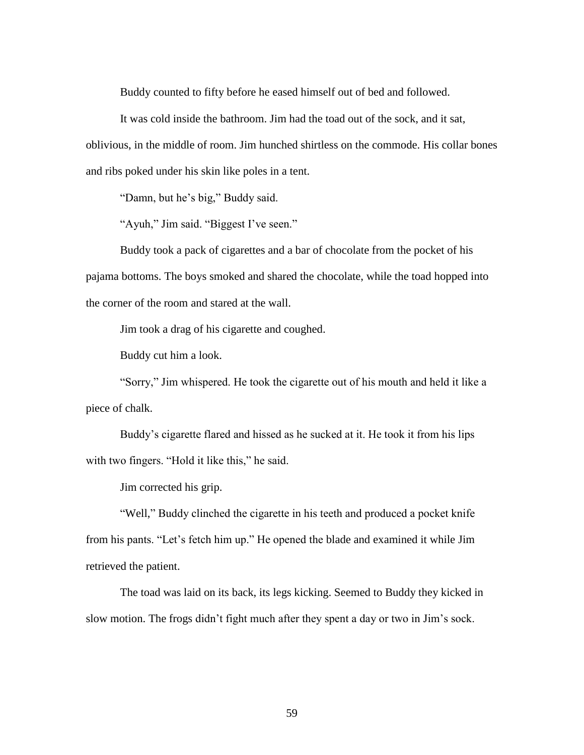Buddy counted to fifty before he eased himself out of bed and followed.

It was cold inside the bathroom. Jim had the toad out of the sock, and it sat, oblivious, in the middle of room. Jim hunched shirtless on the commode. His collar bones and ribs poked under his skin like poles in a tent.

"Damn, but he's big," Buddy said.

"Ayuh," Jim said. "Biggest I've seen."

Buddy took a pack of cigarettes and a bar of chocolate from the pocket of his pajama bottoms. The boys smoked and shared the chocolate, while the toad hopped into the corner of the room and stared at the wall.

Jim took a drag of his cigarette and coughed.

Buddy cut him a look.

"Sorry," Jim whispered. He took the cigarette out of his mouth and held it like a piece of chalk.

Buddy's cigarette flared and hissed as he sucked at it. He took it from his lips with two fingers. "Hold it like this," he said.

Jim corrected his grip.

"Well," Buddy clinched the cigarette in his teeth and produced a pocket knife from his pants. "Let's fetch him up." He opened the blade and examined it while Jim retrieved the patient.

The toad was laid on its back, its legs kicking. Seemed to Buddy they kicked in slow motion. The frogs didn't fight much after they spent a day or two in Jim's sock.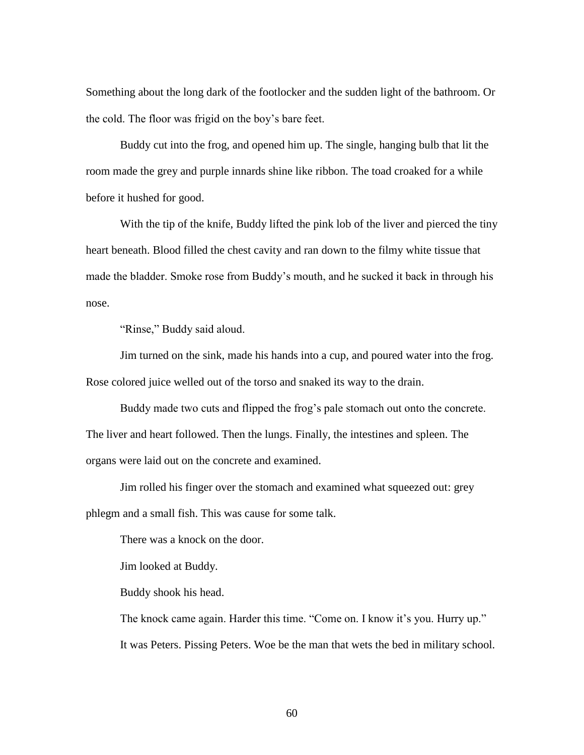Something about the long dark of the footlocker and the sudden light of the bathroom. Or the cold. The floor was frigid on the boy's bare feet.

Buddy cut into the frog, and opened him up. The single, hanging bulb that lit the room made the grey and purple innards shine like ribbon. The toad croaked for a while before it hushed for good.

With the tip of the knife, Buddy lifted the pink lob of the liver and pierced the tiny heart beneath. Blood filled the chest cavity and ran down to the filmy white tissue that made the bladder. Smoke rose from Buddy's mouth, and he sucked it back in through his nose.

"Rinse," Buddy said aloud.

Jim turned on the sink, made his hands into a cup, and poured water into the frog. Rose colored juice welled out of the torso and snaked its way to the drain.

Buddy made two cuts and flipped the frog's pale stomach out onto the concrete. The liver and heart followed. Then the lungs. Finally, the intestines and spleen. The organs were laid out on the concrete and examined.

Jim rolled his finger over the stomach and examined what squeezed out: grey phlegm and a small fish. This was cause for some talk.

There was a knock on the door.

Jim looked at Buddy.

Buddy shook his head.

The knock came again. Harder this time. "Come on. I know it's you. Hurry up." It was Peters. Pissing Peters. Woe be the man that wets the bed in military school.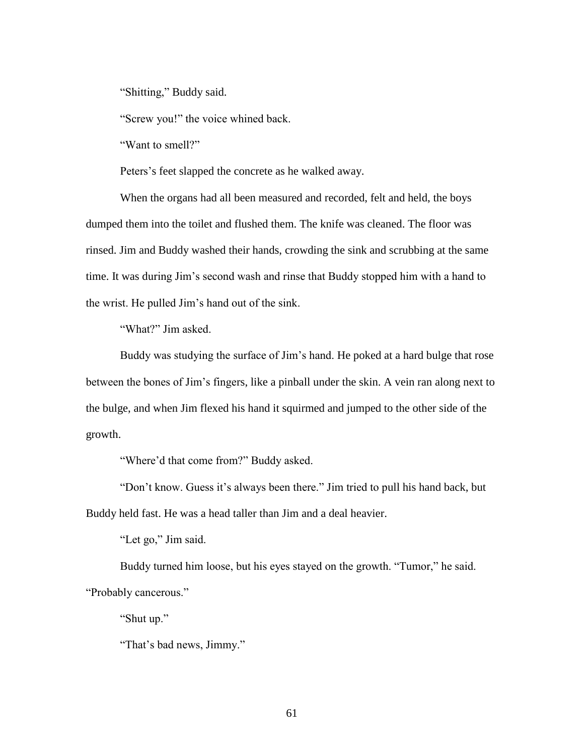"Shitting," Buddy said.

"Screw you!" the voice whined back.

"Want to smell?"

Peters's feet slapped the concrete as he walked away.

When the organs had all been measured and recorded, felt and held, the boys dumped them into the toilet and flushed them. The knife was cleaned. The floor was rinsed. Jim and Buddy washed their hands, crowding the sink and scrubbing at the same time. It was during Jim's second wash and rinse that Buddy stopped him with a hand to the wrist. He pulled Jim's hand out of the sink.

"What?" Jim asked.

Buddy was studying the surface of Jim's hand. He poked at a hard bulge that rose between the bones of Jim's fingers, like a pinball under the skin. A vein ran along next to the bulge, and when Jim flexed his hand it squirmed and jumped to the other side of the growth.

"Where'd that come from?" Buddy asked.

"Don't know. Guess it's always been there." Jim tried to pull his hand back, but Buddy held fast. He was a head taller than Jim and a deal heavier.

"Let go," Jim said.

Buddy turned him loose, but his eyes stayed on the growth. "Tumor," he said. "Probably cancerous."

"Shut up."

"That's bad news, Jimmy."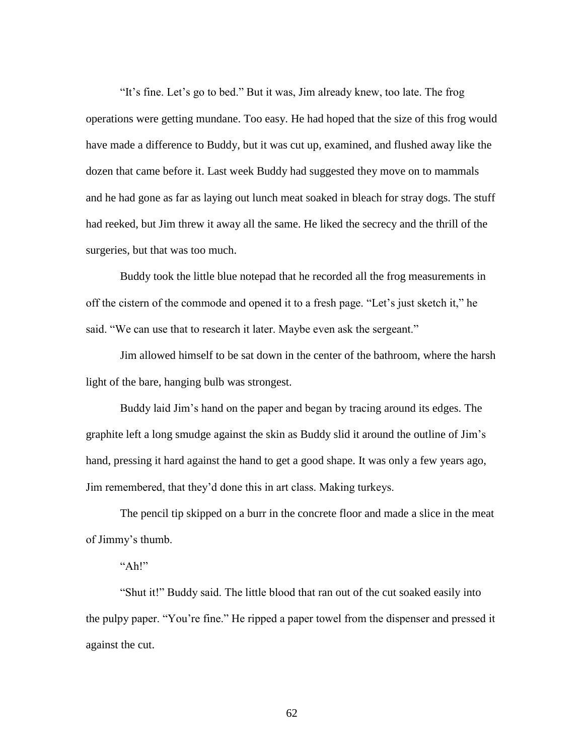"It's fine. Let's go to bed." But it was, Jim already knew, too late. The frog operations were getting mundane. Too easy. He had hoped that the size of this frog would have made a difference to Buddy, but it was cut up, examined, and flushed away like the dozen that came before it. Last week Buddy had suggested they move on to mammals and he had gone as far as laying out lunch meat soaked in bleach for stray dogs. The stuff had reeked, but Jim threw it away all the same. He liked the secrecy and the thrill of the surgeries, but that was too much.

Buddy took the little blue notepad that he recorded all the frog measurements in off the cistern of the commode and opened it to a fresh page. "Let's just sketch it," he said. "We can use that to research it later. Maybe even ask the sergeant."

Jim allowed himself to be sat down in the center of the bathroom, where the harsh light of the bare, hanging bulb was strongest.

Buddy laid Jim's hand on the paper and began by tracing around its edges. The graphite left a long smudge against the skin as Buddy slid it around the outline of Jim's hand, pressing it hard against the hand to get a good shape. It was only a few years ago, Jim remembered, that they'd done this in art class. Making turkeys.

The pencil tip skipped on a burr in the concrete floor and made a slice in the meat of Jimmy's thumb.

## "Ah!"

"Shut it!" Buddy said. The little blood that ran out of the cut soaked easily into the pulpy paper. "You're fine." He ripped a paper towel from the dispenser and pressed it against the cut.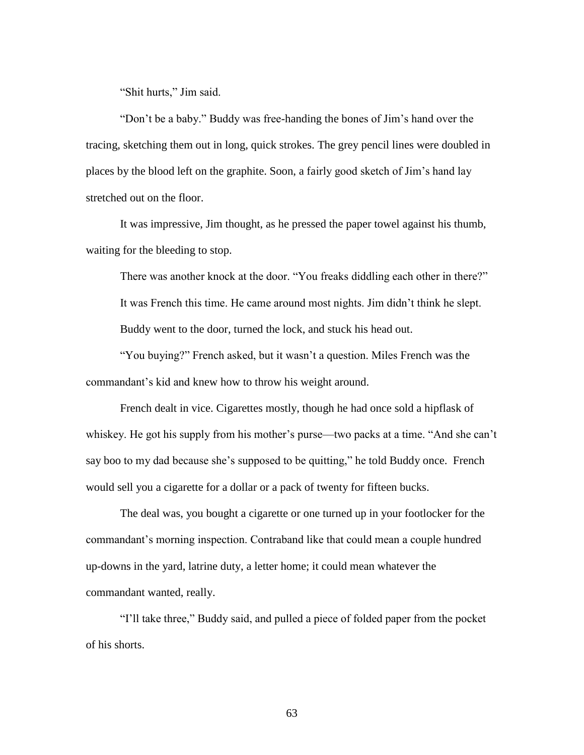"Shit hurts," Jim said.

"Don't be a baby." Buddy was free-handing the bones of Jim's hand over the tracing, sketching them out in long, quick strokes. The grey pencil lines were doubled in places by the blood left on the graphite. Soon, a fairly good sketch of Jim's hand lay stretched out on the floor.

It was impressive, Jim thought, as he pressed the paper towel against his thumb, waiting for the bleeding to stop.

There was another knock at the door. "You freaks diddling each other in there?" It was French this time. He came around most nights. Jim didn't think he slept. Buddy went to the door, turned the lock, and stuck his head out.

"You buying?" French asked, but it wasn't a question. Miles French was the commandant's kid and knew how to throw his weight around.

French dealt in vice. Cigarettes mostly, though he had once sold a hipflask of whiskey. He got his supply from his mother's purse—two packs at a time. "And she can't say boo to my dad because she's supposed to be quitting," he told Buddy once. French would sell you a cigarette for a dollar or a pack of twenty for fifteen bucks.

The deal was, you bought a cigarette or one turned up in your footlocker for the commandant's morning inspection. Contraband like that could mean a couple hundred up-downs in the yard, latrine duty, a letter home; it could mean whatever the commandant wanted, really.

"I'll take three," Buddy said, and pulled a piece of folded paper from the pocket of his shorts.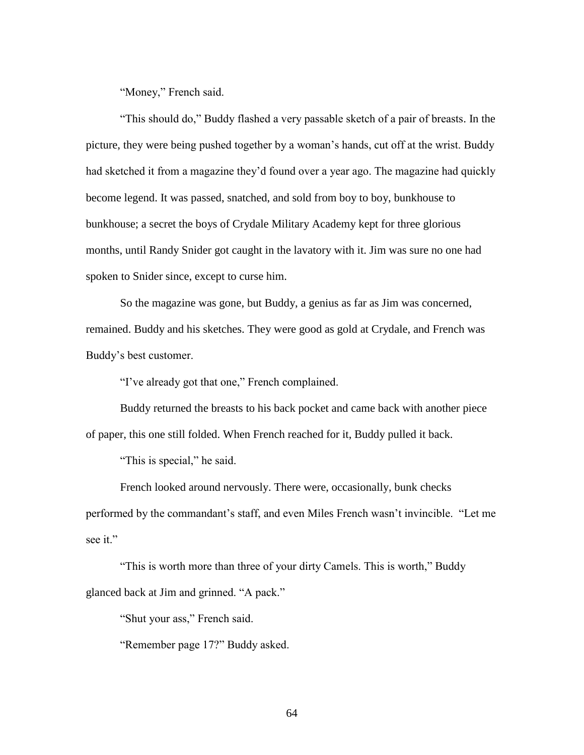"Money," French said.

"This should do," Buddy flashed a very passable sketch of a pair of breasts. In the picture, they were being pushed together by a woman's hands, cut off at the wrist. Buddy had sketched it from a magazine they'd found over a year ago. The magazine had quickly become legend. It was passed, snatched, and sold from boy to boy, bunkhouse to bunkhouse; a secret the boys of Crydale Military Academy kept for three glorious months, until Randy Snider got caught in the lavatory with it. Jim was sure no one had spoken to Snider since, except to curse him.

So the magazine was gone, but Buddy, a genius as far as Jim was concerned, remained. Buddy and his sketches. They were good as gold at Crydale, and French was Buddy's best customer.

"I've already got that one," French complained.

Buddy returned the breasts to his back pocket and came back with another piece of paper, this one still folded. When French reached for it, Buddy pulled it back.

"This is special," he said.

French looked around nervously. There were, occasionally, bunk checks performed by the commandant's staff, and even Miles French wasn't invincible. "Let me see it."

"This is worth more than three of your dirty Camels. This is worth," Buddy glanced back at Jim and grinned. "A pack."

"Shut your ass," French said.

"Remember page 17?" Buddy asked.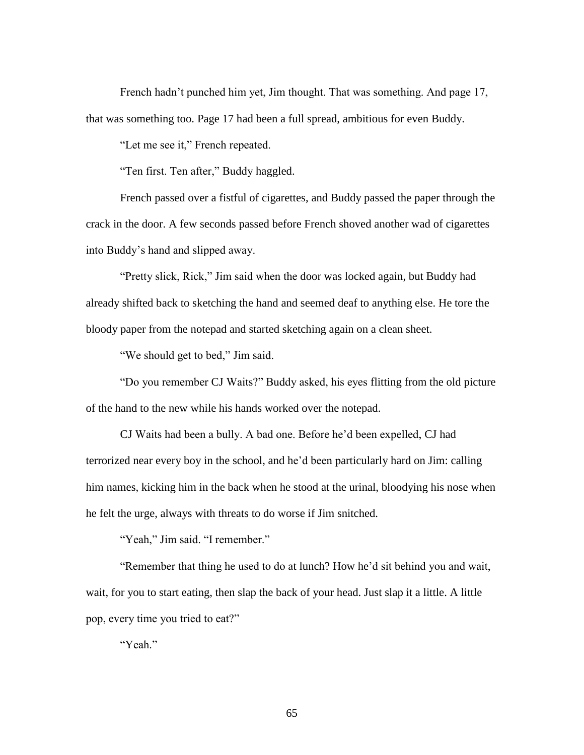French hadn't punched him yet, Jim thought. That was something. And page 17, that was something too. Page 17 had been a full spread, ambitious for even Buddy.

"Let me see it," French repeated.

"Ten first. Ten after," Buddy haggled.

French passed over a fistful of cigarettes, and Buddy passed the paper through the crack in the door. A few seconds passed before French shoved another wad of cigarettes into Buddy's hand and slipped away.

"Pretty slick, Rick," Jim said when the door was locked again, but Buddy had already shifted back to sketching the hand and seemed deaf to anything else. He tore the bloody paper from the notepad and started sketching again on a clean sheet.

"We should get to bed," Jim said.

"Do you remember CJ Waits?" Buddy asked, his eyes flitting from the old picture of the hand to the new while his hands worked over the notepad.

CJ Waits had been a bully. A bad one. Before he'd been expelled, CJ had terrorized near every boy in the school, and he'd been particularly hard on Jim: calling him names, kicking him in the back when he stood at the urinal, bloodying his nose when he felt the urge, always with threats to do worse if Jim snitched.

"Yeah," Jim said. "I remember."

"Remember that thing he used to do at lunch? How he'd sit behind you and wait, wait, for you to start eating, then slap the back of your head. Just slap it a little. A little pop, every time you tried to eat?"

"Yeah."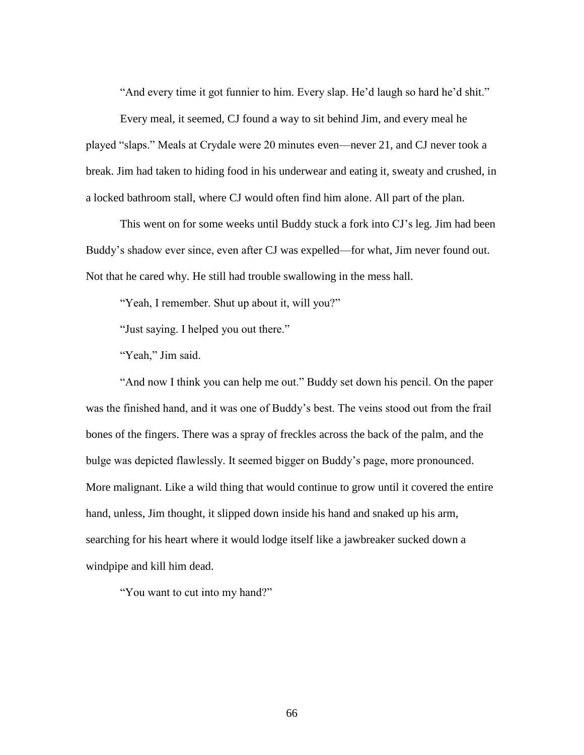"And every time it got funnier to him. Every slap. He'd laugh so hard he'd shit."

Every meal, it seemed, CJ found a way to sit behind Jim, and every meal he played "slaps." Meals at Crydale were 20 minutes even—never 21, and CJ never took a break. Jim had taken to hiding food in his underwear and eating it, sweaty and crushed, in a locked bathroom stall, where CJ would often find him alone. All part of the plan.

This went on for some weeks until Buddy stuck a fork into CJ's leg. Jim had been Buddy's shadow ever since, even after CJ was expelled—for what, Jim never found out. Not that he cared why. He still had trouble swallowing in the mess hall.

"Yeah, I remember. Shut up about it, will you?"

"Just saying. I helped you out there."

"Yeah," Jim said.

"And now I think you can help me out." Buddy set down his pencil. On the paper was the finished hand, and it was one of Buddy's best. The veins stood out from the frail bones of the fingers. There was a spray of freckles across the back of the palm, and the bulge was depicted flawlessly. It seemed bigger on Buddy's page, more pronounced. More malignant. Like a wild thing that would continue to grow until it covered the entire hand, unless, Jim thought, it slipped down inside his hand and snaked up his arm, searching for his heart where it would lodge itself like a jawbreaker sucked down a windpipe and kill him dead.

"You want to cut into my hand?"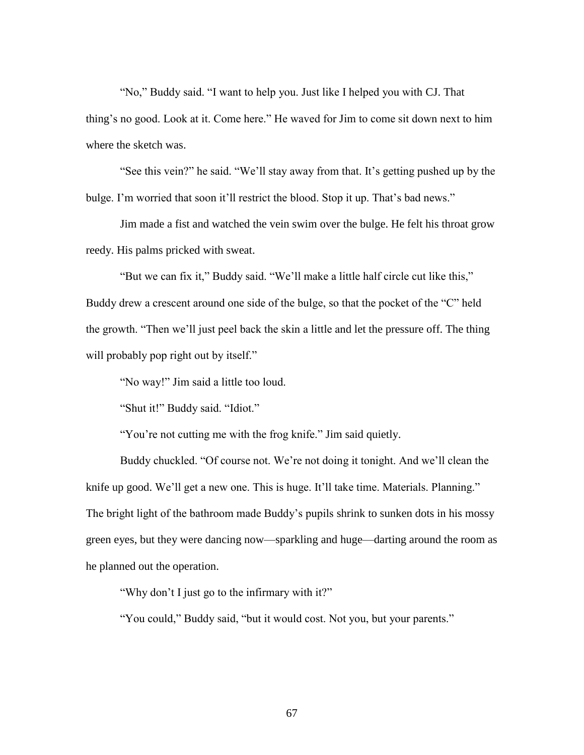"No," Buddy said. "I want to help you. Just like I helped you with CJ. That thing's no good. Look at it. Come here." He waved for Jim to come sit down next to him where the sketch was.

"See this vein?" he said. "We'll stay away from that. It's getting pushed up by the bulge. I'm worried that soon it'll restrict the blood. Stop it up. That's bad news."

Jim made a fist and watched the vein swim over the bulge. He felt his throat grow reedy. His palms pricked with sweat.

"But we can fix it," Buddy said. "We'll make a little half circle cut like this," Buddy drew a crescent around one side of the bulge, so that the pocket of the "C" held the growth. "Then we'll just peel back the skin a little and let the pressure off. The thing will probably pop right out by itself."

"No way!" Jim said a little too loud.

"Shut it!" Buddy said. "Idiot."

"You're not cutting me with the frog knife." Jim said quietly.

Buddy chuckled. "Of course not. We're not doing it tonight. And we'll clean the knife up good. We'll get a new one. This is huge. It'll take time. Materials. Planning." The bright light of the bathroom made Buddy's pupils shrink to sunken dots in his mossy green eyes, but they were dancing now—sparkling and huge—darting around the room as he planned out the operation.

"Why don't I just go to the infirmary with it?"

"You could," Buddy said, "but it would cost. Not you, but your parents."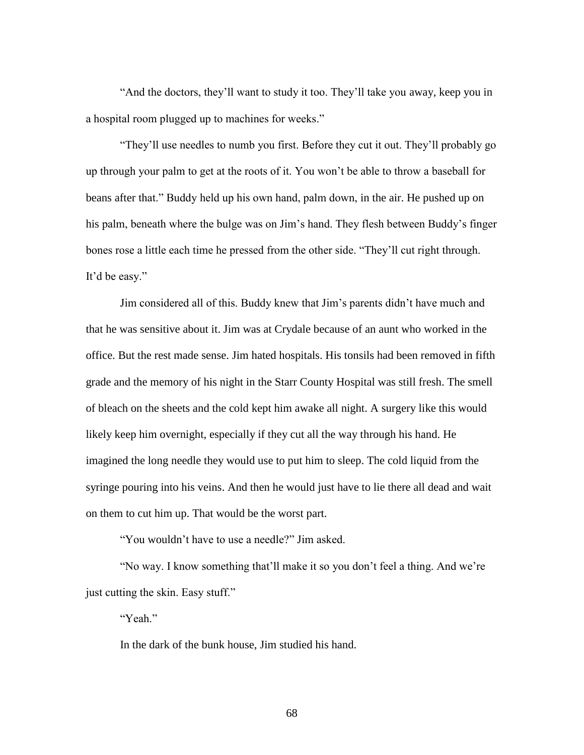"And the doctors, they'll want to study it too. They'll take you away, keep you in a hospital room plugged up to machines for weeks."

"They'll use needles to numb you first. Before they cut it out. They'll probably go up through your palm to get at the roots of it. You won't be able to throw a baseball for beans after that." Buddy held up his own hand, palm down, in the air. He pushed up on his palm, beneath where the bulge was on Jim's hand. They flesh between Buddy's finger bones rose a little each time he pressed from the other side. "They'll cut right through. It'd be easy."

Jim considered all of this. Buddy knew that Jim's parents didn't have much and that he was sensitive about it. Jim was at Crydale because of an aunt who worked in the office. But the rest made sense. Jim hated hospitals. His tonsils had been removed in fifth grade and the memory of his night in the Starr County Hospital was still fresh. The smell of bleach on the sheets and the cold kept him awake all night. A surgery like this would likely keep him overnight, especially if they cut all the way through his hand. He imagined the long needle they would use to put him to sleep. The cold liquid from the syringe pouring into his veins. And then he would just have to lie there all dead and wait on them to cut him up. That would be the worst part.

"You wouldn't have to use a needle?" Jim asked.

"No way. I know something that'll make it so you don't feel a thing. And we're just cutting the skin. Easy stuff."

"Yeah."

In the dark of the bunk house, Jim studied his hand.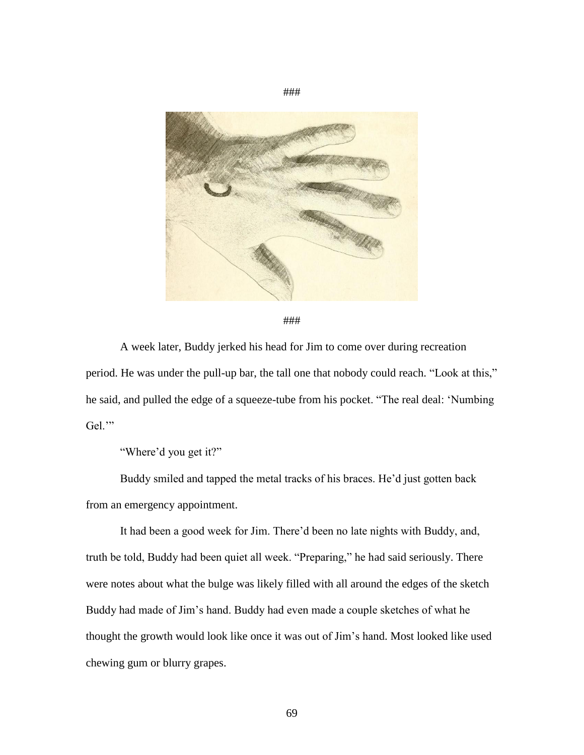

###

A week later, Buddy jerked his head for Jim to come over during recreation period. He was under the pull-up bar, the tall one that nobody could reach. "Look at this," he said, and pulled the edge of a squeeze-tube from his pocket. "The real deal: 'Numbing Gel."

"Where'd you get it?"

Buddy smiled and tapped the metal tracks of his braces. He'd just gotten back from an emergency appointment.

It had been a good week for Jim. There'd been no late nights with Buddy, and, truth be told, Buddy had been quiet all week. "Preparing," he had said seriously. There were notes about what the bulge was likely filled with all around the edges of the sketch Buddy had made of Jim's hand. Buddy had even made a couple sketches of what he thought the growth would look like once it was out of Jim's hand. Most looked like used chewing gum or blurry grapes.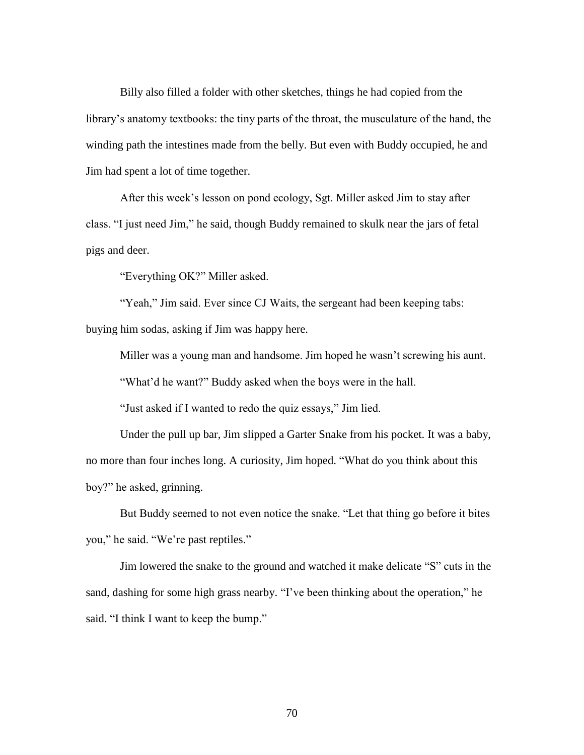Billy also filled a folder with other sketches, things he had copied from the library's anatomy textbooks: the tiny parts of the throat, the musculature of the hand, the winding path the intestines made from the belly. But even with Buddy occupied, he and Jim had spent a lot of time together.

After this week's lesson on pond ecology, Sgt. Miller asked Jim to stay after class. "I just need Jim," he said, though Buddy remained to skulk near the jars of fetal pigs and deer.

"Everything OK?" Miller asked.

"Yeah," Jim said. Ever since CJ Waits, the sergeant had been keeping tabs: buying him sodas, asking if Jim was happy here.

Miller was a young man and handsome. Jim hoped he wasn't screwing his aunt.

"What'd he want?" Buddy asked when the boys were in the hall.

"Just asked if I wanted to redo the quiz essays," Jim lied.

Under the pull up bar, Jim slipped a Garter Snake from his pocket. It was a baby, no more than four inches long. A curiosity, Jim hoped. "What do you think about this boy?" he asked, grinning.

But Buddy seemed to not even notice the snake. "Let that thing go before it bites you," he said. "We're past reptiles."

Jim lowered the snake to the ground and watched it make delicate "S" cuts in the sand, dashing for some high grass nearby. "I've been thinking about the operation," he said. "I think I want to keep the bump."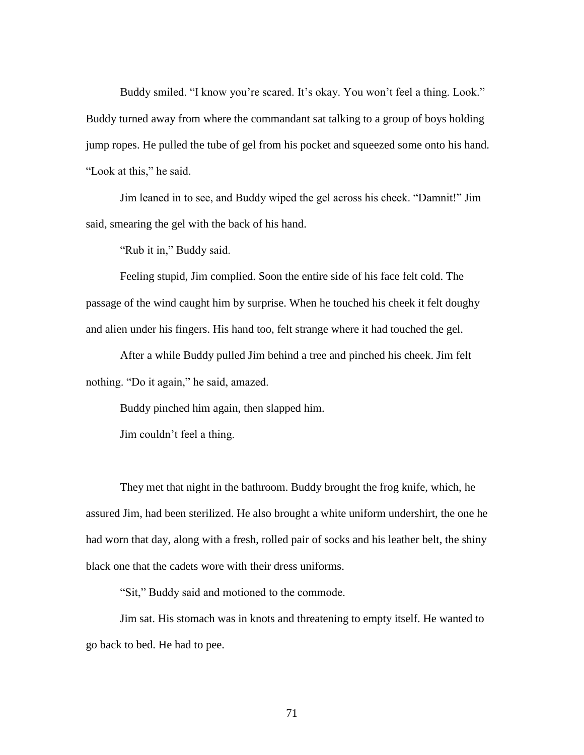Buddy smiled. "I know you're scared. It's okay. You won't feel a thing. Look." Buddy turned away from where the commandant sat talking to a group of boys holding jump ropes. He pulled the tube of gel from his pocket and squeezed some onto his hand. "Look at this," he said.

Jim leaned in to see, and Buddy wiped the gel across his cheek. "Damnit!" Jim said, smearing the gel with the back of his hand.

"Rub it in," Buddy said.

Feeling stupid, Jim complied. Soon the entire side of his face felt cold. The passage of the wind caught him by surprise. When he touched his cheek it felt doughy and alien under his fingers. His hand too, felt strange where it had touched the gel.

After a while Buddy pulled Jim behind a tree and pinched his cheek. Jim felt nothing. "Do it again," he said, amazed.

Buddy pinched him again, then slapped him.

Jim couldn't feel a thing.

They met that night in the bathroom. Buddy brought the frog knife, which, he assured Jim, had been sterilized. He also brought a white uniform undershirt, the one he had worn that day, along with a fresh, rolled pair of socks and his leather belt, the shiny black one that the cadets wore with their dress uniforms.

"Sit," Buddy said and motioned to the commode.

Jim sat. His stomach was in knots and threatening to empty itself. He wanted to go back to bed. He had to pee.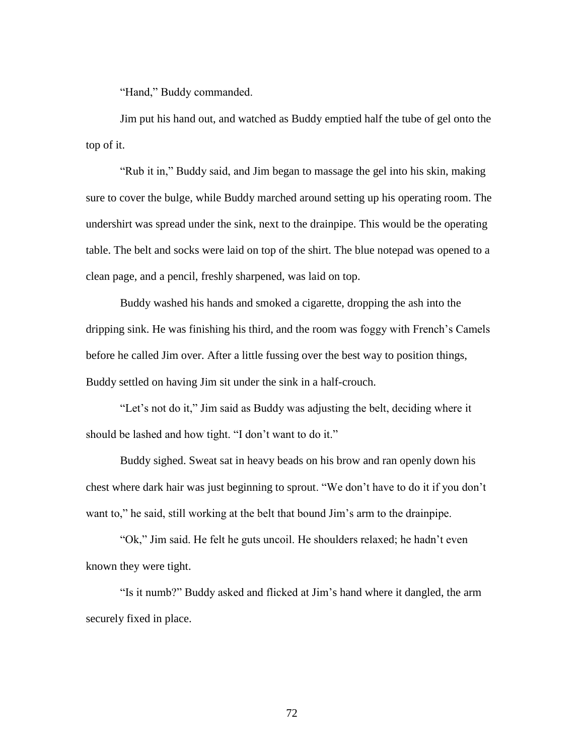"Hand," Buddy commanded.

Jim put his hand out, and watched as Buddy emptied half the tube of gel onto the top of it.

"Rub it in," Buddy said, and Jim began to massage the gel into his skin, making sure to cover the bulge, while Buddy marched around setting up his operating room. The undershirt was spread under the sink, next to the drainpipe. This would be the operating table. The belt and socks were laid on top of the shirt. The blue notepad was opened to a clean page, and a pencil, freshly sharpened, was laid on top.

Buddy washed his hands and smoked a cigarette, dropping the ash into the dripping sink. He was finishing his third, and the room was foggy with French's Camels before he called Jim over. After a little fussing over the best way to position things, Buddy settled on having Jim sit under the sink in a half-crouch.

"Let's not do it," Jim said as Buddy was adjusting the belt, deciding where it should be lashed and how tight. "I don't want to do it."

Buddy sighed. Sweat sat in heavy beads on his brow and ran openly down his chest where dark hair was just beginning to sprout. "We don't have to do it if you don't want to," he said, still working at the belt that bound Jim's arm to the drainpipe.

"Ok," Jim said. He felt he guts uncoil. He shoulders relaxed; he hadn't even known they were tight.

"Is it numb?" Buddy asked and flicked at Jim's hand where it dangled, the arm securely fixed in place.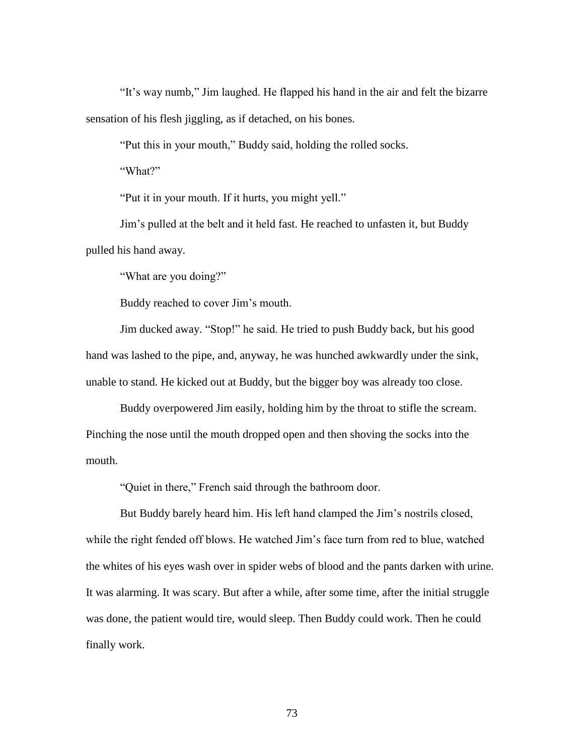"It's way numb," Jim laughed. He flapped his hand in the air and felt the bizarre sensation of his flesh jiggling, as if detached, on his bones.

"Put this in your mouth," Buddy said, holding the rolled socks.

"What?"

"Put it in your mouth. If it hurts, you might yell."

Jim's pulled at the belt and it held fast. He reached to unfasten it, but Buddy pulled his hand away.

"What are you doing?"

Buddy reached to cover Jim's mouth.

Jim ducked away. "Stop!" he said. He tried to push Buddy back, but his good hand was lashed to the pipe, and, anyway, he was hunched awkwardly under the sink, unable to stand. He kicked out at Buddy, but the bigger boy was already too close.

Buddy overpowered Jim easily, holding him by the throat to stifle the scream. Pinching the nose until the mouth dropped open and then shoving the socks into the mouth.

"Quiet in there," French said through the bathroom door.

But Buddy barely heard him. His left hand clamped the Jim's nostrils closed, while the right fended off blows. He watched Jim's face turn from red to blue, watched the whites of his eyes wash over in spider webs of blood and the pants darken with urine. It was alarming. It was scary. But after a while, after some time, after the initial struggle was done, the patient would tire, would sleep. Then Buddy could work. Then he could finally work.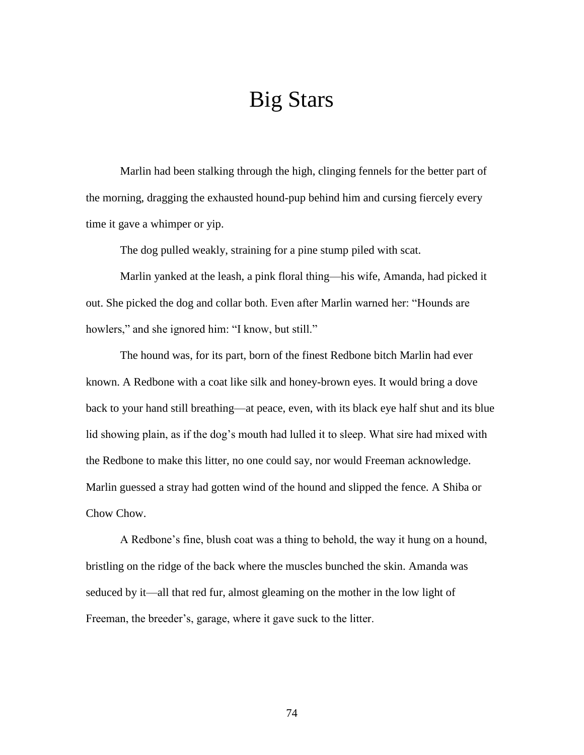# Big Stars

Marlin had been stalking through the high, clinging fennels for the better part of the morning, dragging the exhausted hound-pup behind him and cursing fiercely every time it gave a whimper or yip.

The dog pulled weakly, straining for a pine stump piled with scat.

Marlin yanked at the leash, a pink floral thing—his wife, Amanda, had picked it out. She picked the dog and collar both. Even after Marlin warned her: "Hounds are howlers," and she ignored him: "I know, but still."

The hound was, for its part, born of the finest Redbone bitch Marlin had ever known. A Redbone with a coat like silk and honey-brown eyes. It would bring a dove back to your hand still breathing—at peace, even, with its black eye half shut and its blue lid showing plain, as if the dog's mouth had lulled it to sleep. What sire had mixed with the Redbone to make this litter, no one could say, nor would Freeman acknowledge. Marlin guessed a stray had gotten wind of the hound and slipped the fence. A Shiba or Chow Chow.

A Redbone's fine, blush coat was a thing to behold, the way it hung on a hound, bristling on the ridge of the back where the muscles bunched the skin. Amanda was seduced by it—all that red fur, almost gleaming on the mother in the low light of Freeman, the breeder's, garage, where it gave suck to the litter.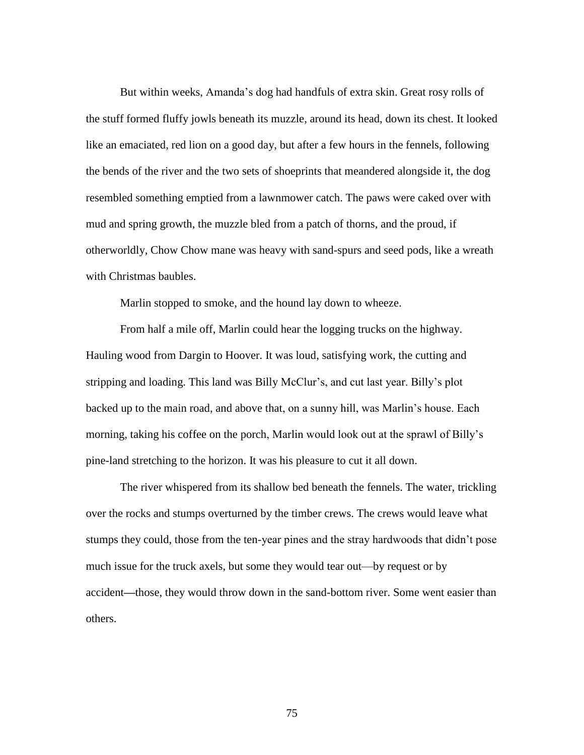But within weeks, Amanda's dog had handfuls of extra skin. Great rosy rolls of the stuff formed fluffy jowls beneath its muzzle, around its head, down its chest. It looked like an emaciated, red lion on a good day, but after a few hours in the fennels, following the bends of the river and the two sets of shoeprints that meandered alongside it, the dog resembled something emptied from a lawnmower catch. The paws were caked over with mud and spring growth, the muzzle bled from a patch of thorns, and the proud, if otherworldly, Chow Chow mane was heavy with sand-spurs and seed pods, like a wreath with Christmas baubles.

Marlin stopped to smoke, and the hound lay down to wheeze.

From half a mile off, Marlin could hear the logging trucks on the highway. Hauling wood from Dargin to Hoover. It was loud, satisfying work, the cutting and stripping and loading. This land was Billy McClur's, and cut last year. Billy's plot backed up to the main road, and above that, on a sunny hill, was Marlin's house. Each morning, taking his coffee on the porch, Marlin would look out at the sprawl of Billy's pine-land stretching to the horizon. It was his pleasure to cut it all down.

The river whispered from its shallow bed beneath the fennels. The water, trickling over the rocks and stumps overturned by the timber crews. The crews would leave what stumps they could, those from the ten-year pines and the stray hardwoods that didn't pose much issue for the truck axels, but some they would tear out—by request or by accident**—**those, they would throw down in the sand-bottom river. Some went easier than others.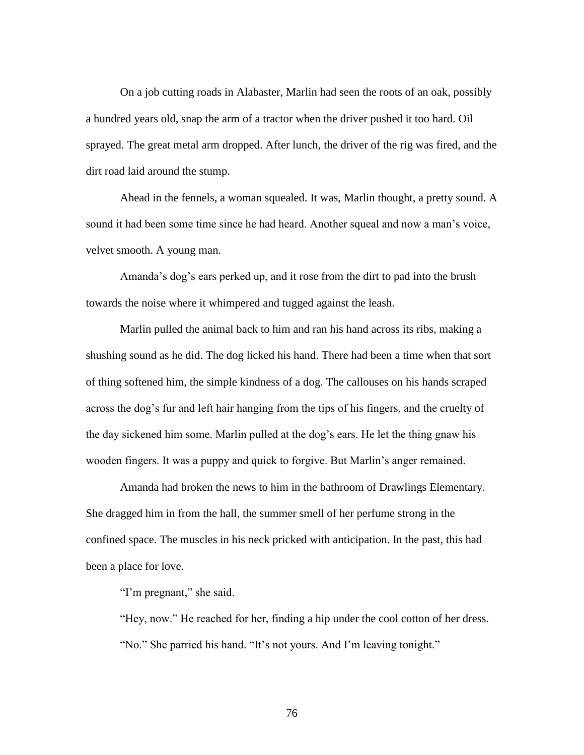On a job cutting roads in Alabaster, Marlin had seen the roots of an oak, possibly a hundred years old, snap the arm of a tractor when the driver pushed it too hard. Oil sprayed. The great metal arm dropped. After lunch, the driver of the rig was fired, and the dirt road laid around the stump.

Ahead in the fennels, a woman squealed. It was, Marlin thought, a pretty sound. A sound it had been some time since he had heard. Another squeal and now a man's voice, velvet smooth. A young man.

Amanda's dog's ears perked up, and it rose from the dirt to pad into the brush towards the noise where it whimpered and tugged against the leash.

Marlin pulled the animal back to him and ran his hand across its ribs, making a shushing sound as he did. The dog licked his hand. There had been a time when that sort of thing softened him, the simple kindness of a dog. The callouses on his hands scraped across the dog's fur and left hair hanging from the tips of his fingers, and the cruelty of the day sickened him some. Marlin pulled at the dog's ears. He let the thing gnaw his wooden fingers. It was a puppy and quick to forgive. But Marlin's anger remained.

Amanda had broken the news to him in the bathroom of Drawlings Elementary. She dragged him in from the hall, the summer smell of her perfume strong in the confined space. The muscles in his neck pricked with anticipation. In the past, this had been a place for love.

"I'm pregnant," she said.

"Hey, now." He reached for her, finding a hip under the cool cotton of her dress. "No." She parried his hand. "It's not yours. And I'm leaving tonight."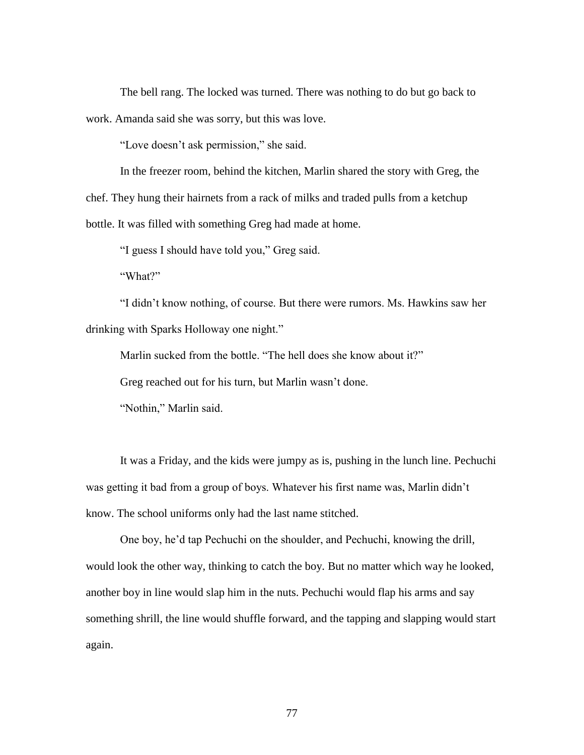The bell rang. The locked was turned. There was nothing to do but go back to work. Amanda said she was sorry, but this was love.

"Love doesn't ask permission," she said.

In the freezer room, behind the kitchen, Marlin shared the story with Greg, the chef. They hung their hairnets from a rack of milks and traded pulls from a ketchup bottle. It was filled with something Greg had made at home.

"I guess I should have told you," Greg said.

"What?"

"I didn't know nothing, of course. But there were rumors. Ms. Hawkins saw her drinking with Sparks Holloway one night."

Marlin sucked from the bottle. "The hell does she know about it?"

Greg reached out for his turn, but Marlin wasn't done.

"Nothin," Marlin said.

It was a Friday, and the kids were jumpy as is, pushing in the lunch line. Pechuchi was getting it bad from a group of boys. Whatever his first name was, Marlin didn't know. The school uniforms only had the last name stitched.

One boy, he'd tap Pechuchi on the shoulder, and Pechuchi, knowing the drill, would look the other way, thinking to catch the boy. But no matter which way he looked, another boy in line would slap him in the nuts. Pechuchi would flap his arms and say something shrill, the line would shuffle forward, and the tapping and slapping would start again.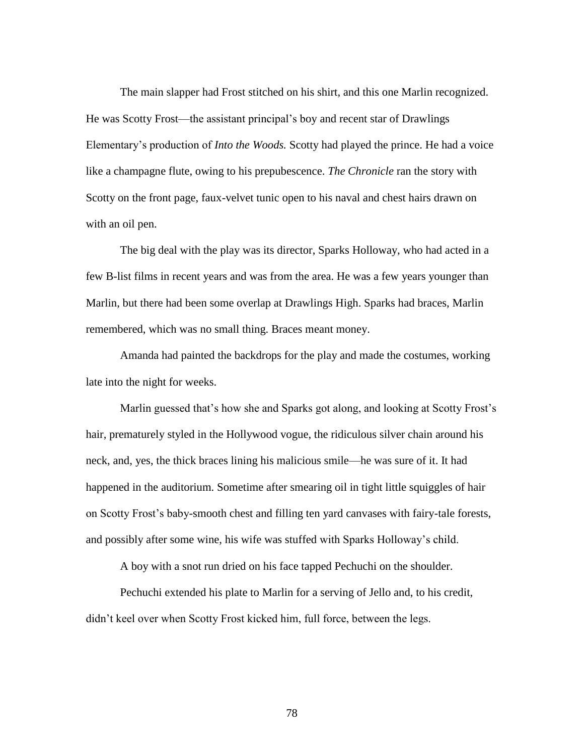The main slapper had Frost stitched on his shirt, and this one Marlin recognized. He was Scotty Frost—the assistant principal's boy and recent star of Drawlings Elementary's production of *Into the Woods.* Scotty had played the prince. He had a voice like a champagne flute, owing to his prepubescence. *The Chronicle* ran the story with Scotty on the front page, faux-velvet tunic open to his naval and chest hairs drawn on with an oil pen.

The big deal with the play was its director, Sparks Holloway, who had acted in a few B-list films in recent years and was from the area. He was a few years younger than Marlin, but there had been some overlap at Drawlings High. Sparks had braces, Marlin remembered, which was no small thing. Braces meant money.

Amanda had painted the backdrops for the play and made the costumes, working late into the night for weeks.

Marlin guessed that's how she and Sparks got along, and looking at Scotty Frost's hair, prematurely styled in the Hollywood vogue, the ridiculous silver chain around his neck, and, yes, the thick braces lining his malicious smile—he was sure of it. It had happened in the auditorium. Sometime after smearing oil in tight little squiggles of hair on Scotty Frost's baby-smooth chest and filling ten yard canvases with fairy-tale forests, and possibly after some wine, his wife was stuffed with Sparks Holloway's child.

A boy with a snot run dried on his face tapped Pechuchi on the shoulder.

Pechuchi extended his plate to Marlin for a serving of Jello and, to his credit, didn't keel over when Scotty Frost kicked him, full force, between the legs.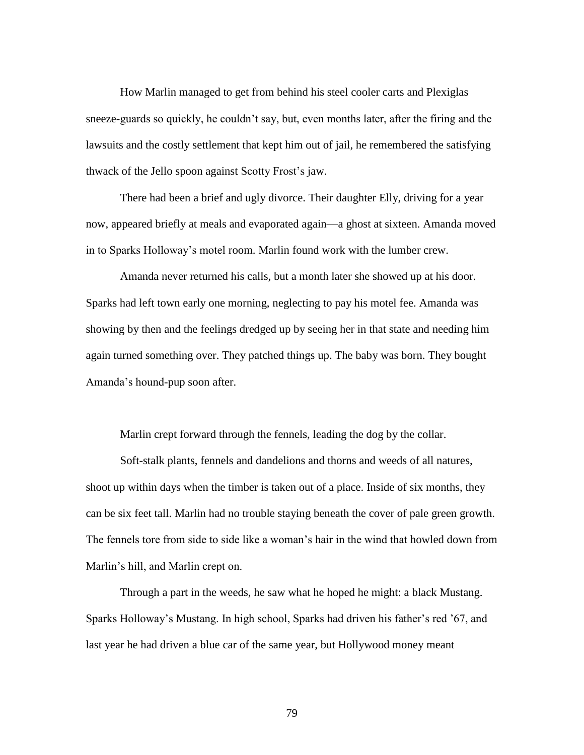How Marlin managed to get from behind his steel cooler carts and Plexiglas sneeze-guards so quickly, he couldn't say, but, even months later, after the firing and the lawsuits and the costly settlement that kept him out of jail, he remembered the satisfying thwack of the Jello spoon against Scotty Frost's jaw.

There had been a brief and ugly divorce. Their daughter Elly, driving for a year now, appeared briefly at meals and evaporated again—a ghost at sixteen. Amanda moved in to Sparks Holloway's motel room. Marlin found work with the lumber crew.

Amanda never returned his calls, but a month later she showed up at his door. Sparks had left town early one morning, neglecting to pay his motel fee. Amanda was showing by then and the feelings dredged up by seeing her in that state and needing him again turned something over. They patched things up. The baby was born. They bought Amanda's hound-pup soon after.

Marlin crept forward through the fennels, leading the dog by the collar.

Soft-stalk plants, fennels and dandelions and thorns and weeds of all natures, shoot up within days when the timber is taken out of a place. Inside of six months, they can be six feet tall. Marlin had no trouble staying beneath the cover of pale green growth. The fennels tore from side to side like a woman's hair in the wind that howled down from Marlin's hill, and Marlin crept on.

Through a part in the weeds, he saw what he hoped he might: a black Mustang. Sparks Holloway's Mustang. In high school, Sparks had driven his father's red '67, and last year he had driven a blue car of the same year, but Hollywood money meant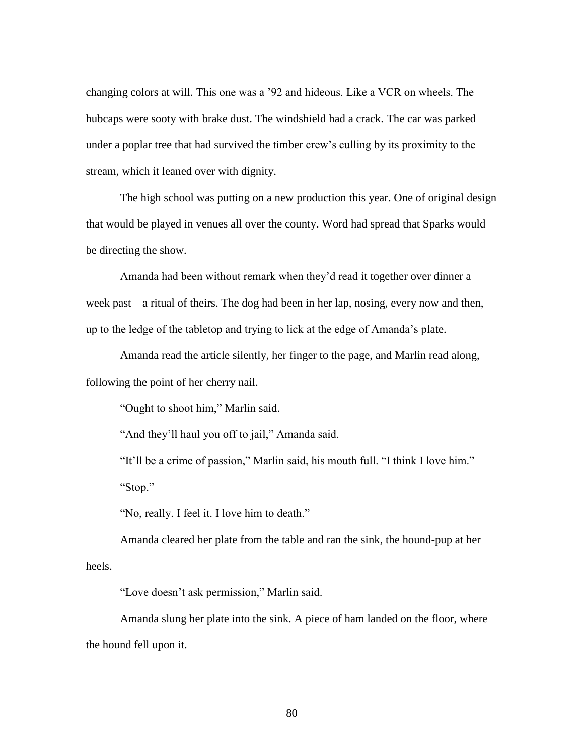changing colors at will. This one was a '92 and hideous. Like a VCR on wheels. The hubcaps were sooty with brake dust. The windshield had a crack. The car was parked under a poplar tree that had survived the timber crew's culling by its proximity to the stream, which it leaned over with dignity.

The high school was putting on a new production this year. One of original design that would be played in venues all over the county. Word had spread that Sparks would be directing the show.

Amanda had been without remark when they'd read it together over dinner a week past—a ritual of theirs. The dog had been in her lap, nosing, every now and then, up to the ledge of the tabletop and trying to lick at the edge of Amanda's plate.

Amanda read the article silently, her finger to the page, and Marlin read along, following the point of her cherry nail.

"Ought to shoot him," Marlin said.

"And they'll haul you off to jail," Amanda said.

"It'll be a crime of passion," Marlin said, his mouth full. "I think I love him." "Stop."

"No, really. I feel it. I love him to death."

Amanda cleared her plate from the table and ran the sink, the hound-pup at her heels.

"Love doesn't ask permission," Marlin said.

Amanda slung her plate into the sink. A piece of ham landed on the floor, where the hound fell upon it.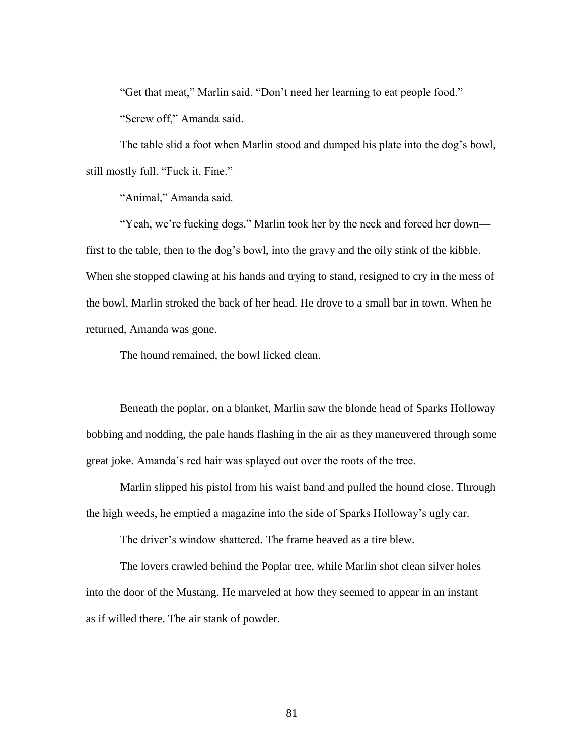"Get that meat," Marlin said. "Don't need her learning to eat people food." "Screw off," Amanda said.

The table slid a foot when Marlin stood and dumped his plate into the dog's bowl, still mostly full. "Fuck it. Fine."

"Animal," Amanda said.

"Yeah, we're fucking dogs." Marlin took her by the neck and forced her down first to the table, then to the dog's bowl, into the gravy and the oily stink of the kibble. When she stopped clawing at his hands and trying to stand, resigned to cry in the mess of the bowl, Marlin stroked the back of her head. He drove to a small bar in town. When he returned, Amanda was gone.

The hound remained, the bowl licked clean.

Beneath the poplar, on a blanket, Marlin saw the blonde head of Sparks Holloway bobbing and nodding, the pale hands flashing in the air as they maneuvered through some great joke. Amanda's red hair was splayed out over the roots of the tree.

Marlin slipped his pistol from his waist band and pulled the hound close. Through the high weeds, he emptied a magazine into the side of Sparks Holloway's ugly car.

The driver's window shattered. The frame heaved as a tire blew.

The lovers crawled behind the Poplar tree, while Marlin shot clean silver holes into the door of the Mustang. He marveled at how they seemed to appear in an instant as if willed there. The air stank of powder.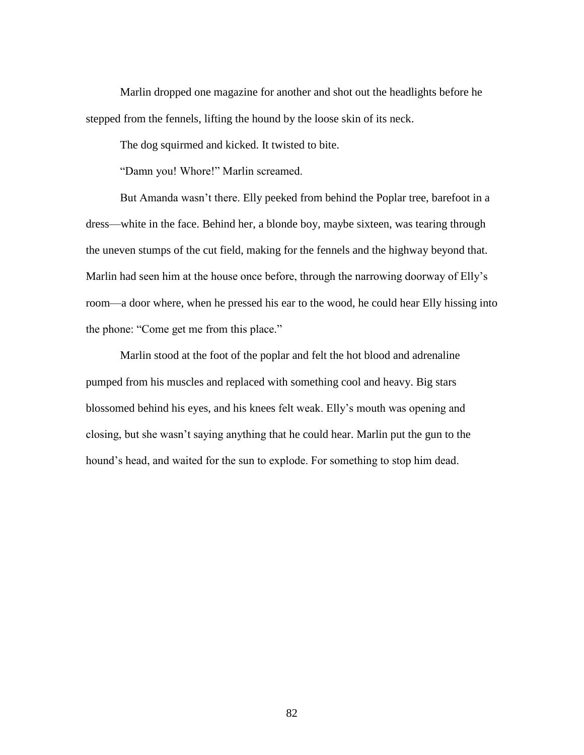Marlin dropped one magazine for another and shot out the headlights before he stepped from the fennels, lifting the hound by the loose skin of its neck.

The dog squirmed and kicked. It twisted to bite.

"Damn you! Whore!" Marlin screamed.

But Amanda wasn't there. Elly peeked from behind the Poplar tree, barefoot in a dress—white in the face. Behind her, a blonde boy, maybe sixteen, was tearing through the uneven stumps of the cut field, making for the fennels and the highway beyond that. Marlin had seen him at the house once before, through the narrowing doorway of Elly's room—a door where, when he pressed his ear to the wood, he could hear Elly hissing into the phone: "Come get me from this place."

Marlin stood at the foot of the poplar and felt the hot blood and adrenaline pumped from his muscles and replaced with something cool and heavy. Big stars blossomed behind his eyes, and his knees felt weak. Elly's mouth was opening and closing, but she wasn't saying anything that he could hear. Marlin put the gun to the hound's head, and waited for the sun to explode. For something to stop him dead.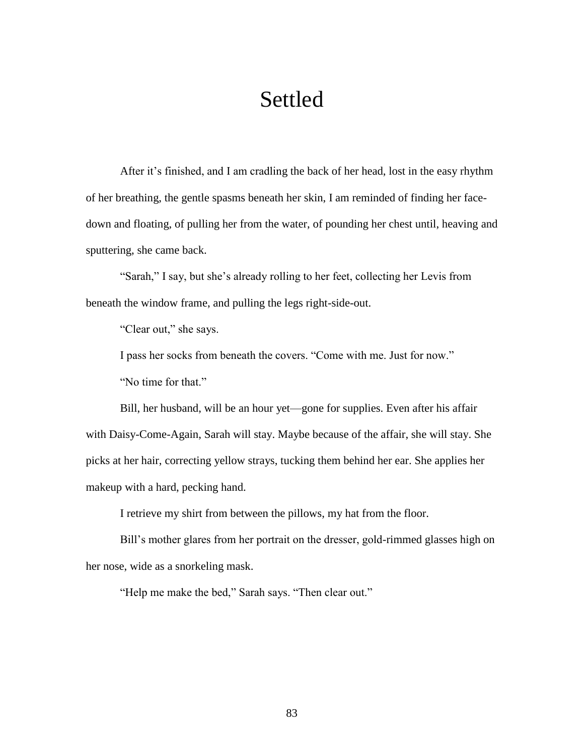# Settled

After it's finished, and I am cradling the back of her head, lost in the easy rhythm of her breathing, the gentle spasms beneath her skin, I am reminded of finding her facedown and floating, of pulling her from the water, of pounding her chest until, heaving and sputtering, she came back.

"Sarah," I say, but she's already rolling to her feet, collecting her Levis from beneath the window frame, and pulling the legs right-side-out.

"Clear out," she says.

I pass her socks from beneath the covers. "Come with me. Just for now." "No time for that."

Bill, her husband, will be an hour yet—gone for supplies. Even after his affair with Daisy-Come-Again, Sarah will stay. Maybe because of the affair, she will stay. She picks at her hair, correcting yellow strays, tucking them behind her ear. She applies her makeup with a hard, pecking hand.

I retrieve my shirt from between the pillows, my hat from the floor.

Bill's mother glares from her portrait on the dresser, gold-rimmed glasses high on her nose, wide as a snorkeling mask.

"Help me make the bed," Sarah says. "Then clear out."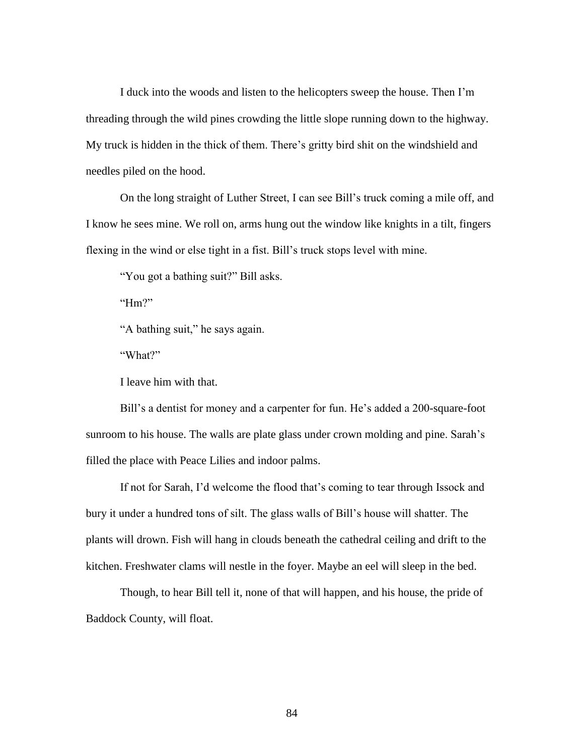I duck into the woods and listen to the helicopters sweep the house. Then I'm threading through the wild pines crowding the little slope running down to the highway. My truck is hidden in the thick of them. There's gritty bird shit on the windshield and needles piled on the hood.

On the long straight of Luther Street, I can see Bill's truck coming a mile off, and I know he sees mine. We roll on, arms hung out the window like knights in a tilt, fingers flexing in the wind or else tight in a fist. Bill's truck stops level with mine.

"You got a bathing suit?" Bill asks.

"Hm?"

"A bathing suit," he says again.

"What?"

I leave him with that.

Bill's a dentist for money and a carpenter for fun. He's added a 200-square-foot sunroom to his house. The walls are plate glass under crown molding and pine. Sarah's filled the place with Peace Lilies and indoor palms.

If not for Sarah, I'd welcome the flood that's coming to tear through Issock and bury it under a hundred tons of silt. The glass walls of Bill's house will shatter. The plants will drown. Fish will hang in clouds beneath the cathedral ceiling and drift to the kitchen. Freshwater clams will nestle in the foyer. Maybe an eel will sleep in the bed.

Though, to hear Bill tell it, none of that will happen, and his house, the pride of Baddock County, will float.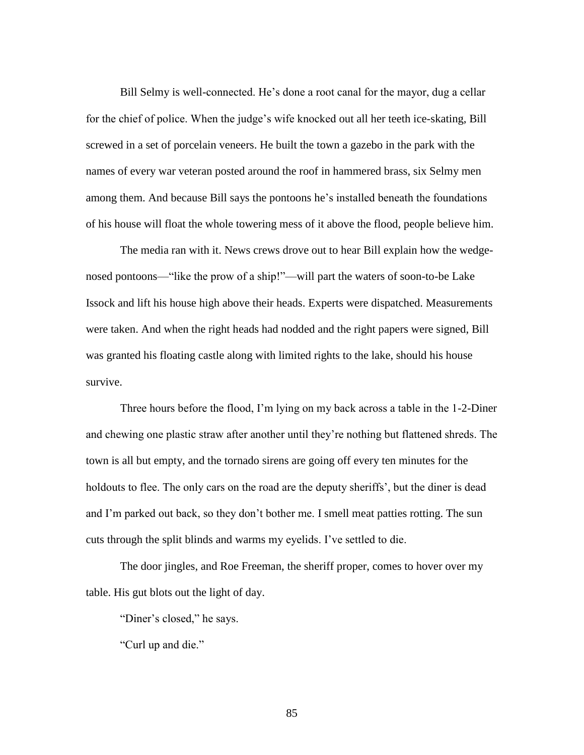Bill Selmy is well-connected. He's done a root canal for the mayor, dug a cellar for the chief of police. When the judge's wife knocked out all her teeth ice-skating, Bill screwed in a set of porcelain veneers. He built the town a gazebo in the park with the names of every war veteran posted around the roof in hammered brass, six Selmy men among them. And because Bill says the pontoons he's installed beneath the foundations of his house will float the whole towering mess of it above the flood, people believe him.

The media ran with it. News crews drove out to hear Bill explain how the wedgenosed pontoons—"like the prow of a ship!"—will part the waters of soon-to-be Lake Issock and lift his house high above their heads. Experts were dispatched. Measurements were taken. And when the right heads had nodded and the right papers were signed, Bill was granted his floating castle along with limited rights to the lake, should his house survive.

Three hours before the flood, I'm lying on my back across a table in the 1-2-Diner and chewing one plastic straw after another until they're nothing but flattened shreds. The town is all but empty, and the tornado sirens are going off every ten minutes for the holdouts to flee. The only cars on the road are the deputy sheriffs', but the diner is dead and I'm parked out back, so they don't bother me. I smell meat patties rotting. The sun cuts through the split blinds and warms my eyelids. I've settled to die.

The door jingles, and Roe Freeman, the sheriff proper, comes to hover over my table. His gut blots out the light of day.

"Diner's closed," he says.

"Curl up and die."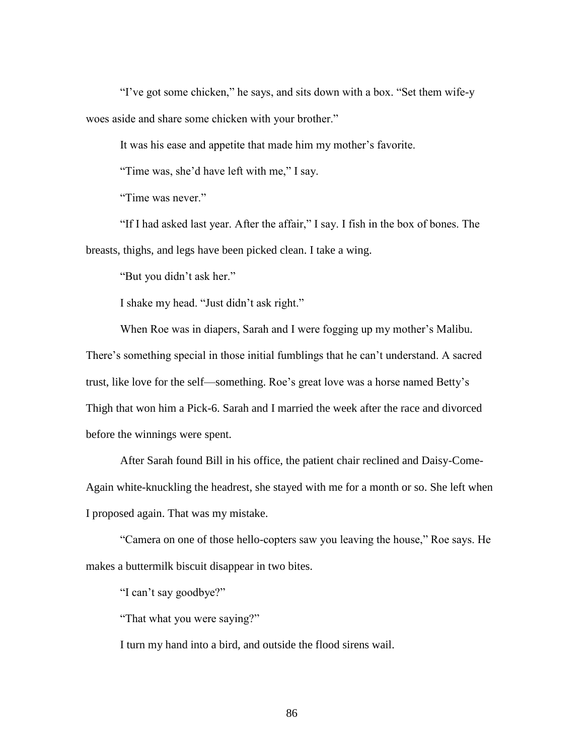"I've got some chicken," he says, and sits down with a box. "Set them wife-y woes aside and share some chicken with your brother."

It was his ease and appetite that made him my mother's favorite.

"Time was, she'd have left with me," I say.

"Time was never."

"If I had asked last year. After the affair," I say. I fish in the box of bones. The breasts, thighs, and legs have been picked clean. I take a wing.

"But you didn't ask her."

I shake my head. "Just didn't ask right."

When Roe was in diapers, Sarah and I were fogging up my mother's Malibu. There's something special in those initial fumblings that he can't understand. A sacred trust, like love for the self—something. Roe's great love was a horse named Betty's Thigh that won him a Pick-6. Sarah and I married the week after the race and divorced before the winnings were spent.

After Sarah found Bill in his office, the patient chair reclined and Daisy-Come-Again white-knuckling the headrest, she stayed with me for a month or so. She left when I proposed again. That was my mistake.

"Camera on one of those hello-copters saw you leaving the house," Roe says. He makes a buttermilk biscuit disappear in two bites.

"I can't say goodbye?"

"That what you were saying?"

I turn my hand into a bird, and outside the flood sirens wail.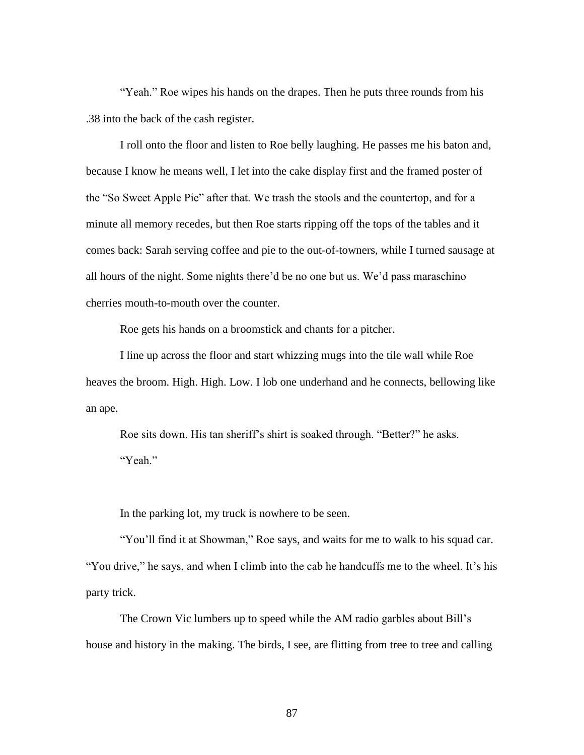"Yeah." Roe wipes his hands on the drapes. Then he puts three rounds from his .38 into the back of the cash register.

I roll onto the floor and listen to Roe belly laughing. He passes me his baton and, because I know he means well, I let into the cake display first and the framed poster of the "So Sweet Apple Pie" after that. We trash the stools and the countertop, and for a minute all memory recedes, but then Roe starts ripping off the tops of the tables and it comes back: Sarah serving coffee and pie to the out-of-towners, while I turned sausage at all hours of the night. Some nights there'd be no one but us. We'd pass maraschino cherries mouth-to-mouth over the counter.

Roe gets his hands on a broomstick and chants for a pitcher.

I line up across the floor and start whizzing mugs into the tile wall while Roe heaves the broom. High. High. Low. I lob one underhand and he connects, bellowing like an ape.

Roe sits down. His tan sheriff's shirt is soaked through. "Better?" he asks. "Yeah."

In the parking lot, my truck is nowhere to be seen.

"You'll find it at Showman," Roe says, and waits for me to walk to his squad car. "You drive," he says, and when I climb into the cab he handcuffs me to the wheel. It's his party trick.

The Crown Vic lumbers up to speed while the AM radio garbles about Bill's house and history in the making. The birds, I see, are flitting from tree to tree and calling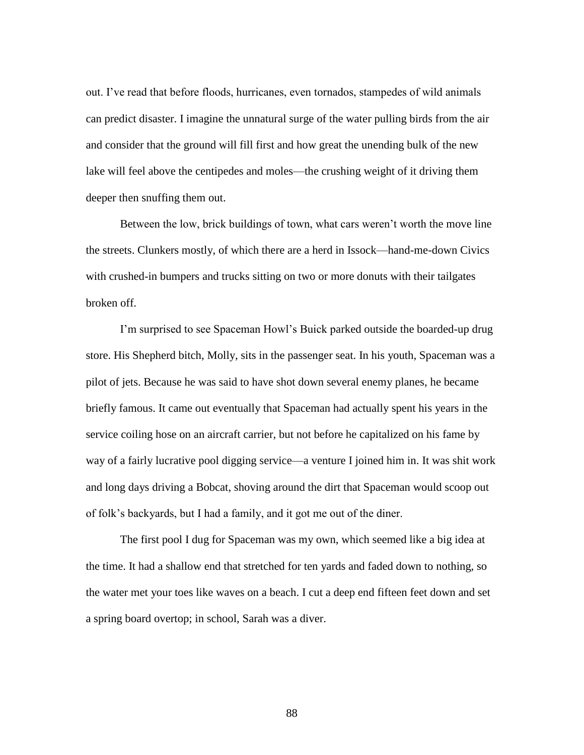out. I've read that before floods, hurricanes, even tornados, stampedes of wild animals can predict disaster. I imagine the unnatural surge of the water pulling birds from the air and consider that the ground will fill first and how great the unending bulk of the new lake will feel above the centipedes and moles—the crushing weight of it driving them deeper then snuffing them out.

Between the low, brick buildings of town, what cars weren't worth the move line the streets. Clunkers mostly, of which there are a herd in Issock—hand-me-down Civics with crushed-in bumpers and trucks sitting on two or more donuts with their tailgates broken off.

I'm surprised to see Spaceman Howl's Buick parked outside the boarded-up drug store. His Shepherd bitch, Molly, sits in the passenger seat. In his youth, Spaceman was a pilot of jets. Because he was said to have shot down several enemy planes, he became briefly famous. It came out eventually that Spaceman had actually spent his years in the service coiling hose on an aircraft carrier, but not before he capitalized on his fame by way of a fairly lucrative pool digging service—a venture I joined him in. It was shit work and long days driving a Bobcat, shoving around the dirt that Spaceman would scoop out of folk's backyards, but I had a family, and it got me out of the diner.

The first pool I dug for Spaceman was my own, which seemed like a big idea at the time. It had a shallow end that stretched for ten yards and faded down to nothing, so the water met your toes like waves on a beach. I cut a deep end fifteen feet down and set a spring board overtop; in school, Sarah was a diver.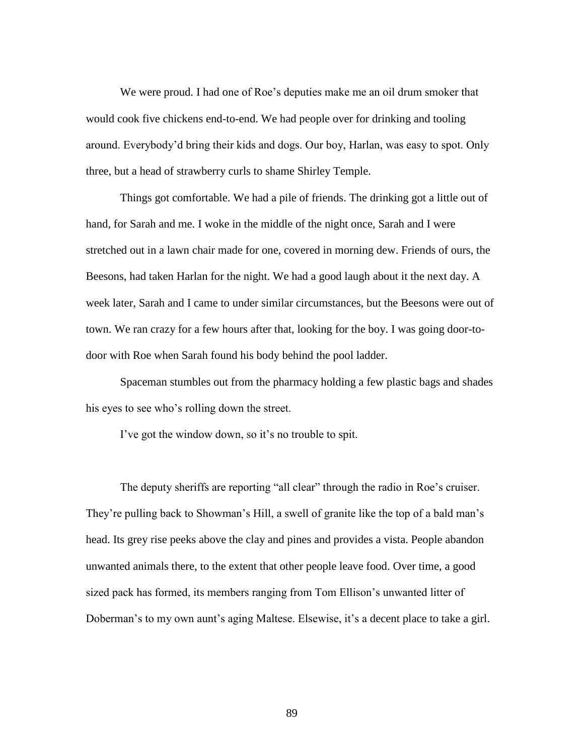We were proud. I had one of Roe's deputies make me an oil drum smoker that would cook five chickens end-to-end. We had people over for drinking and tooling around. Everybody'd bring their kids and dogs. Our boy, Harlan, was easy to spot. Only three, but a head of strawberry curls to shame Shirley Temple.

Things got comfortable. We had a pile of friends. The drinking got a little out of hand, for Sarah and me. I woke in the middle of the night once, Sarah and I were stretched out in a lawn chair made for one, covered in morning dew. Friends of ours, the Beesons, had taken Harlan for the night. We had a good laugh about it the next day. A week later, Sarah and I came to under similar circumstances, but the Beesons were out of town. We ran crazy for a few hours after that, looking for the boy. I was going door-todoor with Roe when Sarah found his body behind the pool ladder.

Spaceman stumbles out from the pharmacy holding a few plastic bags and shades his eyes to see who's rolling down the street.

I've got the window down, so it's no trouble to spit.

The deputy sheriffs are reporting "all clear" through the radio in Roe's cruiser. They're pulling back to Showman's Hill, a swell of granite like the top of a bald man's head. Its grey rise peeks above the clay and pines and provides a vista. People abandon unwanted animals there, to the extent that other people leave food. Over time, a good sized pack has formed, its members ranging from Tom Ellison's unwanted litter of Doberman's to my own aunt's aging Maltese. Elsewise, it's a decent place to take a girl.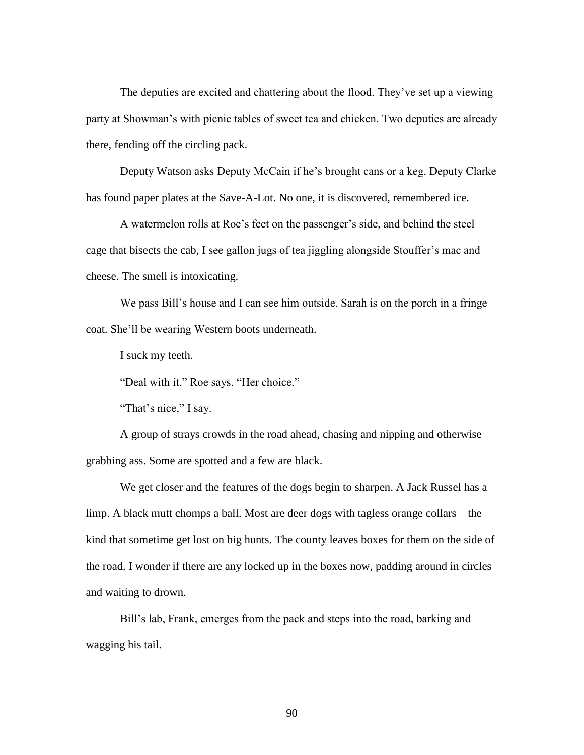The deputies are excited and chattering about the flood. They've set up a viewing party at Showman's with picnic tables of sweet tea and chicken. Two deputies are already there, fending off the circling pack.

Deputy Watson asks Deputy McCain if he's brought cans or a keg. Deputy Clarke has found paper plates at the Save-A-Lot. No one, it is discovered, remembered ice.

A watermelon rolls at Roe's feet on the passenger's side, and behind the steel cage that bisects the cab, I see gallon jugs of tea jiggling alongside Stouffer's mac and cheese. The smell is intoxicating.

We pass Bill's house and I can see him outside. Sarah is on the porch in a fringe coat. She'll be wearing Western boots underneath.

I suck my teeth.

"Deal with it," Roe says. "Her choice."

"That's nice," I say.

A group of strays crowds in the road ahead, chasing and nipping and otherwise grabbing ass. Some are spotted and a few are black.

We get closer and the features of the dogs begin to sharpen. A Jack Russel has a limp. A black mutt chomps a ball. Most are deer dogs with tagless orange collars—the kind that sometime get lost on big hunts. The county leaves boxes for them on the side of the road. I wonder if there are any locked up in the boxes now, padding around in circles and waiting to drown.

Bill's lab, Frank, emerges from the pack and steps into the road, barking and wagging his tail.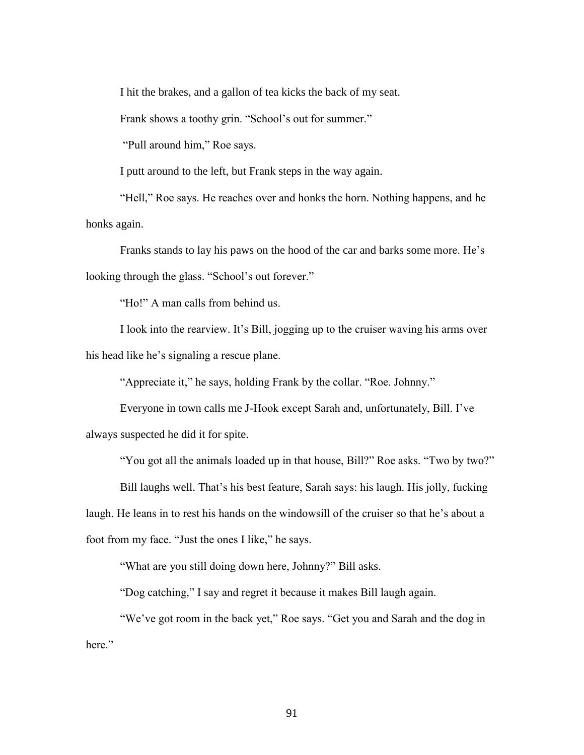I hit the brakes, and a gallon of tea kicks the back of my seat.

Frank shows a toothy grin. "School's out for summer."

"Pull around him," Roe says.

I putt around to the left, but Frank steps in the way again.

"Hell," Roe says. He reaches over and honks the horn. Nothing happens, and he honks again.

Franks stands to lay his paws on the hood of the car and barks some more. He's looking through the glass. "School's out forever."

"Ho!" A man calls from behind us.

I look into the rearview. It's Bill, jogging up to the cruiser waving his arms over his head like he's signaling a rescue plane.

"Appreciate it," he says, holding Frank by the collar. "Roe. Johnny."

Everyone in town calls me J-Hook except Sarah and, unfortunately, Bill. I've always suspected he did it for spite.

"You got all the animals loaded up in that house, Bill?" Roe asks. "Two by two?"

Bill laughs well. That's his best feature, Sarah says: his laugh. His jolly, fucking laugh. He leans in to rest his hands on the windowsill of the cruiser so that he's about a foot from my face. "Just the ones I like," he says.

"What are you still doing down here, Johnny?" Bill asks.

"Dog catching," I say and regret it because it makes Bill laugh again.

"We've got room in the back yet," Roe says. "Get you and Sarah and the dog in here."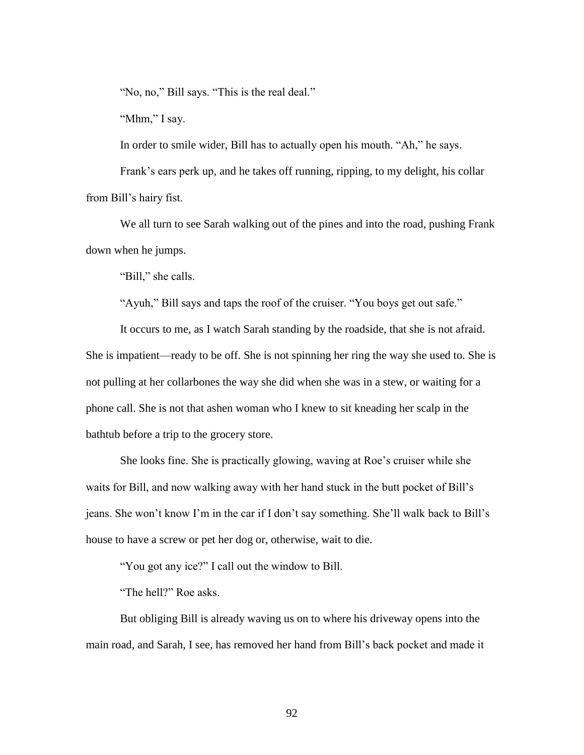"No, no," Bill says. "This is the real deal."

"Mhm," I say.

In order to smile wider, Bill has to actually open his mouth. "Ah," he says.

Frank's ears perk up, and he takes off running, ripping, to my delight, his collar from Bill's hairy fist.

We all turn to see Sarah walking out of the pines and into the road, pushing Frank down when he jumps.

"Bill," she calls.

"Ayuh," Bill says and taps the roof of the cruiser. "You boys get out safe."

It occurs to me, as I watch Sarah standing by the roadside, that she is not afraid. She is impatient—ready to be off. She is not spinning her ring the way she used to. She is not pulling at her collarbones the way she did when she was in a stew, or waiting for a phone call. She is not that ashen woman who I knew to sit kneading her scalp in the bathtub before a trip to the grocery store.

She looks fine. She is practically glowing, waving at Roe's cruiser while she waits for Bill, and now walking away with her hand stuck in the butt pocket of Bill's jeans. She won't know I'm in the car if I don't say something. She'll walk back to Bill's house to have a screw or pet her dog or, otherwise, wait to die.

"You got any ice?" I call out the window to Bill.

"The hell?" Roe asks.

But obliging Bill is already waving us on to where his driveway opens into the main road, and Sarah, I see, has removed her hand from Bill's back pocket and made it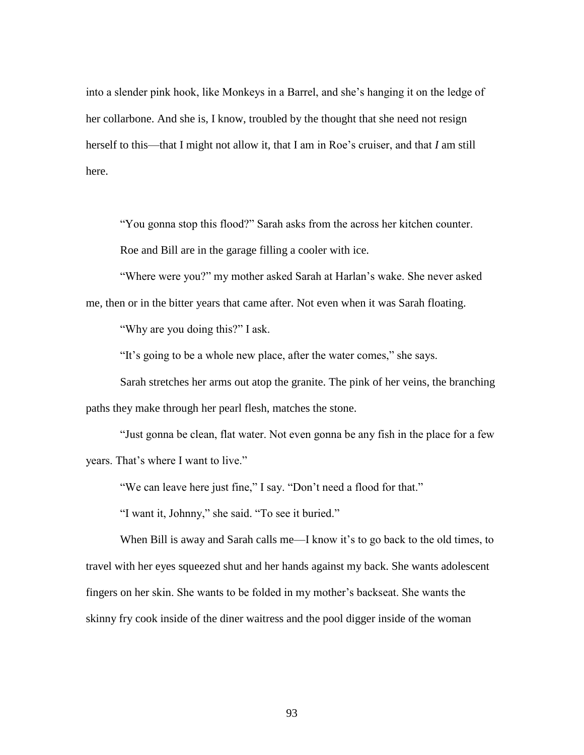into a slender pink hook, like Monkeys in a Barrel, and she's hanging it on the ledge of her collarbone. And she is, I know, troubled by the thought that she need not resign herself to this—that I might not allow it, that I am in Roe's cruiser, and that *I* am still here.

"You gonna stop this flood?" Sarah asks from the across her kitchen counter. Roe and Bill are in the garage filling a cooler with ice.

"Where were you?" my mother asked Sarah at Harlan's wake. She never asked

me, then or in the bitter years that came after. Not even when it was Sarah floating.

"Why are you doing this?" I ask.

"It's going to be a whole new place, after the water comes," she says.

Sarah stretches her arms out atop the granite. The pink of her veins, the branching paths they make through her pearl flesh, matches the stone.

"Just gonna be clean, flat water. Not even gonna be any fish in the place for a few years. That's where I want to live."

"We can leave here just fine," I say. "Don't need a flood for that."

"I want it, Johnny," she said. "To see it buried."

When Bill is away and Sarah calls me—I know it's to go back to the old times, to travel with her eyes squeezed shut and her hands against my back. She wants adolescent fingers on her skin. She wants to be folded in my mother's backseat. She wants the skinny fry cook inside of the diner waitress and the pool digger inside of the woman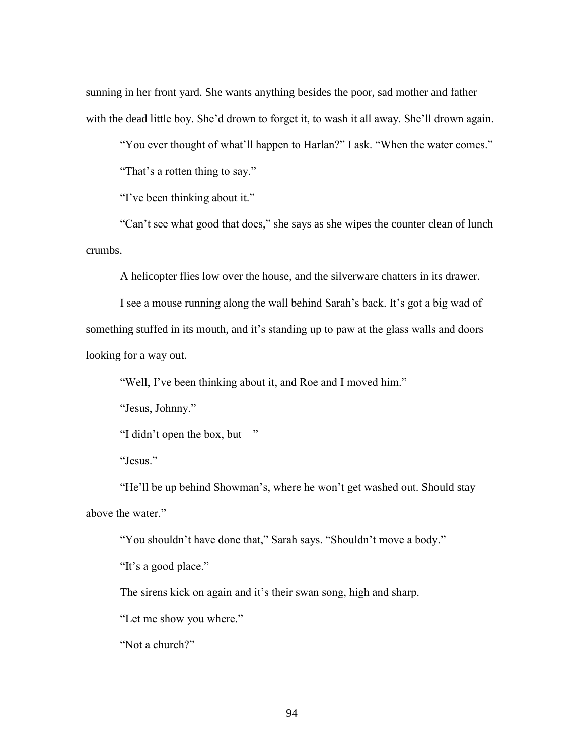sunning in her front yard. She wants anything besides the poor, sad mother and father with the dead little boy. She'd drown to forget it, to wash it all away. She'll drown again.

"You ever thought of what'll happen to Harlan?" I ask. "When the water comes."

"That's a rotten thing to say."

"I've been thinking about it."

"Can't see what good that does," she says as she wipes the counter clean of lunch crumbs.

A helicopter flies low over the house, and the silverware chatters in its drawer.

I see a mouse running along the wall behind Sarah's back. It's got a big wad of something stuffed in its mouth, and it's standing up to paw at the glass walls and doors looking for a way out.

"Well, I've been thinking about it, and Roe and I moved him."

"Jesus, Johnny."

"I didn't open the box, but—"

"Jesus."

"He'll be up behind Showman's, where he won't get washed out. Should stay above the water."

"You shouldn't have done that," Sarah says. "Shouldn't move a body."

"It's a good place."

The sirens kick on again and it's their swan song, high and sharp.

"Let me show you where."

"Not a church?"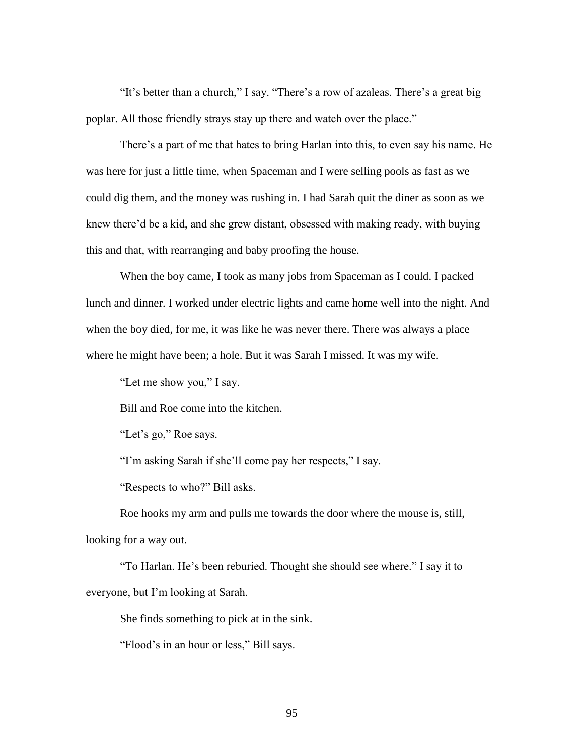"It's better than a church," I say. "There's a row of azaleas. There's a great big poplar. All those friendly strays stay up there and watch over the place."

There's a part of me that hates to bring Harlan into this, to even say his name. He was here for just a little time, when Spaceman and I were selling pools as fast as we could dig them, and the money was rushing in. I had Sarah quit the diner as soon as we knew there'd be a kid, and she grew distant, obsessed with making ready, with buying this and that, with rearranging and baby proofing the house.

When the boy came, I took as many jobs from Spaceman as I could. I packed lunch and dinner. I worked under electric lights and came home well into the night. And when the boy died, for me, it was like he was never there. There was always a place where he might have been; a hole. But it was Sarah I missed. It was my wife.

"Let me show you," I say.

Bill and Roe come into the kitchen.

"Let's go," Roe says.

"I'm asking Sarah if she'll come pay her respects," I say.

"Respects to who?" Bill asks.

Roe hooks my arm and pulls me towards the door where the mouse is, still, looking for a way out.

"To Harlan. He's been reburied. Thought she should see where." I say it to everyone, but I'm looking at Sarah.

She finds something to pick at in the sink.

"Flood's in an hour or less," Bill says.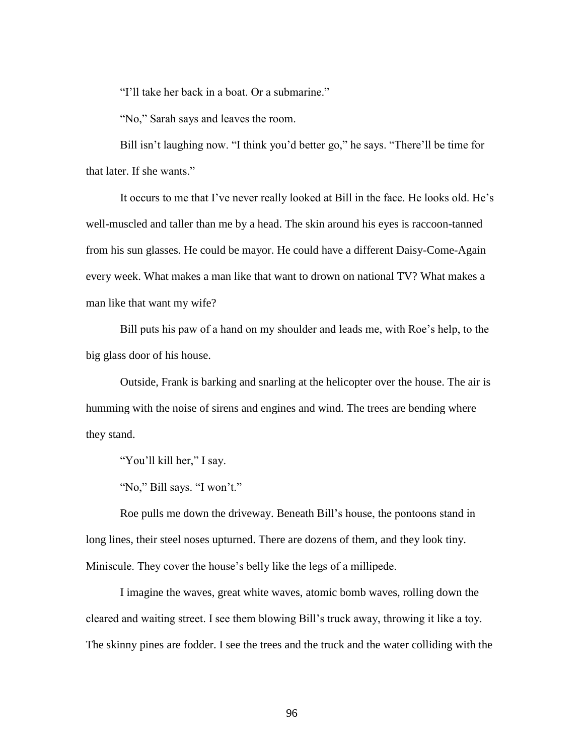"I'll take her back in a boat. Or a submarine."

"No," Sarah says and leaves the room.

Bill isn't laughing now. "I think you'd better go," he says. "There'll be time for that later. If she wants."

It occurs to me that I've never really looked at Bill in the face. He looks old. He's well-muscled and taller than me by a head. The skin around his eyes is raccoon-tanned from his sun glasses. He could be mayor. He could have a different Daisy-Come-Again every week. What makes a man like that want to drown on national TV? What makes a man like that want my wife?

Bill puts his paw of a hand on my shoulder and leads me, with Roe's help, to the big glass door of his house.

Outside, Frank is barking and snarling at the helicopter over the house. The air is humming with the noise of sirens and engines and wind. The trees are bending where they stand.

"You'll kill her," I say.

"No," Bill says. "I won't."

Roe pulls me down the driveway. Beneath Bill's house, the pontoons stand in long lines, their steel noses upturned. There are dozens of them, and they look tiny. Miniscule. They cover the house's belly like the legs of a millipede.

I imagine the waves, great white waves, atomic bomb waves, rolling down the cleared and waiting street. I see them blowing Bill's truck away, throwing it like a toy. The skinny pines are fodder. I see the trees and the truck and the water colliding with the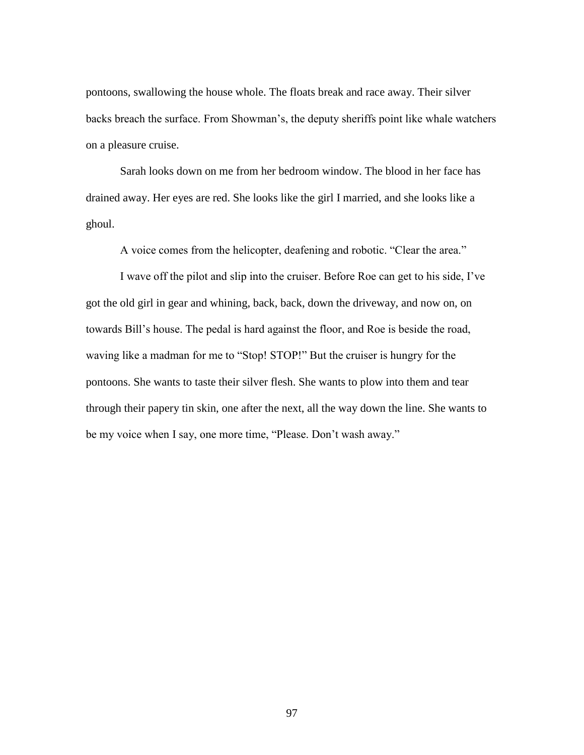pontoons, swallowing the house whole. The floats break and race away. Their silver backs breach the surface. From Showman's, the deputy sheriffs point like whale watchers on a pleasure cruise.

Sarah looks down on me from her bedroom window. The blood in her face has drained away. Her eyes are red. She looks like the girl I married, and she looks like a ghoul.

A voice comes from the helicopter, deafening and robotic. "Clear the area."

I wave off the pilot and slip into the cruiser. Before Roe can get to his side, I've got the old girl in gear and whining, back, back, down the driveway, and now on, on towards Bill's house. The pedal is hard against the floor, and Roe is beside the road, waving like a madman for me to "Stop! STOP!" But the cruiser is hungry for the pontoons. She wants to taste their silver flesh. She wants to plow into them and tear through their papery tin skin, one after the next, all the way down the line. She wants to be my voice when I say, one more time, "Please. Don't wash away."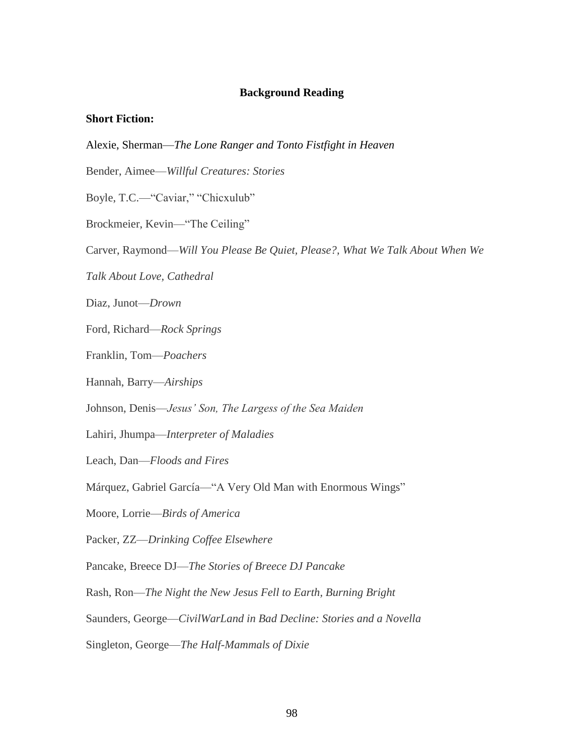### **Background Reading**

#### **Short Fiction:**

Alexie, Sherman—*The Lone Ranger and Tonto Fistfight in Heaven*

Bender, Aimee—*Willful Creatures: Stories*

Boyle, T.C.—"Caviar," "Chicxulub"

Brockmeier, Kevin—"The Ceiling"

Carver, Raymond—*Will You Please Be Quiet, Please?, What We Talk About When We* 

*Talk About Love, Cathedral* 

Diaz, Junot—*Drown*

Ford, Richard—*Rock Springs*

Franklin, Tom—*Poachers* 

Hannah, Barry—*Airships*

Johnson, Denis—*Jesus' Son, The Largess of the Sea Maiden* 

Lahiri, Jhumpa—*Interpreter of Maladies*

Leach, Dan—*Floods and Fires*

Márquez, Gabriel García—"A Very Old Man with Enormous Wings"

Moore, Lorrie—*Birds of America*

Packer, ZZ—*Drinking Coffee Elsewhere*

Pancake, Breece DJ—*The Stories of Breece DJ Pancake*

Rash, Ron—*The Night the New Jesus Fell to Earth, Burning Bright*

Saunders, George—*CivilWarLand in Bad Decline: Stories and a Novella*

Singleton, George—*The Half-Mammals of Dixie*